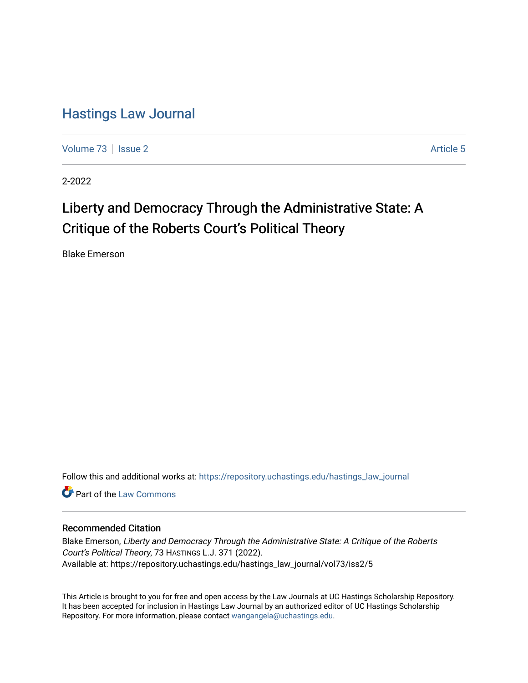## [Hastings Law Journal](https://repository.uchastings.edu/hastings_law_journal)

[Volume 73](https://repository.uchastings.edu/hastings_law_journal/vol73) | [Issue 2](https://repository.uchastings.edu/hastings_law_journal/vol73/iss2) Article 5

2-2022

# Liberty and Democracy Through the Administrative State: A Critique of the Roberts Court's Political Theory

Blake Emerson

Follow this and additional works at: [https://repository.uchastings.edu/hastings\\_law\\_journal](https://repository.uchastings.edu/hastings_law_journal?utm_source=repository.uchastings.edu%2Fhastings_law_journal%2Fvol73%2Fiss2%2F5&utm_medium=PDF&utm_campaign=PDFCoverPages) 

Part of the [Law Commons](http://network.bepress.com/hgg/discipline/578?utm_source=repository.uchastings.edu%2Fhastings_law_journal%2Fvol73%2Fiss2%2F5&utm_medium=PDF&utm_campaign=PDFCoverPages)

## Recommended Citation

Blake Emerson, Liberty and Democracy Through the Administrative State: A Critique of the Roberts Court's Political Theory, 73 HASTINGS L.J. 371 (2022). Available at: https://repository.uchastings.edu/hastings\_law\_journal/vol73/iss2/5

This Article is brought to you for free and open access by the Law Journals at UC Hastings Scholarship Repository. It has been accepted for inclusion in Hastings Law Journal by an authorized editor of UC Hastings Scholarship Repository. For more information, please contact [wangangela@uchastings.edu](mailto:wangangela@uchastings.edu).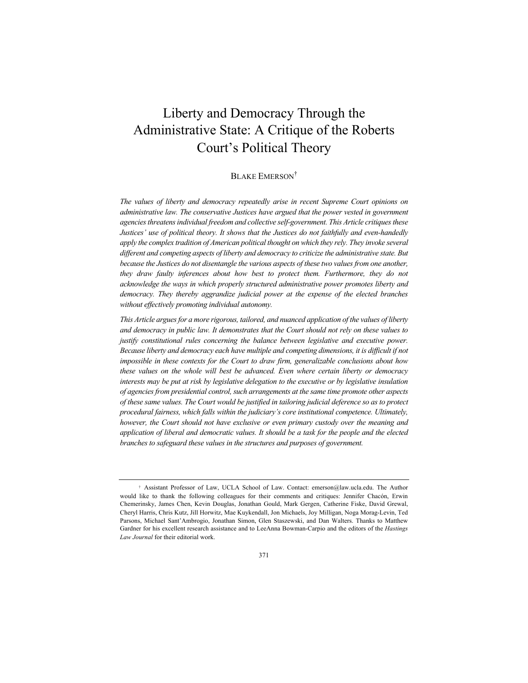## Liberty and Democracy Through the Administrative State: A Critique of the Roberts Court's Political Theory

## BLAKE EMERSON†

*The values of liberty and democracy repeatedly arise in recent Supreme Court opinions on administrative law. The conservative Justices have argued that the power vested in government agencies threatens individual freedom and collective self-government. This Article critiques these Justices' use of political theory. It shows that the Justices do not faithfully and even-handedly apply the complex tradition of American political thought on which they rely. They invoke several different and competing aspects of liberty and democracy to criticize the administrative state. But because the Justices do not disentangle the various aspects of these two values from one another, they draw faulty inferences about how best to protect them. Furthermore, they do not acknowledge the ways in which properly structured administrative power promotes liberty and democracy. They thereby aggrandize judicial power at the expense of the elected branches without effectively promoting individual autonomy.*

*This Article argues for a more rigorous, tailored, and nuanced application of the values of liberty and democracy in public law. It demonstrates that the Court should not rely on these values to justify constitutional rules concerning the balance between legislative and executive power. Because liberty and democracy each have multiple and competing dimensions, it is difficult if not impossible in these contexts for the Court to draw firm, generalizable conclusions about how these values on the whole will best be advanced. Even where certain liberty or democracy interests may be put at risk by legislative delegation to the executive or by legislative insulation of agencies from presidential control, such arrangements at the same time promote other aspects of these same values. The Court would be justified in tailoring judicial deference so as to protect procedural fairness, which falls within the judiciary's core institutional competence. Ultimately, however, the Court should not have exclusive or even primary custody over the meaning and application of liberal and democratic values. It should be a task for the people and the elected branches to safeguard these values in the structures and purposes of government.*

<sup>†</sup> Assistant Professor of Law, UCLA School of Law. Contact: emerson@law.ucla.edu. The Author would like to thank the following colleagues for their comments and critiques: Jennifer Chacón, Erwin Chemerinsky, James Chen, Kevin Douglas, Jonathan Gould, Mark Gergen, Catherine Fiske, David Grewal, Cheryl Harris, Chris Kutz, Jill Horwitz, Mae Kuykendall, Jon Michaels, Joy Milligan, Noga Morag-Levin, Ted Parsons, Michael Sant'Ambrogio, Jonathan Simon, Glen Staszewski, and Dan Walters. Thanks to Matthew Gardner for his excellent research assistance and to LeeAnna Bowman-Carpio and the editors of the *Hastings Law Journal* for their editorial work.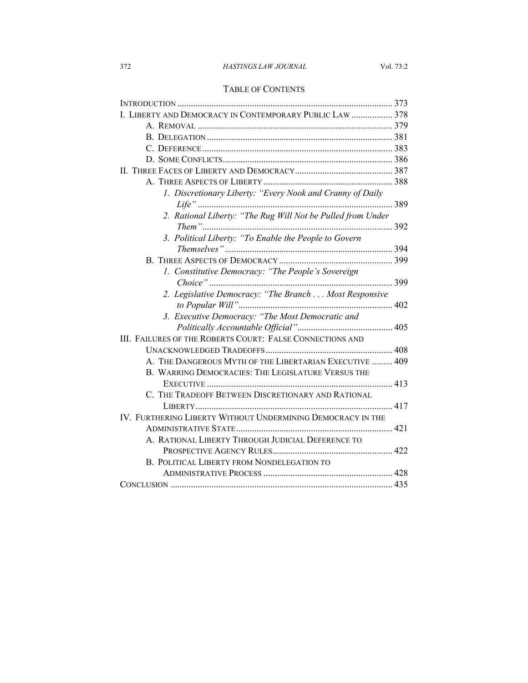## 372 *HASTINGS LAW JOURNAL* Vol. 73:2

## TABLE OF CONTENTS

| I. LIBERTY AND DEMOCRACY IN CONTEMPORARY PUBLIC LAW  378    |  |
|-------------------------------------------------------------|--|
|                                                             |  |
|                                                             |  |
|                                                             |  |
|                                                             |  |
|                                                             |  |
|                                                             |  |
| 1. Discretionary Liberty: "Every Nook and Cranny of Daily   |  |
|                                                             |  |
| 2. Rational Liberty: "The Rug Will Not be Pulled from Under |  |
| 3. Political Liberty: "To Enable the People to Govern       |  |
|                                                             |  |
|                                                             |  |
| 1. Constitutive Democracy: "The People's Sovereign          |  |
|                                                             |  |
| 2. Legislative Democracy: "The Branch Most Responsive       |  |
|                                                             |  |
| 3. Executive Democracy: "The Most Democratic and            |  |
|                                                             |  |
| III. FAILURES OF THE ROBERTS COURT: FALSE CONNECTIONS AND   |  |
|                                                             |  |
| A. THE DANGEROUS MYTH OF THE LIBERTARIAN EXECUTIVE  409     |  |
| B. WARRING DEMOCRACIES: THE LEGISLATURE VERSUS THE          |  |
|                                                             |  |
| C. THE TRADEOFF BETWEEN DISCRETIONARY AND RATIONAL          |  |
|                                                             |  |
| IV. FURTHERING LIBERTY WITHOUT UNDERMINING DEMOCRACY IN THE |  |
|                                                             |  |
| A. RATIONAL LIBERTY THROUGH JUDICIAL DEFERENCE TO           |  |
|                                                             |  |
| B. POLITICAL LIBERTY FROM NONDELEGATION TO                  |  |
|                                                             |  |
|                                                             |  |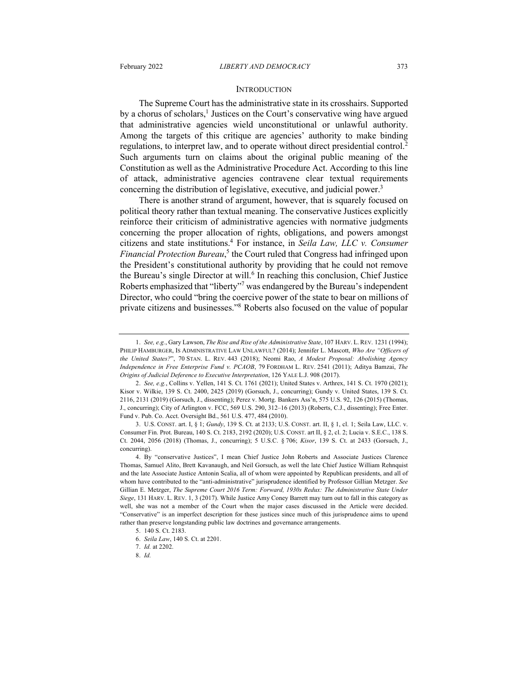#### **INTRODUCTION**

The Supreme Court has the administrative state in its crosshairs. Supported by a chorus of scholars,<sup>1</sup> Justices on the Court's conservative wing have argued that administrative agencies wield unconstitutional or unlawful authority. Among the targets of this critique are agencies' authority to make binding regulations, to interpret law, and to operate without direct presidential control.<sup>2</sup> Such arguments turn on claims about the original public meaning of the Constitution as well as the Administrative Procedure Act. According to this line of attack, administrative agencies contravene clear textual requirements concerning the distribution of legislative, executive, and judicial power.<sup>3</sup>

There is another strand of argument, however, that is squarely focused on political theory rather than textual meaning. The conservative Justices explicitly reinforce their criticism of administrative agencies with normative judgments concerning the proper allocation of rights, obligations, and powers amongst citizens and state institutions.4 For instance, in *Seila Law, LLC v. Consumer Financial Protection Bureau*, <sup>5</sup> the Court ruled that Congress had infringed upon the President's constitutional authority by providing that he could not remove the Bureau's single Director at will.<sup>6</sup> In reaching this conclusion, Chief Justice Roberts emphasized that "liberty"<sup>7</sup> was endangered by the Bureau's independent Director, who could "bring the coercive power of the state to bear on millions of private citizens and businesses."8 Roberts also focused on the value of popular

<sup>1.</sup> *See, e.g.*, Gary Lawson, *The Rise and Rise of the Administrative State*, 107 HARV. L. REV. 1231 (1994); PHILIP HAMBURGER, IS ADMINISTRATIVE LAW UNLAWFUL? (2014); Jennifer L. Mascott, *Who Are "Officers of the United States?*", 70 STAN. L. REV. 443 (2018); Neomi Rao, *A Modest Proposal: Abolishing Agency Independence in Free Enterprise Fund v. PCAOB*, 79 FORDHAM L. REV. 2541 (2011); Aditya Bamzai, *The Origins of Judicial Deference to Executive Interpretation*, 126 YALE L.J. 908 (2017).

<sup>2.</sup> *See, e.g.*, Collins v. Yellen, 141 S. Ct. 1761 (2021); United States v. Arthrex, 141 S. Ct. 1970 (2021); Kisor v. Wilkie, 139 S. Ct. 2400, 2425 (2019) (Gorsuch, J., concurring); Gundy v. United States, 139 S. Ct. 2116, 2131 (2019) (Gorsuch, J., dissenting); Perez v. Mortg. Bankers Ass'n, 575 U.S. 92, 126 (2015) (Thomas, J., concurring); City of Arlington v. FCC, 569 U.S. 290, 312–16 (2013) (Roberts, C.J., dissenting); Free Enter. Fund v. Pub. Co. Acct. Oversight Bd., 561 U.S. 477, 484 (2010).

<sup>3.</sup> U.S. CONST. art. I, § 1; *Gundy*, 139 S. Ct. at 2133; U.S. CONST. art. II, § 1, cl. 1; Seila Law, LLC. v. Consumer Fin. Prot. Bureau, 140 S. Ct. 2183, 2192 (2020); U.S. CONST. art II, § 2, cl. 2; Lucia v. S.E.C., 138 S. Ct. 2044, 2056 (2018) (Thomas, J., concurring); 5 U.S.C. § 706; *Kisor*, 139 S. Ct. at 2433 (Gorsuch, J., concurring).

<sup>4.</sup> By "conservative Justices", I mean Chief Justice John Roberts and Associate Justices Clarence Thomas, Samuel Alito, Brett Kavanaugh, and Neil Gorsuch, as well the late Chief Justice William Rehnquist and the late Associate Justice Antonin Scalia, all of whom were appointed by Republican presidents, and all of whom have contributed to the "anti-administrative" jurisprudence identified by Professor Gillian Metzger. *See* Gillian E. Metzger, *The Supreme Court 2016 Term: Forward, 1930s Redux: The Administrative State Under Siege*, 131 HARV. L. REV. 1, 3 (2017). While Justice Amy Coney Barrett may turn out to fall in this category as well, she was not a member of the Court when the major cases discussed in the Article were decided. "Conservative" is an imperfect description for these justices since much of this jurisprudence aims to upend rather than preserve longstanding public law doctrines and governance arrangements.

<sup>5</sup>. 140 S. Ct. 2183.

<sup>6.</sup> *Seila Law*, 140 S. Ct. at 2201.

<sup>7.</sup> *Id.* at 2202.

<sup>8.</sup> *Id.*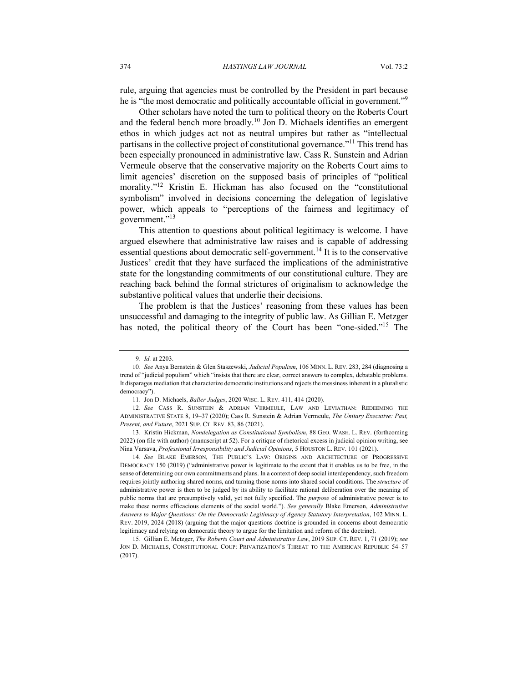rule, arguing that agencies must be controlled by the President in part because he is "the most democratic and politically accountable official in government."<sup>9</sup>

Other scholars have noted the turn to political theory on the Roberts Court and the federal bench more broadly.<sup>10</sup> Jon D. Michaels identifies an emergent ethos in which judges act not as neutral umpires but rather as "intellectual partisans in the collective project of constitutional governance."11 This trend has been especially pronounced in administrative law. Cass R. Sunstein and Adrian Vermeule observe that the conservative majority on the Roberts Court aims to limit agencies' discretion on the supposed basis of principles of "political morality."<sup>12</sup> Kristin E. Hickman has also focused on the "constitutional" symbolism" involved in decisions concerning the delegation of legislative power, which appeals to "perceptions of the fairness and legitimacy of government."<sup>13</sup>

This attention to questions about political legitimacy is welcome. I have argued elsewhere that administrative law raises and is capable of addressing essential questions about democratic self-government.<sup>14</sup> It is to the conservative Justices' credit that they have surfaced the implications of the administrative state for the longstanding commitments of our constitutional culture. They are reaching back behind the formal strictures of originalism to acknowledge the substantive political values that underlie their decisions.

The problem is that the Justices' reasoning from these values has been unsuccessful and damaging to the integrity of public law. As Gillian E. Metzger has noted, the political theory of the Court has been "one-sided."15 The

14. *See* BLAKE EMERSON, THE PUBLIC'S LAW: ORIGINS AND ARCHITECTURE OF PROGRESSIVE DEMOCRACY 150 (2019) ("administrative power is legitimate to the extent that it enables us to be free, in the sense of determining our own commitments and plans. In a context of deep social interdependency, such freedom requires jointly authoring shared norms, and turning those norms into shared social conditions. The *structure* of administrative power is then to be judged by its ability to facilitate rational deliberation over the meaning of public norms that are presumptively valid, yet not fully specified. The *purpose* of administrative power is to make these norms efficacious elements of the social world."). *See generally* Blake Emerson, *Administrative Answers to Major Questions: On the Democratic Legitimacy of Agency Statutory Interpretation*, 102 MINN. L. REV. 2019, 2024 (2018) (arguing that the major questions doctrine is grounded in concerns about democratic legitimacy and relying on democratic theory to argue for the limitation and reform of the doctrine).

<sup>9.</sup> *Id.* at 2203.

<sup>10</sup>. *See* Anya Bernstein & Glen Staszewski, *Judicial Populism*, 106 MINN. L. REV. 283, 284 (diagnosing a trend of "judicial populism" which "insists that there are clear, correct answers to complex, debatable problems. It disparages mediation that characterize democratic institutions and rejects the messiness inherent in a pluralistic democracy").

<sup>11.</sup> Jon D. Michaels, *Baller Judges*, 2020 WISC. L. REV. 411, 414 (2020).

<sup>12.</sup> *See* CASS R. SUNSTEIN & ADRIAN VERMEULE, LAW AND LEVIATHAN: REDEEMING THE ADMINISTRATIVE STATE 8, 19–37 (2020); Cass R. Sunstein & Adrian Vermeule, *The Unitary Executive: Past, Present, and Future*, 2021 SUP. CT. REV. 83, 86 (2021).

<sup>13.</sup> Kristin Hickman, *Nondelegation as Constitutional Symbolism*, 88 GEO. WASH. L. REV. (forthcoming 2022) (on file with author) (manuscript at 52). For a critique of rhetorical excess in judicial opinion writing, see Nina Varsava, *Professional Irresponsibility and Judicial Opinions*, 5 HOUSTON L. REV. 101 (2021).

<sup>15.</sup> Gillian E. Metzger, *The Roberts Court and Administrative Law*, 2019 SUP. CT. REV. 1, 71 (2019); *see* JON D. MICHAELS, CONSTITUTIONAL COUP: PRIVATIZATION'S THREAT TO THE AMERICAN REPUBLIC 54-57 (2017).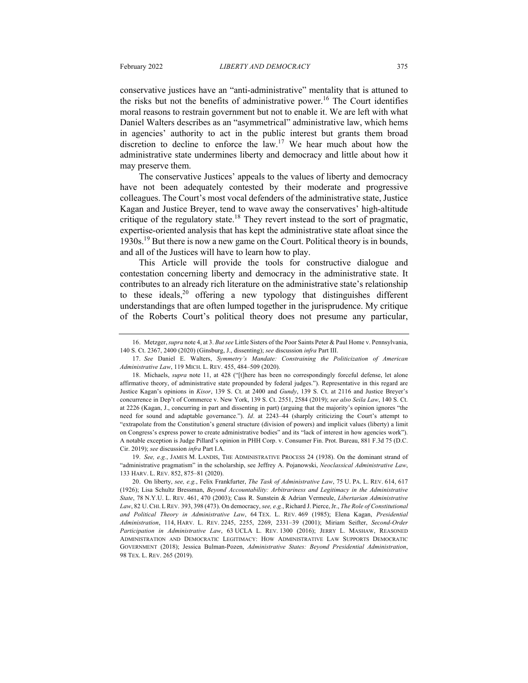conservative justices have an "anti-administrative" mentality that is attuned to the risks but not the benefits of administrative power.<sup>16</sup> The Court identifies moral reasons to restrain government but not to enable it. We are left with what Daniel Walters describes as an "asymmetrical" administrative law, which hems in agencies' authority to act in the public interest but grants them broad discretion to decline to enforce the law.17 We hear much about how the administrative state undermines liberty and democracy and little about how it may preserve them.

The conservative Justices' appeals to the values of liberty and democracy have not been adequately contested by their moderate and progressive colleagues. The Court's most vocal defenders of the administrative state, Justice Kagan and Justice Breyer, tend to wave away the conservatives' high-altitude critique of the regulatory state.<sup>18</sup> They revert instead to the sort of pragmatic, expertise-oriented analysis that has kept the administrative state afloat since the 1930s.19 But there is now a new game on the Court. Political theory is in bounds, and all of the Justices will have to learn how to play.

This Article will provide the tools for constructive dialogue and contestation concerning liberty and democracy in the administrative state. It contributes to an already rich literature on the administrative state's relationship to these ideals,  $20$  offering a new typology that distinguishes different understandings that are often lumped together in the jurisprudence. My critique of the Roberts Court's political theory does not presume any particular,

19. *See, e.g.*, JAMES M. LANDIS, THE ADMINISTRATIVE PROCESS 24 (1938). On the dominant strand of "administrative pragmatism" in the scholarship, see Jeffrey A. Pojanowski, *Neoclassical Administrative Law*, 133 HARV. L. REV. 852, 875–81 (2020).

<sup>16.</sup> Metzger, *supra* note 4, at 3. *But see* Little Sisters of the Poor Saints Peter & Paul Home v. Pennsylvania, 140 S. Ct. 2367, 2400 (2020) (Ginsburg, J., dissenting); *see* discussion *infra* Part III.

<sup>17.</sup> *See* Daniel E. Walters, *Symmetry's Mandate: Constraining the Politicization of American Administrative Law*, 119 MICH. L. REV. 455, 484–509 (2020).

<sup>18.</sup> Michaels, *supra* note 11, at 428 ("[t]here has been no correspondingly forceful defense, let alone affirmative theory, of administrative state propounded by federal judges."). Representative in this regard are Justice Kagan's opinions in *Kisor*, 139 S. Ct. at 2400 and *Gundy*, 139 S. Ct. at 2116 and Justice Breyer's concurrence in Dep't of Commerce v. New York, 139 S. Ct. 2551, 2584 (2019); *see also Seila Law*, 140 S. Ct. at 2226 (Kagan, J., concurring in part and dissenting in part) (arguing that the majority's opinion ignores "the need for sound and adaptable governance."). *Id*. at 2243–44 (sharply criticizing the Court's attempt to "extrapolate from the Constitution's general structure (division of powers) and implicit values (liberty) a limit on Congress's express power to create administrative bodies" and its "lack of interest in how agencies work"). A notable exception is Judge Pillard's opinion in PHH Corp. v. Consumer Fin. Prot. Bureau, 881 F.3d 75 (D.C. Cir. 2019); *see* discussion *infra* Part I.A.

<sup>20.</sup> On liberty, *see, e.g.*, Felix Frankfurter, *The Task of Administrative Law*, 75 U. PA. L. REV. 614, 617 (1926); Lisa Schultz Bressman, *Beyond Accountability: Arbitrariness and Legitimacy in the Administrative State*, 78 N.Y.U. L. REV. 461, 470 (2003); Cass R. Sunstein & Adrian Vermeule, *Libertarian Administrative Law*, 82 U.CHI. LREV. 393, 398 (473). On democracy, *see, e.g.*, Richard J. Pierce, Jr., *The Role of Constitutional and Political Theory in Administrative Law*, 64 TEX. L. REV. 469 (1985); Elena Kagan, *Presidential Administration*, 114, HARV. L. REV. 2245, 2255, 2269, 2331–39 (2001); Miriam Seifter, *Second-Order Participation in Administrative Law*, 63 UCLA L. REV. 1300 (2016); JERRY L. MASHAW, REASONED ADMINISTRATION AND DEMOCRATIC LEGITIMACY: HOW ADMINISTRATIVE LAW SUPPORTS DEMOCRATIC GOVERNMENT (2018); Jessica Bulman-Pozen, *Administrative States: Beyond Presidential Administration*, 98 TEX. L. REV. 265 (2019).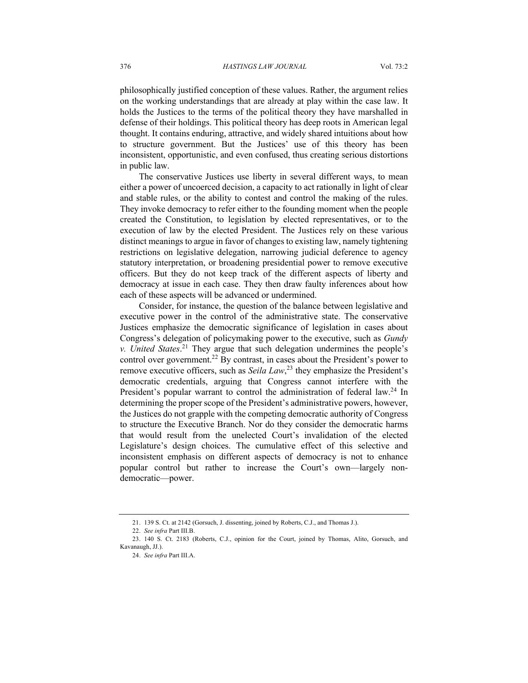philosophically justified conception of these values. Rather, the argument relies on the working understandings that are already at play within the case law. It holds the Justices to the terms of the political theory they have marshalled in defense of their holdings. This political theory has deep roots in American legal thought. It contains enduring, attractive, and widely shared intuitions about how to structure government. But the Justices' use of this theory has been inconsistent, opportunistic, and even confused, thus creating serious distortions in public law.

The conservative Justices use liberty in several different ways, to mean either a power of uncoerced decision, a capacity to act rationally in light of clear and stable rules, or the ability to contest and control the making of the rules. They invoke democracy to refer either to the founding moment when the people created the Constitution, to legislation by elected representatives, or to the execution of law by the elected President. The Justices rely on these various distinct meanings to argue in favor of changes to existing law, namely tightening restrictions on legislative delegation, narrowing judicial deference to agency statutory interpretation, or broadening presidential power to remove executive officers. But they do not keep track of the different aspects of liberty and democracy at issue in each case. They then draw faulty inferences about how each of these aspects will be advanced or undermined.

Consider, for instance, the question of the balance between legislative and executive power in the control of the administrative state. The conservative Justices emphasize the democratic significance of legislation in cases about Congress's delegation of policymaking power to the executive, such as *Gundy v. United States*. <sup>21</sup> They argue that such delegation undermines the people's control over government.<sup>22</sup> By contrast, in cases about the President's power to remove executive officers, such as *Seila Law*, <sup>23</sup> they emphasize the President's democratic credentials, arguing that Congress cannot interfere with the President's popular warrant to control the administration of federal law.<sup>24</sup> In determining the proper scope of the President's administrative powers, however, the Justices do not grapple with the competing democratic authority of Congress to structure the Executive Branch. Nor do they consider the democratic harms that would result from the unelected Court's invalidation of the elected Legislature's design choices. The cumulative effect of this selective and inconsistent emphasis on different aspects of democracy is not to enhance popular control but rather to increase the Court's own—largely nondemocratic—power.

<sup>21.</sup> 139 S. Ct. at 2142 (Gorsuch, J. dissenting, joined by Roberts, C.J., and Thomas J.).

<sup>22.</sup> *See infra* Part III.B.

<sup>23.</sup> 140 S. Ct. 2183 (Roberts, C.J., opinion for the Court, joined by Thomas, Alito, Gorsuch, and Kavanaugh, JJ.).

<sup>24.</sup> *See infra* Part III.A.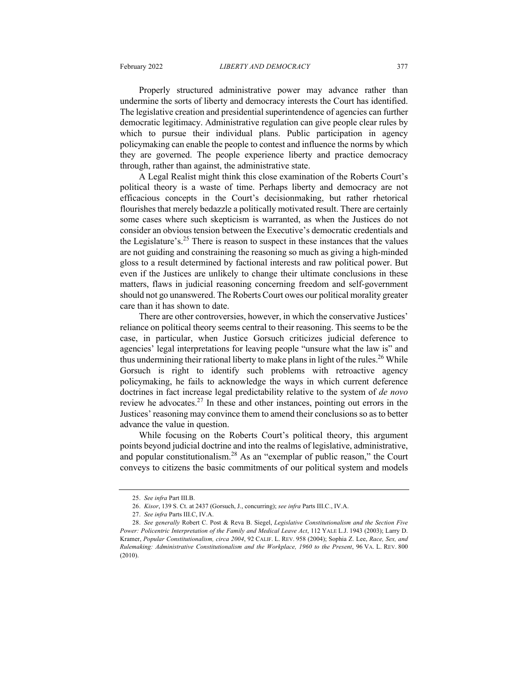Properly structured administrative power may advance rather than undermine the sorts of liberty and democracy interests the Court has identified. The legislative creation and presidential superintendence of agencies can further democratic legitimacy. Administrative regulation can give people clear rules by which to pursue their individual plans. Public participation in agency policymaking can enable the people to contest and influence the norms by which they are governed. The people experience liberty and practice democracy through, rather than against, the administrative state.

A Legal Realist might think this close examination of the Roberts Court's political theory is a waste of time. Perhaps liberty and democracy are not efficacious concepts in the Court's decisionmaking, but rather rhetorical flourishes that merely bedazzle a politically motivated result. There are certainly some cases where such skepticism is warranted, as when the Justices do not consider an obvious tension between the Executive's democratic credentials and the Legislature's.<sup>25</sup> There is reason to suspect in these instances that the values are not guiding and constraining the reasoning so much as giving a high-minded gloss to a result determined by factional interests and raw political power. But even if the Justices are unlikely to change their ultimate conclusions in these matters, flaws in judicial reasoning concerning freedom and self-government should not go unanswered. The Roberts Court owes our political morality greater care than it has shown to date.

There are other controversies, however, in which the conservative Justices' reliance on political theory seems central to their reasoning. This seems to be the case, in particular, when Justice Gorsuch criticizes judicial deference to agencies' legal interpretations for leaving people "unsure what the law is" and thus undermining their rational liberty to make plans in light of the rules.<sup>26</sup> While Gorsuch is right to identify such problems with retroactive agency policymaking, he fails to acknowledge the ways in which current deference doctrines in fact increase legal predictability relative to the system of *de novo* review he advocates. $^{27}$  In these and other instances, pointing out errors in the Justices' reasoning may convince them to amend their conclusions so as to better advance the value in question.

While focusing on the Roberts Court's political theory, this argument points beyond judicial doctrine and into the realms of legislative, administrative, and popular constitutionalism.<sup>28</sup> As an "exemplar of public reason," the Court conveys to citizens the basic commitments of our political system and models

<sup>25.</sup> *See infra* Part III.B.

<sup>26.</sup> *Kisor*, 139 S. Ct. at 2437 (Gorsuch, J., concurring); *see infra* Parts III.C., IV.A.

<sup>27.</sup> *See infra* Parts III.C, IV.A.

<sup>28.</sup> *See generally* Robert C. Post & Reva B. Siegel, *Legislative Constitutionalism and the Section Five Power: Policentric Interpretation of the Family and Medical Leave Act*, 112 YALE L.J. 1943 (2003); Larry D. Kramer, *Popular Constitutionalism, circa 2004*, 92 CALIF. L. REV. 958 (2004); Sophia Z. Lee, *Race, Sex, and Rulemaking: Administrative Constitutionalism and the Workplace, 1960 to the Present*, 96 VA. L. REV. 800 (2010).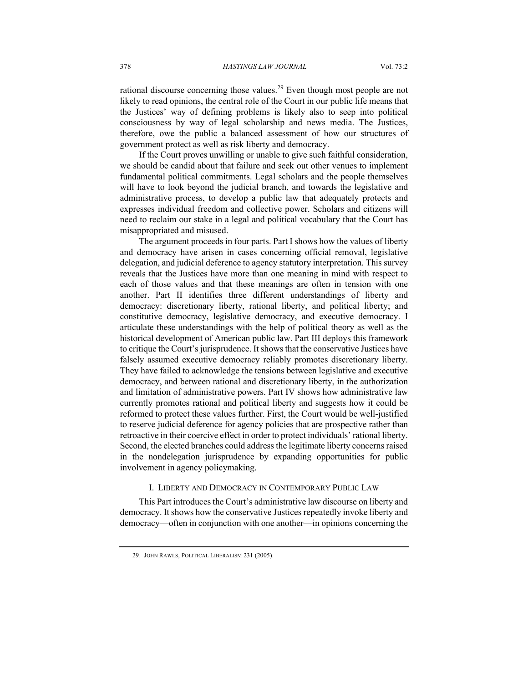rational discourse concerning those values.<sup>29</sup> Even though most people are not likely to read opinions, the central role of the Court in our public life means that the Justices' way of defining problems is likely also to seep into political consciousness by way of legal scholarship and news media. The Justices, therefore, owe the public a balanced assessment of how our structures of government protect as well as risk liberty and democracy.

If the Court proves unwilling or unable to give such faithful consideration, we should be candid about that failure and seek out other venues to implement fundamental political commitments. Legal scholars and the people themselves will have to look beyond the judicial branch, and towards the legislative and administrative process, to develop a public law that adequately protects and expresses individual freedom and collective power. Scholars and citizens will need to reclaim our stake in a legal and political vocabulary that the Court has misappropriated and misused.

The argument proceeds in four parts. Part I shows how the values of liberty and democracy have arisen in cases concerning official removal, legislative delegation, and judicial deference to agency statutory interpretation. This survey reveals that the Justices have more than one meaning in mind with respect to each of those values and that these meanings are often in tension with one another. Part II identifies three different understandings of liberty and democracy: discretionary liberty, rational liberty, and political liberty; and constitutive democracy, legislative democracy, and executive democracy. I articulate these understandings with the help of political theory as well as the historical development of American public law. Part III deploys this framework to critique the Court's jurisprudence. It shows that the conservative Justices have falsely assumed executive democracy reliably promotes discretionary liberty. They have failed to acknowledge the tensions between legislative and executive democracy, and between rational and discretionary liberty, in the authorization and limitation of administrative powers. Part IV shows how administrative law currently promotes rational and political liberty and suggests how it could be reformed to protect these values further. First, the Court would be well-justified to reserve judicial deference for agency policies that are prospective rather than retroactive in their coercive effect in order to protect individuals' rational liberty. Second, the elected branches could address the legitimate liberty concerns raised in the nondelegation jurisprudence by expanding opportunities for public involvement in agency policymaking.

#### I. LIBERTY AND DEMOCRACY IN CONTEMPORARY PUBLIC LAW

This Part introduces the Court's administrative law discourse on liberty and democracy. It shows how the conservative Justices repeatedly invoke liberty and democracy—often in conjunction with one another—in opinions concerning the

<sup>29.</sup> JOHN RAWLS, POLITICAL LIBERALISM 231 (2005).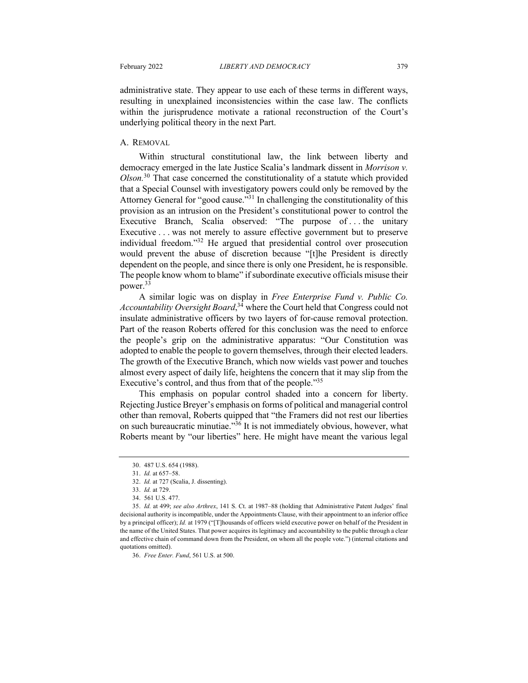administrative state. They appear to use each of these terms in different ways, resulting in unexplained inconsistencies within the case law. The conflicts within the jurisprudence motivate a rational reconstruction of the Court's underlying political theory in the next Part.

#### A. REMOVAL

Within structural constitutional law, the link between liberty and democracy emerged in the late Justice Scalia's landmark dissent in *Morrison v. Olson.*<sup>30</sup> That case concerned the constitutionality of a statute which provided that a Special Counsel with investigatory powers could only be removed by the Attorney General for "good cause."31 In challenging the constitutionality of this provision as an intrusion on the President's constitutional power to control the Executive Branch, Scalia observed: "The purpose of ... the unitary Executive . . . was not merely to assure effective government but to preserve individual freedom."<sup>32</sup> He argued that presidential control over prosecution would prevent the abuse of discretion because "[t]he President is directly dependent on the people, and since there is only one President, he is responsible. The people know whom to blame" if subordinate executive officials misuse their power.33

A similar logic was on display in *Free Enterprise Fund v. Public Co. Accountability Oversight Board*, <sup>34</sup> where the Court held that Congress could not insulate administrative officers by two layers of for-cause removal protection. Part of the reason Roberts offered for this conclusion was the need to enforce the people's grip on the administrative apparatus: "Our Constitution was adopted to enable the people to govern themselves, through their elected leaders. The growth of the Executive Branch, which now wields vast power and touches almost every aspect of daily life, heightens the concern that it may slip from the Executive's control, and thus from that of the people.<sup>35</sup>

This emphasis on popular control shaded into a concern for liberty. Rejecting Justice Breyer's emphasis on forms of political and managerial control other than removal, Roberts quipped that "the Framers did not rest our liberties on such bureaucratic minutiae."36 It is not immediately obvious, however, what Roberts meant by "our liberties" here. He might have meant the various legal

36. *Free Enter. Fund*, 561 U.S. at 500.

<sup>30.</sup> 487 U.S. 654 (1988).

<sup>31.</sup> *Id.* at 657–58.

<sup>32.</sup> *Id.* at 727 (Scalia, J. dissenting).

<sup>33.</sup> *Id.* at 729.

<sup>34.</sup> 561 U.S. 477.

<sup>35.</sup> *Id.* at 499; *see also Arthrex*, 141 S. Ct. at 1987–88 (holding that Administrative Patent Judges' final decisional authority is incompatible, under the Appointments Clause, with their appointment to an inferior office by a principal officer); *Id.* at 1979 ("[T]housands of officers wield executive power on behalf of the President in the name of the United States. That power acquires its legitimacy and accountability to the public through a clear and effective chain of command down from the President, on whom all the people vote.") (internal citations and quotations omitted).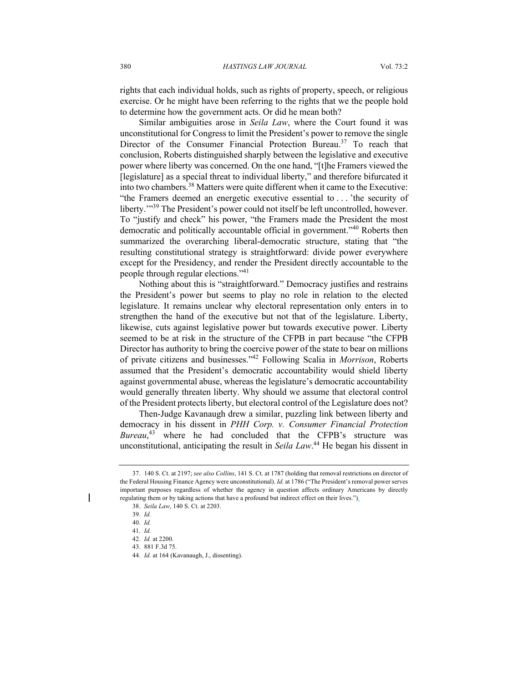rights that each individual holds, such as rights of property, speech, or religious exercise. Or he might have been referring to the rights that we the people hold to determine how the government acts. Or did he mean both?

Similar ambiguities arose in *Seila Law*, where the Court found it was unconstitutional for Congress to limit the President's power to remove the single Director of the Consumer Financial Protection Bureau.<sup>37</sup> To reach that conclusion, Roberts distinguished sharply between the legislative and executive power where liberty was concerned. On the one hand, "[t]he Framers viewed the [legislature] as a special threat to individual liberty," and therefore bifurcated it into two chambers.38 Matters were quite different when it came to the Executive: "the Framers deemed an energetic executive essential to . . . 'the security of liberty."<sup>39</sup> The President's power could not itself be left uncontrolled, however. To "justify and check" his power, "the Framers made the President the most democratic and politically accountable official in government."<sup>40</sup> Roberts then summarized the overarching liberal-democratic structure, stating that "the resulting constitutional strategy is straightforward: divide power everywhere except for the Presidency, and render the President directly accountable to the people through regular elections."41

Nothing about this is "straightforward." Democracy justifies and restrains the President's power but seems to play no role in relation to the elected legislature. It remains unclear why electoral representation only enters in to strengthen the hand of the executive but not that of the legislature. Liberty, likewise, cuts against legislative power but towards executive power. Liberty seemed to be at risk in the structure of the CFPB in part because "the CFPB Director has authority to bring the coercive power of the state to bear on millions of private citizens and businesses."42 Following Scalia in *Morrison*, Roberts assumed that the President's democratic accountability would shield liberty against governmental abuse, whereas the legislature's democratic accountability would generally threaten liberty. Why should we assume that electoral control of the President protects liberty, but electoral control of the Legislature does not?

Then-Judge Kavanaugh drew a similar, puzzling link between liberty and democracy in his dissent in *PHH Corp. v. Consumer Financial Protection Bureau*, <sup>43</sup> where he had concluded that the CFPB's structure was unconstitutional, anticipating the result in *Seila Law*. <sup>44</sup> He began his dissent in

<sup>37.</sup> 140 S. Ct. at 2197; *see also Collins*, 141 S. Ct. at 1787 (holding that removal restrictions on director of the Federal Housing Finance Agency were unconstitutional). *Id.* at 1786 ("The President's removal power serves important purposes regardless of whether the agency in question affects ordinary Americans by directly regulating them or by taking actions that have a profound but indirect effect on their lives.").

<sup>38.</sup> *Seila Law*, 140 S. Ct. at 2203.

<sup>39.</sup> *Id.*

<sup>40.</sup> *Id.*

<sup>41.</sup> *Id.*

<sup>42.</sup> *Id.* at 2200.

<sup>43</sup>. 881 F.3d 75.

<sup>44.</sup> *Id.* at 164 (Kavanaugh, J., dissenting).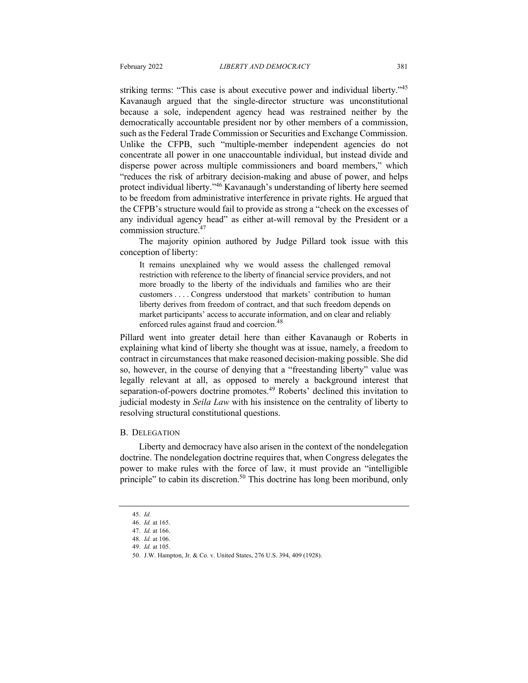striking terms: "This case is about executive power and individual liberty."<sup>45</sup> Kavanaugh argued that the single-director structure was unconstitutional because a sole, independent agency head was restrained neither by the democratically accountable president nor by other members of a commission, such as the Federal Trade Commission or Securities and Exchange Commission. Unlike the CFPB, such "multiple-member independent agencies do not concentrate all power in one unaccountable individual, but instead divide and disperse power across multiple commissioners and board members," which "reduces the risk of arbitrary decision-making and abuse of power, and helps protect individual liberty."<sup>46</sup> Kavanaugh's understanding of liberty here seemed to be freedom from administrative interference in private rights. He argued that the CFPB's structure would fail to provide as strong a "check on the excesses of any individual agency head" as either at-will removal by the President or a commission structure.47

The majority opinion authored by Judge Pillard took issue with this conception of liberty:

It remains unexplained why we would assess the challenged removal restriction with reference to the liberty of financial service providers, and not more broadly to the liberty of the individuals and families who are their customers . . . . Congress understood that markets' contribution to human liberty derives from freedom of contract, and that such freedom depends on market participants' access to accurate information, and on clear and reliably enforced rules against fraud and coercion.<sup>48</sup>

Pillard went into greater detail here than either Kavanaugh or Roberts in explaining what kind of liberty she thought was at issue, namely, a freedom to contract in circumstances that make reasoned decision-making possible. She did so, however, in the course of denying that a "freestanding liberty" value was legally relevant at all, as opposed to merely a background interest that separation-of-powers doctrine promotes.<sup>49</sup> Roberts' declined this invitation to judicial modesty in *Seila Law* with his insistence on the centrality of liberty to resolving structural constitutional questions.

#### B. DELEGATION

Liberty and democracy have also arisen in the context of the nondelegation doctrine. The nondelegation doctrine requires that, when Congress delegates the power to make rules with the force of law, it must provide an "intelligible principle" to cabin its discretion.<sup>50</sup> This doctrine has long been moribund, only

<sup>45.</sup> *Id.*

<sup>46.</sup> *Id.* at 165.

<sup>47.</sup> *Id.* at 166.

<sup>48.</sup> *Id.* at 106. 49. *Id.* at 105.

<sup>50.</sup> J.W. Hampton, Jr. & Co. v. United States, 276 U.S. 394, 409 (1928).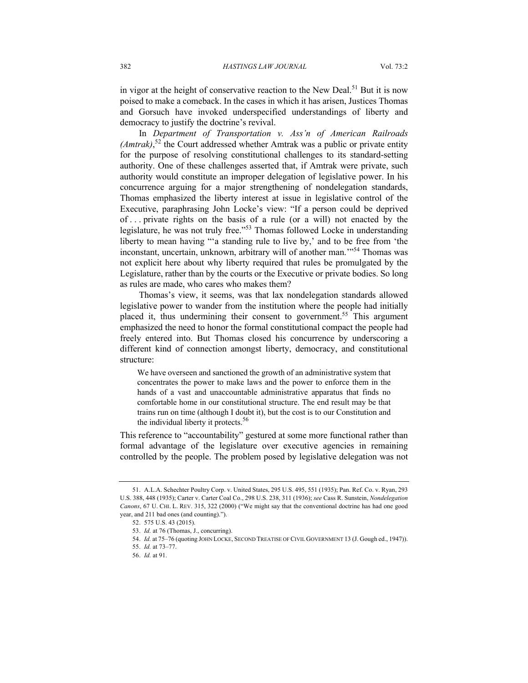in vigor at the height of conservative reaction to the New Deal.<sup>51</sup> But it is now poised to make a comeback. In the cases in which it has arisen, Justices Thomas and Gorsuch have invoked underspecified understandings of liberty and democracy to justify the doctrine's revival.

In *Department of Transportation v. Ass'n of American Railroads (Amtrak)*, <sup>52</sup> the Court addressed whether Amtrak was a public or private entity for the purpose of resolving constitutional challenges to its standard-setting authority. One of these challenges asserted that, if Amtrak were private, such authority would constitute an improper delegation of legislative power. In his concurrence arguing for a major strengthening of nondelegation standards, Thomas emphasized the liberty interest at issue in legislative control of the Executive, paraphrasing John Locke's view: "If a person could be deprived of . . . private rights on the basis of a rule (or a will) not enacted by the legislature, he was not truly free."<sup>53</sup> Thomas followed Locke in understanding liberty to mean having "'a standing rule to live by,' and to be free from 'the inconstant, uncertain, unknown, arbitrary will of another man.'"<sup>54</sup> Thomas was not explicit here about why liberty required that rules be promulgated by the Legislature, rather than by the courts or the Executive or private bodies. So long as rules are made, who cares who makes them?

Thomas's view, it seems, was that lax nondelegation standards allowed legislative power to wander from the institution where the people had initially placed it, thus undermining their consent to government.<sup>55</sup> This argument emphasized the need to honor the formal constitutional compact the people had freely entered into. But Thomas closed his concurrence by underscoring a different kind of connection amongst liberty, democracy, and constitutional structure:

We have overseen and sanctioned the growth of an administrative system that concentrates the power to make laws and the power to enforce them in the hands of a vast and unaccountable administrative apparatus that finds no comfortable home in our constitutional structure. The end result may be that trains run on time (although I doubt it), but the cost is to our Constitution and the individual liberty it protects.<sup>56</sup>

This reference to "accountability" gestured at some more functional rather than formal advantage of the legislature over executive agencies in remaining controlled by the people. The problem posed by legislative delegation was not

<sup>51.</sup> A.L.A. Schechter Poultry Corp. v. United States, 295 U.S. 495, 551 (1935); Pan. Ref. Co. v. Ryan, 293 U.S. 388, 448 (1935); Carter v. Carter Coal Co., 298 U.S. 238, 311 (1936); *see* Cass R. Sunstein, *Nondelegation Canons*, 67 U. CHI. L. REV. 315, 322 (2000) ("We might say that the conventional doctrine has had one good year, and 211 bad ones (and counting).").

<sup>52.</sup> 575 U.S. 43 (2015).

<sup>53.</sup> *Id.* at 76 (Thomas, J., concurring).

<sup>54.</sup> *Id.* at 75-76 (quoting JOHN LOCKE, SECOND TREATISE OF CIVIL GOVERNMENT 13 (J. Gough ed., 1947)).

<sup>55.</sup> *Id.* at 73–77.

<sup>56.</sup> *Id.* at 91.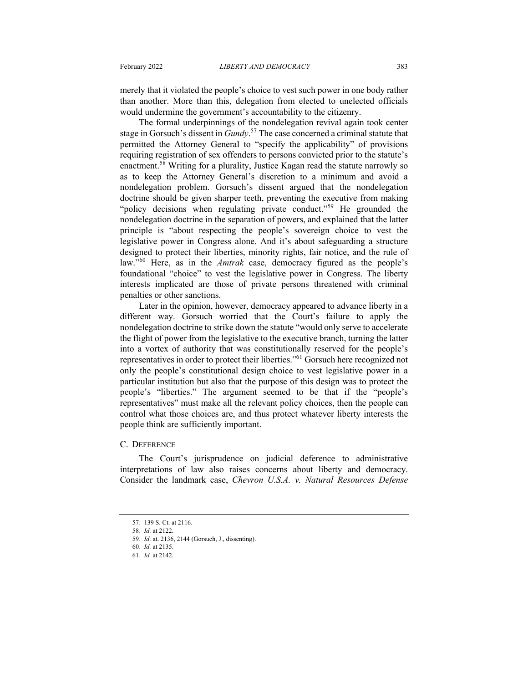merely that it violated the people's choice to vest such power in one body rather than another. More than this, delegation from elected to unelected officials would undermine the government's accountability to the citizenry.

The formal underpinnings of the nondelegation revival again took center stage in Gorsuch's dissent in *Gundy*. <sup>57</sup> The case concerned a criminal statute that permitted the Attorney General to "specify the applicability" of provisions requiring registration of sex offenders to persons convicted prior to the statute's enactment.<sup>58</sup> Writing for a plurality, Justice Kagan read the statute narrowly so as to keep the Attorney General's discretion to a minimum and avoid a nondelegation problem. Gorsuch's dissent argued that the nondelegation doctrine should be given sharper teeth, preventing the executive from making "policy decisions when regulating private conduct."<sup>59</sup> He grounded the nondelegation doctrine in the separation of powers, and explained that the latter principle is "about respecting the people's sovereign choice to vest the legislative power in Congress alone. And it's about safeguarding a structure designed to protect their liberties, minority rights, fair notice, and the rule of law."<sup>60</sup> Here, as in the *Amtrak* case, democracy figured as the people's foundational "choice" to vest the legislative power in Congress. The liberty interests implicated are those of private persons threatened with criminal penalties or other sanctions.

Later in the opinion, however, democracy appeared to advance liberty in a different way. Gorsuch worried that the Court's failure to apply the nondelegation doctrine to strike down the statute "would only serve to accelerate the flight of power from the legislative to the executive branch, turning the latter into a vortex of authority that was constitutionally reserved for the people's representatives in order to protect their liberties."61 Gorsuch here recognized not only the people's constitutional design choice to vest legislative power in a particular institution but also that the purpose of this design was to protect the people's "liberties." The argument seemed to be that if the "people's representatives" must make all the relevant policy choices, then the people can control what those choices are, and thus protect whatever liberty interests the people think are sufficiently important.

#### C. DEFERENCE

The Court's jurisprudence on judicial deference to administrative interpretations of law also raises concerns about liberty and democracy. Consider the landmark case, *Chevron U.S.A. v. Natural Resources Defense* 

<sup>57.</sup> 139 S. Ct. at 2116.

<sup>58.</sup> *Id.* at 2122.

<sup>59.</sup> *Id.* at. 2136, 2144 (Gorsuch, J., dissenting).

<sup>60.</sup> *Id.* at 2135.

<sup>61.</sup> *Id.* at 2142.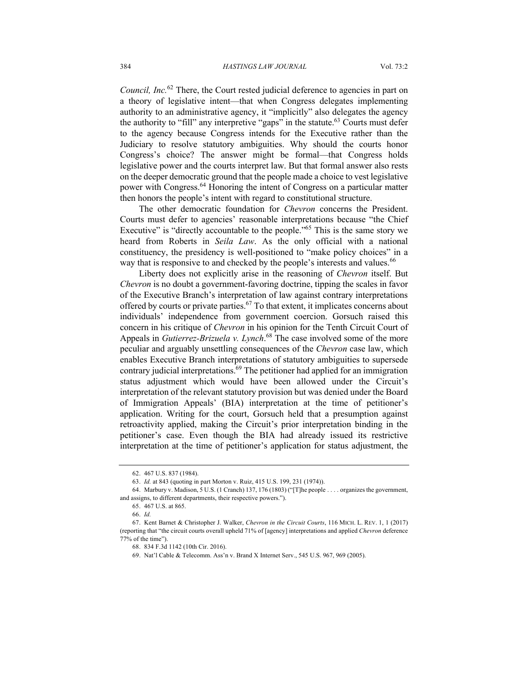*Council, Inc.*<sup>62</sup> There, the Court rested judicial deference to agencies in part on a theory of legislative intent—that when Congress delegates implementing authority to an administrative agency, it "implicitly" also delegates the agency the authority to "fill" any interpretive "gaps" in the statute.<sup>63</sup> Courts must defer to the agency because Congress intends for the Executive rather than the Judiciary to resolve statutory ambiguities. Why should the courts honor Congress's choice? The answer might be formal—that Congress holds legislative power and the courts interpret law. But that formal answer also rests on the deeper democratic ground that the people made a choice to vest legislative power with Congress.64 Honoring the intent of Congress on a particular matter then honors the people's intent with regard to constitutional structure.

The other democratic foundation for *Chevron* concerns the President. Courts must defer to agencies' reasonable interpretations because "the Chief Executive" is "directly accountable to the people."<sup>65</sup> This is the same story we heard from Roberts in *Seila Law*. As the only official with a national constituency, the presidency is well-positioned to "make policy choices" in a way that is responsive to and checked by the people's interests and values.<sup>66</sup>

Liberty does not explicitly arise in the reasoning of *Chevron* itself. But *Chevron* is no doubt a government-favoring doctrine, tipping the scales in favor of the Executive Branch's interpretation of law against contrary interpretations offered by courts or private parties.<sup>67</sup> To that extent, it implicates concerns about individuals' independence from government coercion. Gorsuch raised this concern in his critique of *Chevron* in his opinion for the Tenth Circuit Court of Appeals in *Gutierrez-Brizuela v. Lynch*. <sup>68</sup> The case involved some of the more peculiar and arguably unsettling consequences of the *Chevron* case law, which enables Executive Branch interpretations of statutory ambiguities to supersede contrary judicial interpretations.<sup>69</sup> The petitioner had applied for an immigration status adjustment which would have been allowed under the Circuit's interpretation of the relevant statutory provision but was denied under the Board of Immigration Appeals' (BIA) interpretation at the time of petitioner's application. Writing for the court, Gorsuch held that a presumption against retroactivity applied, making the Circuit's prior interpretation binding in the petitioner's case. Even though the BIA had already issued its restrictive interpretation at the time of petitioner's application for status adjustment, the

<sup>62.</sup> 467 U.S. 837 (1984).

<sup>63.</sup> *Id.* at 843 (quoting in part Morton v. Ruiz, 415 U.S. 199, 231 (1974)).

<sup>64.</sup> Marbury v. Madison, 5 U.S. (1 Cranch) 137, 176 (1803) ("[T]he people . . . . organizes the government, and assigns, to different departments, their respective powers.").

<sup>65.</sup> 467 U.S. at 865.

<sup>66.</sup> *Id.*

<sup>67.</sup> Kent Barnet & Christopher J. Walker, *Chevron in the Circuit Courts*, 116 MICH. L. REV. 1, 1 (2017) (reporting that "the circuit courts overall upheld 71% of [agency] interpretations and applied *Chevron* deference 77% of the time").

<sup>68.</sup> 834 F.3d 1142 (10th Cir. 2016).

<sup>69.</sup> Nat'l Cable & Telecomm. Ass'n v. Brand X Internet Serv., 545 U.S. 967, 969 (2005).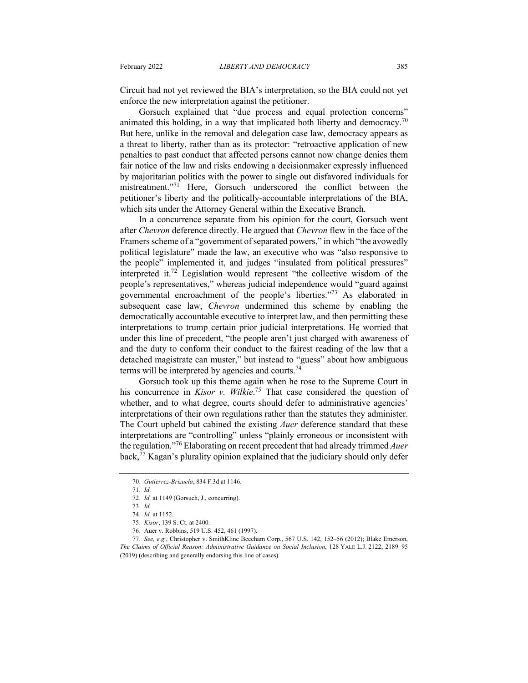Circuit had not yet reviewed the BIA's interpretation, so the BIA could not yet enforce the new interpretation against the petitioner.

Gorsuch explained that "due process and equal protection concerns" animated this holding, in a way that implicated both liberty and democracy.<sup>70</sup> But here, unlike in the removal and delegation case law, democracy appears as a threat to liberty, rather than as its protector: "retroactive application of new penalties to past conduct that affected persons cannot now change denies them fair notice of the law and risks endowing a decisionmaker expressly influenced by majoritarian politics with the power to single out disfavored individuals for mistreatment."<sup>71</sup> Here, Gorsuch underscored the conflict between the petitioner's liberty and the politically-accountable interpretations of the BIA, which sits under the Attorney General within the Executive Branch.

In a concurrence separate from his opinion for the court, Gorsuch went after *Chevron* deference directly. He argued that *Chevron* flew in the face of the Framers scheme of a "government of separated powers," in which "the avowedly political legislature" made the law, an executive who was "also responsive to the people" implemented it, and judges "insulated from political pressures" interpreted it.<sup>72</sup> Legislation would represent "the collective wisdom of the people's representatives," whereas judicial independence would "guard against governmental encroachment of the people's liberties."73 As elaborated in subsequent case law, *Chevron* undermined this scheme by enabling the democratically accountable executive to interpret law, and then permitting these interpretations to trump certain prior judicial interpretations. He worried that under this line of precedent, "the people aren't just charged with awareness of and the duty to conform their conduct to the fairest reading of the law that a detached magistrate can muster," but instead to "guess" about how ambiguous terms will be interpreted by agencies and courts.<sup>74</sup>

Gorsuch took up this theme again when he rose to the Supreme Court in his concurrence in *Kisor v. Wilkie*. <sup>75</sup> That case considered the question of whether, and to what degree, courts should defer to administrative agencies' interpretations of their own regulations rather than the statutes they administer. The Court upheld but cabined the existing *Auer* deference standard that these interpretations are "controlling" unless "plainly erroneous or inconsistent with the regulation."<sup>76</sup> Elaborating on recent precedent that had already trimmed *Auer* back,<sup>77</sup> Kagan's plurality opinion explained that the judiciary should only defer

<sup>70.</sup> *Gutierrez-Brizuela*, 834 F.3d at 1146.

<sup>71.</sup> *Id.*

<sup>72.</sup> *Id.* at 1149 (Gorsuch, J., concurring).

<sup>73.</sup> *Id.* 74. *Id.* at 1152.

<sup>75.</sup> *Kisor*, 139 S. Ct. at 2400.

<sup>76.</sup> Auer v. Robbins, 519 U.S. 452, 461 (1997).

<sup>77.</sup> *See, e.g.*, Christopher v. SmithKline Beecham Corp., 567 U.S. 142, 152–56 (2012); Blake Emerson, *The Claims of Official Reason: Administrative Guidance on Social Inclusion*, 128 YALE L.J. 2122, 2189–95 (2019) (describing and generally endorsing this line of cases).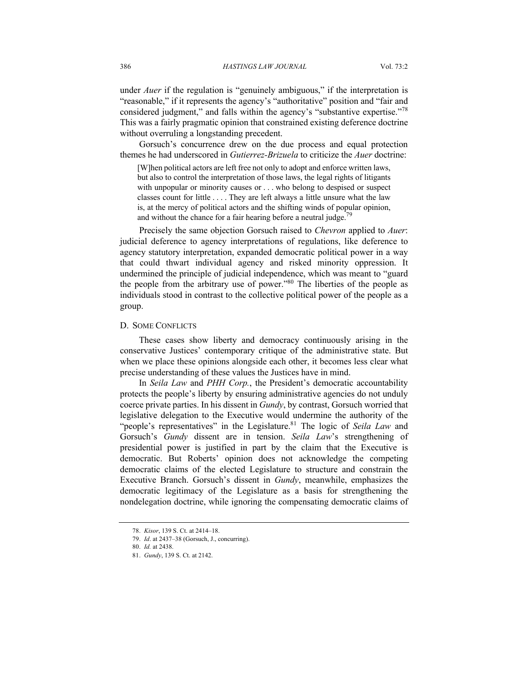under *Auer* if the regulation is "genuinely ambiguous," if the interpretation is "reasonable," if it represents the agency's "authoritative" position and "fair and considered judgment," and falls within the agency's "substantive expertise."<sup>78</sup> This was a fairly pragmatic opinion that constrained existing deference doctrine without overruling a longstanding precedent.

Gorsuch's concurrence drew on the due process and equal protection themes he had underscored in *Gutierrez-Brizuela* to criticize the *Auer* doctrine:

[W]hen political actors are left free not only to adopt and enforce written laws, but also to control the interpretation of those laws, the legal rights of litigants with unpopular or minority causes or . . . who belong to despised or suspect classes count for little . . . . They are left always a little unsure what the law is, at the mercy of political actors and the shifting winds of popular opinion, and without the chance for a fair hearing before a neutral judge.<sup>79</sup>

Precisely the same objection Gorsuch raised to *Chevron* applied to *Auer*: judicial deference to agency interpretations of regulations, like deference to agency statutory interpretation, expanded democratic political power in a way that could thwart individual agency and risked minority oppression. It undermined the principle of judicial independence, which was meant to "guard the people from the arbitrary use of power."80 The liberties of the people as individuals stood in contrast to the collective political power of the people as a group.

#### D. SOME CONFLICTS

These cases show liberty and democracy continuously arising in the conservative Justices' contemporary critique of the administrative state. But when we place these opinions alongside each other, it becomes less clear what precise understanding of these values the Justices have in mind.

In *Seila Law* and *PHH Corp.*, the President's democratic accountability protects the people's liberty by ensuring administrative agencies do not unduly coerce private parties. In his dissent in *Gundy*, by contrast, Gorsuch worried that legislative delegation to the Executive would undermine the authority of the "people's representatives" in the Legislature.<sup>81</sup> The logic of *Seila Law* and Gorsuch's *Gundy* dissent are in tension. *Seila Law*'s strengthening of presidential power is justified in part by the claim that the Executive is democratic. But Roberts' opinion does not acknowledge the competing democratic claims of the elected Legislature to structure and constrain the Executive Branch. Gorsuch's dissent in *Gundy*, meanwhile, emphasizes the democratic legitimacy of the Legislature as a basis for strengthening the nondelegation doctrine, while ignoring the compensating democratic claims of

<sup>78.</sup> *Kisor*, 139 S. Ct. at 2414–18.

<sup>79.</sup> *Id*. at 2437–38 (Gorsuch, J., concurring).

<sup>80.</sup> *Id.* at 2438.

<sup>81.</sup> *Gundy*, 139 S. Ct. at 2142.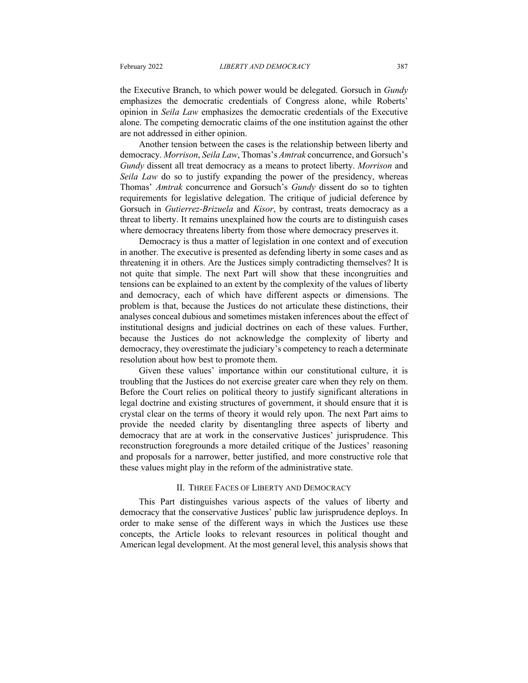the Executive Branch, to which power would be delegated. Gorsuch in *Gundy* emphasizes the democratic credentials of Congress alone, while Roberts' opinion in *Seila Law* emphasizes the democratic credentials of the Executive alone. The competing democratic claims of the one institution against the other are not addressed in either opinion.

Another tension between the cases is the relationship between liberty and democracy. *Morrison*, *Seila Law*, Thomas's *Amtrak* concurrence, and Gorsuch's *Gundy* dissent all treat democracy as a means to protect liberty. *Morrison* and *Seila Law* do so to justify expanding the power of the presidency, whereas Thomas' *Amtrak* concurrence and Gorsuch's *Gundy* dissent do so to tighten requirements for legislative delegation. The critique of judicial deference by Gorsuch in *Gutierrez-Brizuela* and *Kisor*, by contrast, treats democracy as a threat to liberty. It remains unexplained how the courts are to distinguish cases where democracy threatens liberty from those where democracy preserves it.

Democracy is thus a matter of legislation in one context and of execution in another. The executive is presented as defending liberty in some cases and as threatening it in others. Are the Justices simply contradicting themselves? It is not quite that simple. The next Part will show that these incongruities and tensions can be explained to an extent by the complexity of the values of liberty and democracy, each of which have different aspects or dimensions. The problem is that, because the Justices do not articulate these distinctions, their analyses conceal dubious and sometimes mistaken inferences about the effect of institutional designs and judicial doctrines on each of these values. Further, because the Justices do not acknowledge the complexity of liberty and democracy, they overestimate the judiciary's competency to reach a determinate resolution about how best to promote them.

Given these values' importance within our constitutional culture, it is troubling that the Justices do not exercise greater care when they rely on them. Before the Court relies on political theory to justify significant alterations in legal doctrine and existing structures of government, it should ensure that it is crystal clear on the terms of theory it would rely upon. The next Part aims to provide the needed clarity by disentangling three aspects of liberty and democracy that are at work in the conservative Justices' jurisprudence. This reconstruction foregrounds a more detailed critique of the Justices' reasoning and proposals for a narrower, better justified, and more constructive role that these values might play in the reform of the administrative state.

#### II. THREE FACES OF LIBERTY AND DEMOCRACY

This Part distinguishes various aspects of the values of liberty and democracy that the conservative Justices' public law jurisprudence deploys. In order to make sense of the different ways in which the Justices use these concepts, the Article looks to relevant resources in political thought and American legal development. At the most general level, this analysis shows that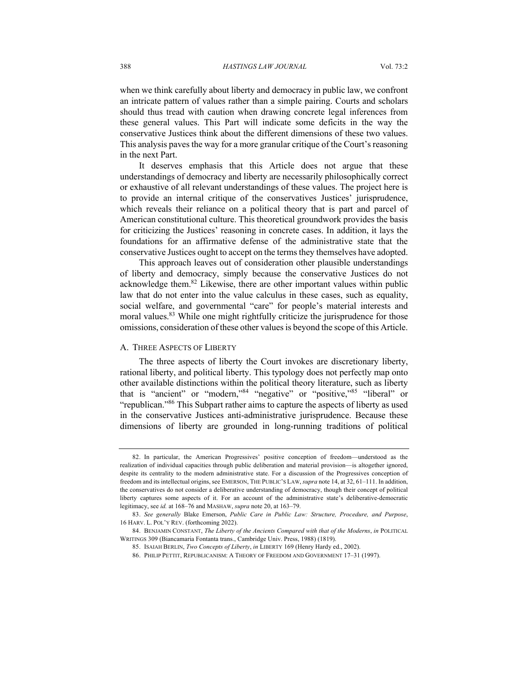when we think carefully about liberty and democracy in public law, we confront an intricate pattern of values rather than a simple pairing. Courts and scholars should thus tread with caution when drawing concrete legal inferences from these general values. This Part will indicate some deficits in the way the conservative Justices think about the different dimensions of these two values. This analysis paves the way for a more granular critique of the Court's reasoning in the next Part.

It deserves emphasis that this Article does not argue that these understandings of democracy and liberty are necessarily philosophically correct or exhaustive of all relevant understandings of these values. The project here is to provide an internal critique of the conservatives Justices' jurisprudence, which reveals their reliance on a political theory that is part and parcel of American constitutional culture. This theoretical groundwork provides the basis for criticizing the Justices' reasoning in concrete cases. In addition, it lays the foundations for an affirmative defense of the administrative state that the conservative Justices ought to accept on the terms they themselves have adopted.

This approach leaves out of consideration other plausible understandings of liberty and democracy, simply because the conservative Justices do not acknowledge them.<sup>82</sup> Likewise, there are other important values within public law that do not enter into the value calculus in these cases, such as equality, social welfare, and governmental "care" for people's material interests and moral values.<sup>83</sup> While one might rightfully criticize the jurisprudence for those omissions, consideration of these other values is beyond the scope of this Article.

#### A. THREE ASPECTS OF LIBERTY

The three aspects of liberty the Court invokes are discretionary liberty, rational liberty, and political liberty. This typology does not perfectly map onto other available distinctions within the political theory literature, such as liberty that is "ancient" or "modern,"84 "negative" or "positive,"85 "liberal" or "republican."86 This Subpart rather aims to capture the aspects of liberty as used in the conservative Justices anti-administrative jurisprudence. Because these dimensions of liberty are grounded in long-running traditions of political

<sup>82.</sup> In particular, the American Progressives' positive conception of freedom—understood as the realization of individual capacities through public deliberation and material provision—is altogether ignored, despite its centrality to the modern administrative state. For a discussion of the Progressives conception of freedom and its intellectual origins, see EMERSON, THE PUBLIC'S LAW, *supra* note 14, at 32, 61–111. In addition, the conservatives do not consider a deliberative understanding of democracy, though their concept of political liberty captures some aspects of it. For an account of the administrative state's deliberative-democratic legitimacy, see *id.* at 168–76 and MASHAW, *supra* note 20, at 163–79.

<sup>83.</sup> *See generally* Blake Emerson, *Public Care in Public Law: Structure, Procedure, and Purpose*, 16 HARV. L. POL'Y REV. (forthcoming 2022).

<sup>84.</sup> BENJAMIN CONSTANT, *The Liberty of the Ancients Compared with that of the Moderns*, *in* POLITICAL WRITINGS 309 (Biancamaria Fontanta trans., Cambridge Univ. Press, 1988) (1819).

<sup>85.</sup> ISAIAH BERLIN, *Two Concepts of Liberty*, *in* LIBERTY 169 (Henry Hardy ed., 2002).

<sup>86.</sup> PHILIP PETTIT, REPUBLICANISM: A THEORY OF FREEDOM AND GOVERNMENT 17–31 (1997).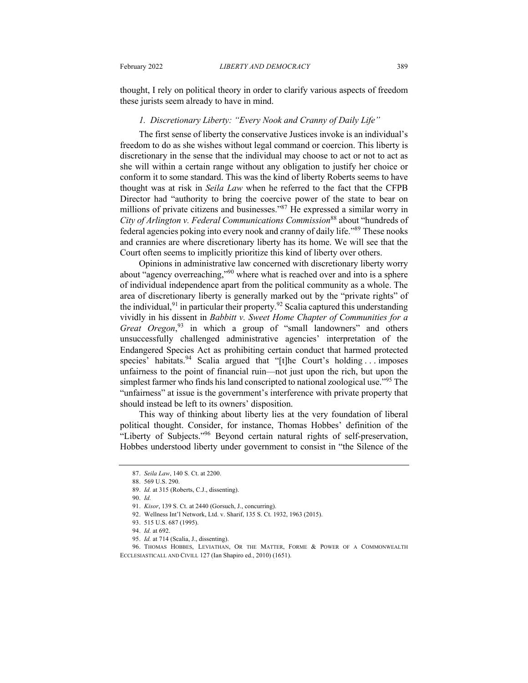thought, I rely on political theory in order to clarify various aspects of freedom these jurists seem already to have in mind.

## *1. Discretionary Liberty: "Every Nook and Cranny of Daily Life"*

The first sense of liberty the conservative Justices invoke is an individual's freedom to do as she wishes without legal command or coercion. This liberty is discretionary in the sense that the individual may choose to act or not to act as she will within a certain range without any obligation to justify her choice or conform it to some standard. This was the kind of liberty Roberts seems to have thought was at risk in *Seila Law* when he referred to the fact that the CFPB Director had "authority to bring the coercive power of the state to bear on millions of private citizens and businesses."87 He expressed a similar worry in *City of Arlington v. Federal Communications Commission*<sup>88</sup> about "hundreds of federal agencies poking into every nook and cranny of daily life."89 These nooks and crannies are where discretionary liberty has its home. We will see that the Court often seems to implicitly prioritize this kind of liberty over others.

Opinions in administrative law concerned with discretionary liberty worry about "agency overreaching,"90 where what is reached over and into is a sphere of individual independence apart from the political community as a whole. The area of discretionary liberty is generally marked out by the "private rights" of the individual,  $91$  in particular their property.  $92$  Scalia captured this understanding vividly in his dissent in *Babbitt v. Sweet Home Chapter of Communities for a Great Oregon*, <sup>93</sup> in which a group of "small landowners" and others unsuccessfully challenged administrative agencies' interpretation of the Endangered Species Act as prohibiting certain conduct that harmed protected species' habitats.<sup>94</sup> Scalia argued that "[t]he Court's holding ... imposes unfairness to the point of financial ruin—not just upon the rich, but upon the simplest farmer who finds his land conscripted to national zoological use.<sup>"95</sup> The "unfairness" at issue is the government's interference with private property that should instead be left to its owners' disposition.

This way of thinking about liberty lies at the very foundation of liberal political thought. Consider, for instance, Thomas Hobbes' definition of the "Liberty of Subjects."96 Beyond certain natural rights of self-preservation, Hobbes understood liberty under government to consist in "the Silence of the

<sup>87.</sup> *Seila Law*, 140 S. Ct. at 2200.

<sup>88</sup>. 569 U.S. 290.

<sup>89.</sup> *Id.* at 315 (Roberts, C.J., dissenting).

<sup>90.</sup> *Id.*

<sup>91.</sup> *Kisor*, 139 S. Ct. at 2440 (Gorsuch, J., concurring).

<sup>92.</sup> Wellness Int'l Network, Ltd. v. Sharif, 135 S. Ct. 1932, 1963 (2015).

<sup>93.</sup> 515 U.S. 687 (1995).

<sup>94.</sup> *Id.* at 692.

<sup>95.</sup> *Id.* at 714 (Scalia, J., dissenting).

<sup>96.</sup> THOMAS HOBBES, LEVIATHAN, OR THE MATTER, FORME & POWER OF A COMMONWEALTH ECCLESIASTICALL AND CIVILL 127 (Ian Shapiro ed., 2010) (1651).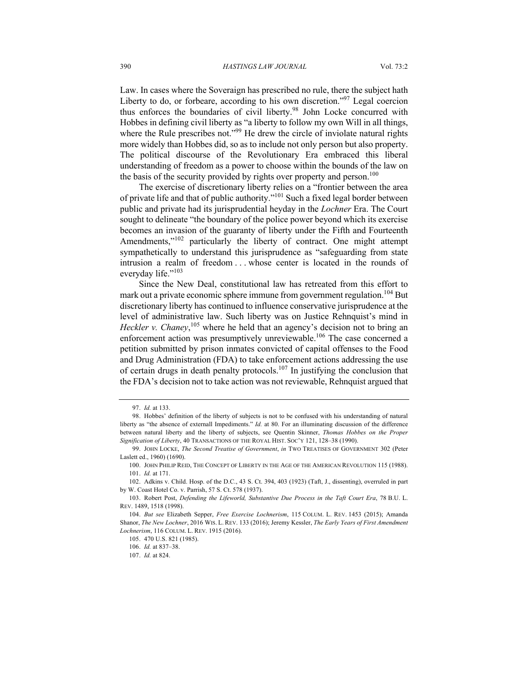Law. In cases where the Soveraign has prescribed no rule, there the subject hath Liberty to do, or forbeare, according to his own discretion."97 Legal coercion thus enforces the boundaries of civil liberty.<sup>98</sup> John Locke concurred with Hobbes in defining civil liberty as "a liberty to follow my own Will in all things, where the Rule prescribes not."<sup>99</sup> He drew the circle of inviolate natural rights more widely than Hobbes did, so as to include not only person but also property. The political discourse of the Revolutionary Era embraced this liberal understanding of freedom as a power to choose within the bounds of the law on the basis of the security provided by rights over property and person.<sup>100</sup>

The exercise of discretionary liberty relies on a "frontier between the area of private life and that of public authority."<sup>101</sup> Such a fixed legal border between public and private had its jurisprudential heyday in the *Lochner* Era. The Court sought to delineate "the boundary of the police power beyond which its exercise becomes an invasion of the guaranty of liberty under the Fifth and Fourteenth Amendments,"<sup>102</sup> particularly the liberty of contract. One might attempt sympathetically to understand this jurisprudence as "safeguarding from state intrusion a realm of freedom . . . whose center is located in the rounds of everyday life."<sup>103</sup>

Since the New Deal, constitutional law has retreated from this effort to mark out a private economic sphere immune from government regulation.<sup>104</sup> But discretionary liberty has continued to influence conservative jurisprudence at the level of administrative law. Such liberty was on Justice Rehnquist's mind in Heckler v. Chaney,<sup>105</sup> where he held that an agency's decision not to bring an enforcement action was presumptively unreviewable.<sup>106</sup> The case concerned a petition submitted by prison inmates convicted of capital offenses to the Food and Drug Administration (FDA) to take enforcement actions addressing the use of certain drugs in death penalty protocols.<sup>107</sup> In justifying the conclusion that the FDA's decision not to take action was not reviewable, Rehnquist argued that

<sup>97.</sup> *Id.* at 133.

<sup>98.</sup> Hobbes' definition of the liberty of subjects is not to be confused with his understanding of natural liberty as "the absence of externall Impediments." *Id.* at 80. For an illuminating discussion of the difference between natural liberty and the liberty of subjects, see Quentin Skinner, *Thomas Hobbes on the Proper Signification of Liberty*, 40 TRANSACTIONS OF THE ROYAL HIST. SOC'Y 121, 128–38 (1990).

<sup>99.</sup> JOHN LOCKE, *The Second Treatise of Government*, *in* TWO TREATISES OF GOVERNMENT 302 (Peter Laslett ed., 1960) (1690).

<sup>100.</sup> JOHN PHILIP REID, THE CONCEPT OF LIBERTY IN THE AGE OF THE AMERICAN REVOLUTION 115 (1988). 101. *Id.* at 171.

<sup>102.</sup> Adkins v. Child. Hosp. of the D.C., 43 S. Ct. 394, 403 (1923) (Taft, J., dissenting), overruled in part by W. Coast Hotel Co. v. Parrish, 57 S. Ct. 578 (1937).

<sup>103.</sup> Robert Post, *Defending the Lifeworld, Substantive Due Process in the Taft Court Era*, 78 B.U. L. REV. 1489, 1518 (1998).

<sup>104.</sup> *But see* Elizabeth Sepper, *Free Exercise Lochnerism*, 115 COLUM. L. REV. 1453 (2015); Amanda Shanor, *The New Lochner*, 2016 WIS. L. REV. 133 (2016); Jeremy Kessler, *The Early Years of First Amendment Lochnerism*, 116 COLUM. L. REV. 1915 (2016).

<sup>105.</sup> 470 U.S. 821 (1985).

<sup>106.</sup> *Id.* at 837–38.

<sup>107.</sup> *Id.* at 824.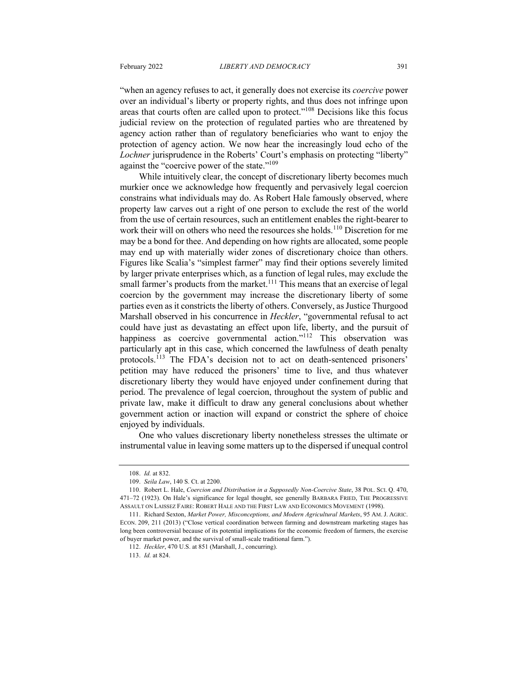"when an agency refuses to act, it generally does not exercise its *coercive* power over an individual's liberty or property rights, and thus does not infringe upon areas that courts often are called upon to protect."<sup>108</sup> Decisions like this focus judicial review on the protection of regulated parties who are threatened by agency action rather than of regulatory beneficiaries who want to enjoy the protection of agency action. We now hear the increasingly loud echo of the *Lochner* jurisprudence in the Roberts' Court's emphasis on protecting "liberty" against the "coercive power of the state."<sup>109</sup>

While intuitively clear, the concept of discretionary liberty becomes much murkier once we acknowledge how frequently and pervasively legal coercion constrains what individuals may do. As Robert Hale famously observed, where property law carves out a right of one person to exclude the rest of the world from the use of certain resources, such an entitlement enables the right-bearer to work their will on others who need the resources she holds.<sup>110</sup> Discretion for me may be a bond for thee. And depending on how rights are allocated, some people may end up with materially wider zones of discretionary choice than others. Figures like Scalia's "simplest farmer" may find their options severely limited by larger private enterprises which, as a function of legal rules, may exclude the small farmer's products from the market.<sup>111</sup> This means that an exercise of legal coercion by the government may increase the discretionary liberty of some parties even as it constricts the liberty of others. Conversely, as Justice Thurgood Marshall observed in his concurrence in *Heckler*, "governmental refusal to act could have just as devastating an effect upon life, liberty, and the pursuit of happiness as coercive governmental action."<sup>112</sup> This observation was particularly apt in this case, which concerned the lawfulness of death penalty protocols.<sup>113</sup> The FDA's decision not to act on death-sentenced prisoners' petition may have reduced the prisoners' time to live, and thus whatever discretionary liberty they would have enjoyed under confinement during that period. The prevalence of legal coercion, throughout the system of public and private law, make it difficult to draw any general conclusions about whether government action or inaction will expand or constrict the sphere of choice enjoyed by individuals.

One who values discretionary liberty nonetheless stresses the ultimate or instrumental value in leaving some matters up to the dispersed if unequal control

<sup>108.</sup> *Id.* at 832.

<sup>109.</sup> *Seila Law*, 140 S. Ct. at 2200.

<sup>110.</sup> Robert L. Hale, *Coercion and Distribution in a Supposedly Non-Coercive State*, 38 POL. SCI. Q. 470, 471–72 (1923). On Hale's significance for legal thought, see generally BARBARA FRIED, THE PROGRESSIVE ASSAULT ON LAISSEZ FAIRE: ROBERT HALE AND THE FIRST LAW AND ECONOMICS MOVEMENT (1998).

<sup>111.</sup> Richard Sexton, *Market Power, Misconceptions, and Modern Agricultural Markets*, 95 AM. J. AGRIC. ECON. 209, 211 (2013) ("Close vertical coordination between farming and downstream marketing stages has long been controversial because of its potential implications for the economic freedom of farmers, the exercise of buyer market power, and the survival of small-scale traditional farm.").

<sup>112.</sup> *Heckler*, 470 U.S. at 851 (Marshall, J., concurring).

<sup>113.</sup> *Id.* at 824.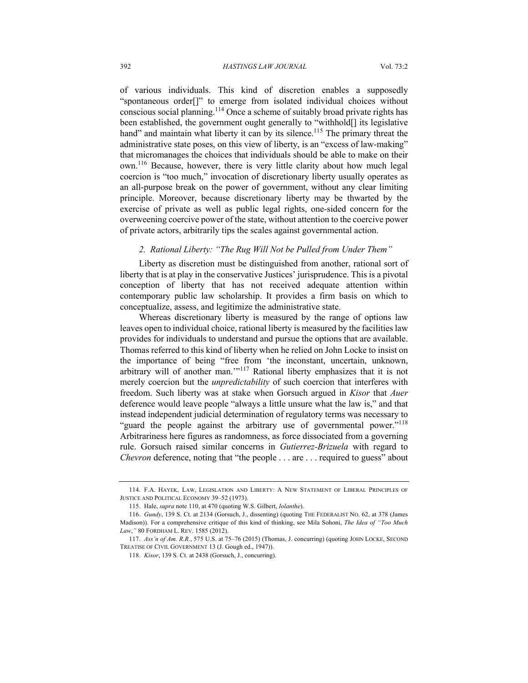of various individuals. This kind of discretion enables a supposedly "spontaneous order[]" to emerge from isolated individual choices without conscious social planning.<sup>114</sup> Once a scheme of suitably broad private rights has been established, the government ought generally to "withhold[] its legislative hand" and maintain what liberty it can by its silence.<sup>115</sup> The primary threat the administrative state poses, on this view of liberty, is an "excess of law-making" that micromanages the choices that individuals should be able to make on their own.<sup>116</sup> Because, however, there is very little clarity about how much legal coercion is "too much," invocation of discretionary liberty usually operates as an all-purpose break on the power of government, without any clear limiting principle. Moreover, because discretionary liberty may be thwarted by the exercise of private as well as public legal rights, one-sided concern for the overweening coercive power of the state, without attention to the coercive power of private actors, arbitrarily tips the scales against governmental action.

#### *2. Rational Liberty: "The Rug Will Not be Pulled from Under Them"*

Liberty as discretion must be distinguished from another, rational sort of liberty that is at play in the conservative Justices' jurisprudence. This is a pivotal conception of liberty that has not received adequate attention within contemporary public law scholarship. It provides a firm basis on which to conceptualize, assess, and legitimize the administrative state.

Whereas discretionary liberty is measured by the range of options law leaves open to individual choice, rational liberty is measured by the facilities law provides for individuals to understand and pursue the options that are available. Thomas referred to this kind of liberty when he relied on John Locke to insist on the importance of being "free from 'the inconstant, uncertain, unknown, arbitrary will of another man.'"<sup>117</sup> Rational liberty emphasizes that it is not merely coercion but the *unpredictability* of such coercion that interferes with freedom. Such liberty was at stake when Gorsuch argued in *Kisor* that *Auer* deference would leave people "always a little unsure what the law is," and that instead independent judicial determination of regulatory terms was necessary to "guard the people against the arbitrary use of governmental power."<sup>118</sup> Arbitrariness here figures as randomness, as force dissociated from a governing rule. Gorsuch raised similar concerns in *Gutierrez-Brizuela* with regard to *Chevron* deference, noting that "the people . . . are . . . required to guess" about

<sup>114.</sup> F.A. HAYEK, LAW, LEGISLATION AND LIBERTY: A NEW STATEMENT OF LIBERAL PRINCIPLES OF JUSTICE AND POLITICAL ECONOMY 39–52 (1973).

<sup>115.</sup> Hale, *supra* note 110, at 470 (quoting W.S. Gilbert, *Iolanthe*).

<sup>116.</sup> *Gundy*, 139 S. Ct. at 2134 (Gorsuch, J., dissenting) (quoting THE FEDERALIST NO. 62, at 378 (James Madison)). For a comprehensive critique of this kind of thinking, see Mila Sohoni, *The Idea of "Too Much Law*,*"* 80 FORDHAM L. REV. 1585 (2012).

<sup>117.</sup> *Ass'n of Am. R.R.*, 575 U.S. at 75–76 (2015) (Thomas, J. concurring) (quoting JOHN LOCKE, SECOND TREATISE OF CIVIL GOVERNMENT 13 (J. Gough ed., 1947)).

<sup>118.</sup> *Kisor*, 139 S. Ct. at 2438 (Gorsuch, J., concurring).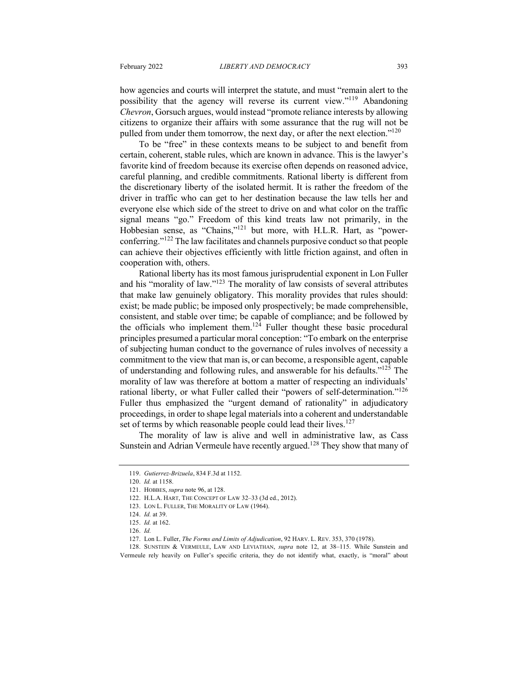how agencies and courts will interpret the statute, and must "remain alert to the possibility that the agency will reverse its current view."<sup>119</sup> Abandoning *Chevron*, Gorsuch argues, would instead "promote reliance interests by allowing citizens to organize their affairs with some assurance that the rug will not be pulled from under them tomorrow, the next day, or after the next election."<sup>120</sup>

To be "free" in these contexts means to be subject to and benefit from certain, coherent, stable rules, which are known in advance. This is the lawyer's favorite kind of freedom because its exercise often depends on reasoned advice, careful planning, and credible commitments. Rational liberty is different from the discretionary liberty of the isolated hermit. It is rather the freedom of the driver in traffic who can get to her destination because the law tells her and everyone else which side of the street to drive on and what color on the traffic signal means "go." Freedom of this kind treats law not primarily, in the Hobbesian sense, as "Chains,"<sup>121</sup> but more, with H.L.R. Hart, as "powerconferring."<sup>122</sup> The law facilitates and channels purposive conduct so that people can achieve their objectives efficiently with little friction against, and often in cooperation with, others.

Rational liberty has its most famous jurisprudential exponent in Lon Fuller and his "morality of law."123 The morality of law consists of several attributes that make law genuinely obligatory. This morality provides that rules should: exist; be made public; be imposed only prospectively; be made comprehensible, consistent, and stable over time; be capable of compliance; and be followed by the officials who implement them.<sup>124</sup> Fuller thought these basic procedural principles presumed a particular moral conception: "To embark on the enterprise of subjecting human conduct to the governance of rules involves of necessity a commitment to the view that man is, or can become, a responsible agent, capable of understanding and following rules, and answerable for his defaults."125 The morality of law was therefore at bottom a matter of respecting an individuals' rational liberty, or what Fuller called their "powers of self-determination."<sup>126</sup> Fuller thus emphasized the "urgent demand of rationality" in adjudicatory proceedings, in order to shape legal materials into a coherent and understandable set of terms by which reasonable people could lead their lives.<sup>127</sup>

The morality of law is alive and well in administrative law, as Cass Sunstein and Adrian Vermeule have recently argued.<sup>128</sup> They show that many of

<sup>119.</sup> *Gutierrez-Brizuela*, 834 F.3d at 1152.

<sup>120.</sup> *Id.* at 1158.

<sup>121.</sup> HOBBES, *supra* note 96, at 128.

<sup>122.</sup> H.L.A. HART, THE CONCEPT OF LAW 32–33 (3d ed., 2012).

<sup>123.</sup> LON L. FULLER, THE MORALITY OF LAW (1964).

<sup>124.</sup> *Id.* at 39.

<sup>125.</sup> *Id.* at 162.

<sup>126.</sup> *Id.*

<sup>127.</sup> Lon L. Fuller, *The Forms and Limits of Adjudication*, 92 HARV. L. REV. 353, 370 (1978).

<sup>128.</sup> SUNSTEIN & VERMEULE, LAW AND LEVIATHAN, *supra* note 12, at 38–115. While Sunstein and Vermeule rely heavily on Fuller's specific criteria, they do not identify what, exactly, is "moral" about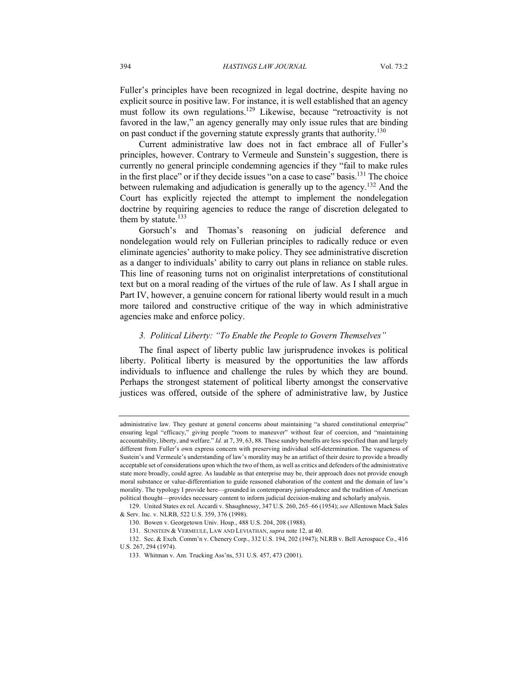Fuller's principles have been recognized in legal doctrine, despite having no explicit source in positive law. For instance, it is well established that an agency must follow its own regulations.<sup>129</sup> Likewise, because "retroactivity is not favored in the law," an agency generally may only issue rules that are binding on past conduct if the governing statute expressly grants that authority.<sup>130</sup>

Current administrative law does not in fact embrace all of Fuller's principles, however. Contrary to Vermeule and Sunstein's suggestion, there is currently no general principle condemning agencies if they "fail to make rules in the first place" or if they decide issues "on a case to case" basis.<sup>131</sup> The choice between rulemaking and adjudication is generally up to the agency.<sup>132</sup> And the Court has explicitly rejected the attempt to implement the nondelegation doctrine by requiring agencies to reduce the range of discretion delegated to them by statute. $133$ 

Gorsuch's and Thomas's reasoning on judicial deference and nondelegation would rely on Fullerian principles to radically reduce or even eliminate agencies' authority to make policy. They see administrative discretion as a danger to individuals' ability to carry out plans in reliance on stable rules. This line of reasoning turns not on originalist interpretations of constitutional text but on a moral reading of the virtues of the rule of law. As I shall argue in Part IV, however, a genuine concern for rational liberty would result in a much more tailored and constructive critique of the way in which administrative agencies make and enforce policy.

#### *3. Political Liberty: "To Enable the People to Govern Themselves"*

The final aspect of liberty public law jurisprudence invokes is political liberty. Political liberty is measured by the opportunities the law affords individuals to influence and challenge the rules by which they are bound. Perhaps the strongest statement of political liberty amongst the conservative justices was offered, outside of the sphere of administrative law, by Justice

administrative law. They gesture at general concerns about maintaining "a shared constitutional enterprise" ensuring legal "efficacy," giving people "room to maneuver" without fear of coercion, and "maintaining accountability, liberty, and welfare." *Id.* at 7, 39, 63, 88. These sundry benefits are less specified than and largely different from Fuller's own express concern with preserving individual self-determination. The vagueness of Sustein's and Vermeule's understanding of law's morality may be an artifact of their desire to provide a broadly acceptable set of considerations upon which the two of them, as well as critics and defenders of the administrative state more broadly, could agree. As laudable as that enterprise may be, their approach does not provide enough moral substance or value-differentiation to guide reasoned elaboration of the content and the domain of law's morality. The typology I provide here—grounded in contemporary jurisprudence and the tradition of American political thought—provides necessary content to inform judicial decision-making and scholarly analysis.

<sup>129.</sup> United States ex rel. Accardi v. Shaughnessy, 347 U.S. 260, 265–66 (1954); *see* Allentown Mack Sales & Serv. Inc. v. NLRB, 522 U.S. 359, 376 (1998).

<sup>130.</sup> Bowen v. Georgetown Univ. Hosp., 488 U.S. 204, 208 (1988).

<sup>131.</sup> SUNSTEIN & VERMEULE, LAW AND LEVIATHAN, *supra* note 12, at 40.

<sup>132.</sup> Sec. & Exch. Comm'n v. Chenery Corp., 332 U.S. 194, 202 (1947); NLRB v. Bell Aerospace Co., 416 U.S. 267, 294 (1974).

<sup>133.</sup> Whitman v. Am. Trucking Ass'ns, 531 U.S. 457, 473 (2001).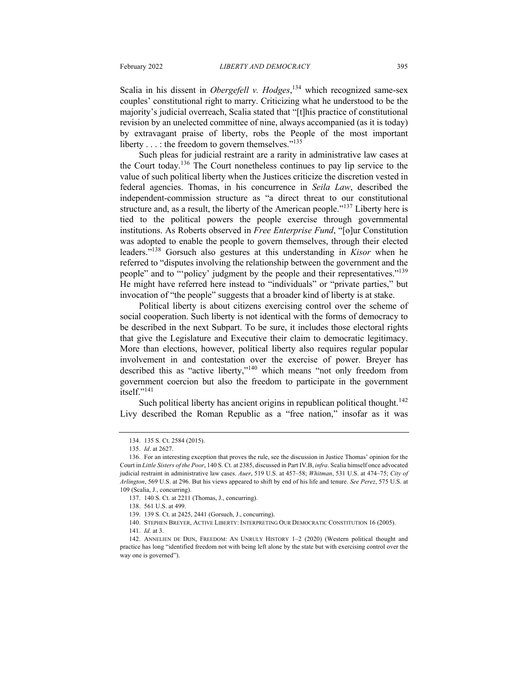Scalia in his dissent in *Obergefell v. Hodges*,<sup>134</sup> which recognized same-sex couples' constitutional right to marry. Criticizing what he understood to be the majority's judicial overreach, Scalia stated that "[t]his practice of constitutional revision by an unelected committee of nine, always accompanied (as it is today) by extravagant praise of liberty, robs the People of the most important liberty  $\dots$ : the freedom to govern themselves."<sup>135</sup>

Such pleas for judicial restraint are a rarity in administrative law cases at the Court today.<sup>136</sup> The Court nonetheless continues to pay lip service to the value of such political liberty when the Justices criticize the discretion vested in federal agencies. Thomas, in his concurrence in *Seila Law*, described the independent-commission structure as "a direct threat to our constitutional structure and, as a result, the liberty of the American people."<sup>137</sup> Liberty here is tied to the political powers the people exercise through governmental institutions. As Roberts observed in *Free Enterprise Fund*, "[o]ur Constitution was adopted to enable the people to govern themselves, through their elected leaders."138 Gorsuch also gestures at this understanding in *Kisor* when he referred to "disputes involving the relationship between the government and the people" and to "'policy' judgment by the people and their representatives."<sup>139</sup> He might have referred here instead to "individuals" or "private parties," but invocation of "the people" suggests that a broader kind of liberty is at stake.

Political liberty is about citizens exercising control over the scheme of social cooperation. Such liberty is not identical with the forms of democracy to be described in the next Subpart. To be sure, it includes those electoral rights that give the Legislature and Executive their claim to democratic legitimacy. More than elections, however, political liberty also requires regular popular involvement in and contestation over the exercise of power. Breyer has described this as "active liberty,"140 which means "not only freedom from government coercion but also the freedom to participate in the government itself."<sup>141</sup>

Such political liberty has ancient origins in republican political thought.<sup>142</sup> Livy described the Roman Republic as a "free nation," insofar as it was

<sup>134.</sup> 135 S. Ct. 2584 (2015).

<sup>135.</sup> *Id*. at 2627.

<sup>136.</sup> For an interesting exception that proves the rule, see the discussion in Justice Thomas' opinion for the Court in *Little Sisters of the Poor*, 140 S. Ct. at 2385, discussed in Part IV.B, *infra*. Scalia himself once advocated judicial restraint in administrative law cases. *Auer*, 519 U.S. at 457–58; *Whitman*, 531 U.S. at 474–75; *City of Arlington*, 569 U.S. at 296. But his views appeared to shift by end of his life and tenure. *See Perez*, 575 U.S. at 109 (Scalia, J., concurring).

<sup>137.</sup> 140 S. Ct. at 2211 (Thomas, J., concurring).

<sup>138.</sup> 561 U.S. at 499.

<sup>139.</sup> 139 S. Ct. at 2425, 2441 (Gorsuch, J., concurring).

<sup>140.</sup> STEPHEN BREYER, ACTIVE LIBERTY: INTERPRETING OUR DEMOCRATIC CONSTITUTION 16 (2005).

<sup>141.</sup> *Id.* at 3.

<sup>142.</sup> ANNELIEN DE DIJN, FREEDOM: AN UNRULY HISTORY 1-2 (2020) (Western political thought and practice has long "identified freedom not with being left alone by the state but with exercising control over the way one is governed").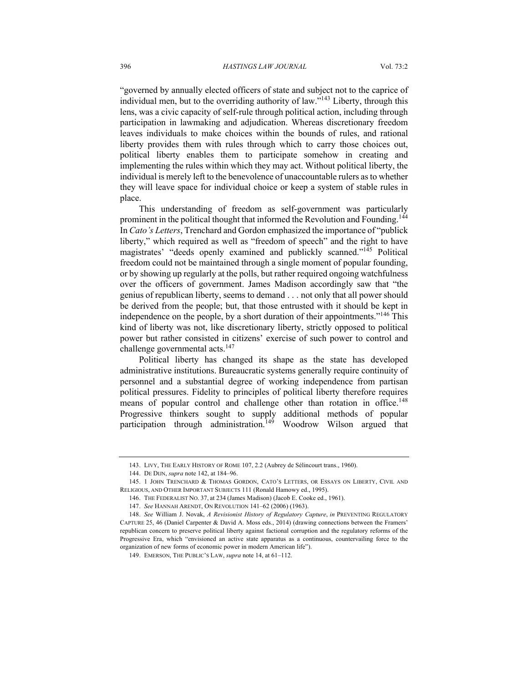"governed by annually elected officers of state and subject not to the caprice of individual men, but to the overriding authority of law."143 Liberty, through this lens, was a civic capacity of self-rule through political action, including through participation in lawmaking and adjudication. Whereas discretionary freedom leaves individuals to make choices within the bounds of rules, and rational liberty provides them with rules through which to carry those choices out, political liberty enables them to participate somehow in creating and implementing the rules within which they may act. Without political liberty, the individual is merely left to the benevolence of unaccountable rulers as to whether they will leave space for individual choice or keep a system of stable rules in place.

This understanding of freedom as self-government was particularly prominent in the political thought that informed the Revolution and Founding.<sup>144</sup> In *Cato's Letters*, Trenchard and Gordon emphasized the importance of "publick liberty," which required as well as "freedom of speech" and the right to have magistrates' "deeds openly examined and publickly scanned."145 Political freedom could not be maintained through a single moment of popular founding, or by showing up regularly at the polls, but rather required ongoing watchfulness over the officers of government. James Madison accordingly saw that "the genius of republican liberty, seems to demand . . . not only that all power should be derived from the people; but, that those entrusted with it should be kept in independence on the people, by a short duration of their appointments."<sup>146</sup> This kind of liberty was not, like discretionary liberty, strictly opposed to political power but rather consisted in citizens' exercise of such power to control and challenge governmental acts. $147$ 

Political liberty has changed its shape as the state has developed administrative institutions. Bureaucratic systems generally require continuity of personnel and a substantial degree of working independence from partisan political pressures. Fidelity to principles of political liberty therefore requires means of popular control and challenge other than rotation in office.<sup>148</sup> Progressive thinkers sought to supply additional methods of popular participation through administration.<sup>149</sup> Woodrow Wilson argued that

<sup>143.</sup> LIVY, THE EARLY HISTORY OF ROME 107, 2.2 (Aubrey de Sélincourt trans., 1960).

<sup>144.</sup> DE DIJN, *supra* note 142, at 184–96.

<sup>145.</sup> 1 JOHN TRENCHARD & THOMAS GORDON, CATO'S LETTERS, OR ESSAYS ON LIBERTY, CIVIL AND RELIGIOUS, AND OTHER IMPORTANT SUBJECTS 111 (Ronald Hamowy ed., 1995).

<sup>146.</sup> THE FEDERALIST NO. 37, at 234 (James Madison) (Jacob E. Cooke ed., 1961).

<sup>147.</sup> *See* HANNAH ARENDT, ON REVOLUTION 141–62 (2006) (1963).

<sup>148.</sup> *See* William J. Novak, *A Revisionist History of Regulatory Capture*, *in* PREVENTING REGULATORY CAPTURE 25, 46 (Daniel Carpenter & David A. Moss eds., 2014) (drawing connections between the Framers' republican concern to preserve political liberty against factional corruption and the regulatory reforms of the Progressive Era, which "envisioned an active state apparatus as a continuous, countervailing force to the organization of new forms of economic power in modern American life").

<sup>149.</sup> EMERSON, THE PUBLIC'S LAW, *supra* note 14, at 61–112.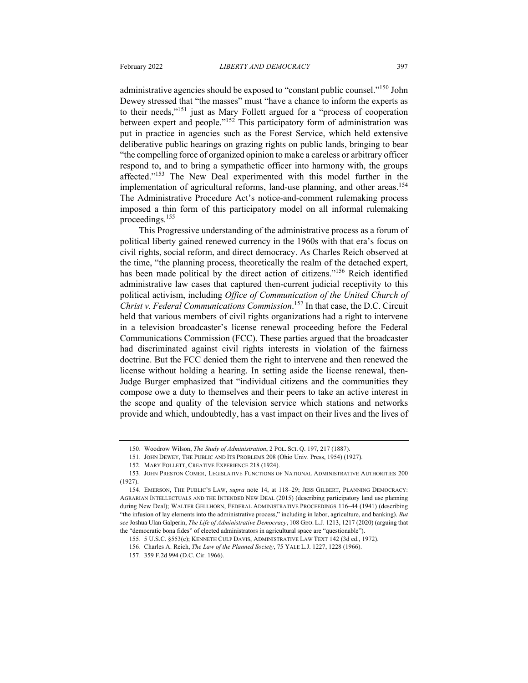proceedings.155

administrative agencies should be exposed to "constant public counsel."<sup>150</sup> John Dewey stressed that "the masses" must "have a chance to inform the experts as to their needs,"151 just as Mary Follett argued for a "process of cooperation between expert and people."<sup>152</sup> This participatory form of administration was put in practice in agencies such as the Forest Service, which held extensive deliberative public hearings on grazing rights on public lands, bringing to bear "the compelling force of organized opinion to make a careless or arbitrary officer respond to, and to bring a sympathetic officer into harmony with, the groups affected."153 The New Deal experimented with this model further in the implementation of agricultural reforms, land-use planning, and other areas.<sup>154</sup> The Administrative Procedure Act's notice-and-comment rulemaking process

imposed a thin form of this participatory model on all informal rulemaking

This Progressive understanding of the administrative process as a forum of political liberty gained renewed currency in the 1960s with that era's focus on civil rights, social reform, and direct democracy. As Charles Reich observed at the time, "the planning process, theoretically the realm of the detached expert, has been made political by the direct action of citizens."<sup>156</sup> Reich identified administrative law cases that captured then-current judicial receptivity to this political activism, including *Office of Communication of the United Church of Christ v. Federal Communications Commission*. <sup>157</sup> In that case, the D.C. Circuit held that various members of civil rights organizations had a right to intervene in a television broadcaster's license renewal proceeding before the Federal Communications Commission (FCC). These parties argued that the broadcaster had discriminated against civil rights interests in violation of the fairness doctrine. But the FCC denied them the right to intervene and then renewed the license without holding a hearing. In setting aside the license renewal, then-Judge Burger emphasized that "individual citizens and the communities they compose owe a duty to themselves and their peers to take an active interest in the scope and quality of the television service which stations and networks provide and which, undoubtedly, has a vast impact on their lives and the lives of

<sup>150.</sup> Woodrow Wilson, *The Study of Administration*, 2 POL. SCI. Q. 197, 217 (1887).

<sup>151.</sup> JOHN DEWEY, THE PUBLIC AND ITS PROBLEMS 208 (Ohio Univ. Press, 1954) (1927).

<sup>152.</sup> MARY FOLLETT, CREATIVE EXPERIENCE 218 (1924).

<sup>153.</sup> JOHN PRESTON COMER, LEGISLATIVE FUNCTIONS OF NATIONAL ADMINISTRATIVE AUTHORITIES 200  $(1927)$ 

<sup>154.</sup> EMERSON, THE PUBLIC'S LAW, *supra* note 14, at 118–29; JESS GILBERT, PLANNING DEMOCRACY: AGRARIAN INTELLECTUALS AND THE INTENDED NEW DEAL (2015) (describing participatory land use planning during New Deal); WALTER GELLHORN, FEDERAL ADMINISTRATIVE PROCEEDINGS 116–44 (1941) (describing "the infusion of lay elements into the administrative process," including in labor, agriculture, and banking). *But see* Joshua Ulan Galperin, *The Life of Administrative Democracy*, 108 GEO. L.J. 1213, 1217 (2020) (arguing that the "democratic bona fides" of elected administrators in agricultural space are "questionable").

<sup>155.</sup> 5 U.S.C. §553(c); KENNETH CULP DAVIS, ADMINISTRATIVE LAW TEXT 142 (3d ed., 1972).

<sup>156.</sup> Charles A. Reich, *The Law of the Planned Society*, 75 YALE L.J. 1227, 1228 (1966).

<sup>157.</sup> 359 F.2d 994 (D.C. Cir. 1966).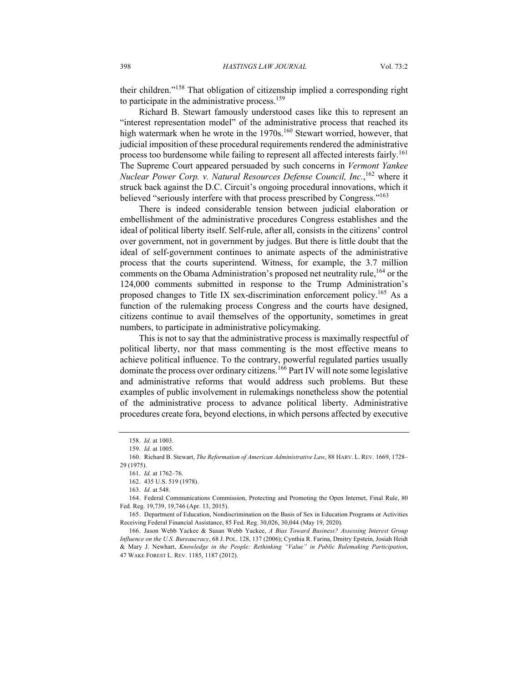their children."<sup>158</sup> That obligation of citizenship implied a corresponding right to participate in the administrative process.<sup>159</sup>

Richard B. Stewart famously understood cases like this to represent an "interest representation model" of the administrative process that reached its high watermark when he wrote in the 1970s.<sup>160</sup> Stewart worried, however, that judicial imposition of these procedural requirements rendered the administrative process too burdensome while failing to represent all affected interests fairly.<sup>161</sup> The Supreme Court appeared persuaded by such concerns in *Vermont Yankee Nuclear Power Corp. v. Natural Resources Defense Council, Inc.*, <sup>162</sup> where it struck back against the D.C. Circuit's ongoing procedural innovations, which it believed "seriously interfere with that process prescribed by Congress."<sup>163</sup>

There is indeed considerable tension between judicial elaboration or embellishment of the administrative procedures Congress establishes and the ideal of political liberty itself. Self-rule, after all, consists in the citizens' control over government, not in government by judges. But there is little doubt that the ideal of self-government continues to animate aspects of the administrative process that the courts superintend. Witness, for example, the 3.7 million comments on the Obama Administration's proposed net neutrality rule,<sup>164</sup> or the 124,000 comments submitted in response to the Trump Administration's proposed changes to Title IX sex-discrimination enforcement policy.<sup>165</sup> As a function of the rulemaking process Congress and the courts have designed, citizens continue to avail themselves of the opportunity, sometimes in great numbers, to participate in administrative policymaking.

This is not to say that the administrative process is maximally respectful of political liberty, nor that mass commenting is the most effective means to achieve political influence. To the contrary, powerful regulated parties usually dominate the process over ordinary citizens.<sup>166</sup> Part IV will note some legislative and administrative reforms that would address such problems. But these examples of public involvement in rulemakings nonetheless show the potential of the administrative process to advance political liberty. Administrative procedures create fora, beyond elections, in which persons affected by executive

<sup>158.</sup> *Id.* at 1003.

<sup>159.</sup> *Id.* at 1005.

<sup>160.</sup> Richard B. Stewart, *The Reformation of American Administrative Law*, 88 HARV. L. REV. 1669, 1728– 29 (1975).

<sup>161.</sup> *Id.* at 1762–76.

<sup>162.</sup> 435 U.S. 519 (1978).

<sup>163.</sup> *Id.* at 548.

<sup>164.</sup> Federal Communications Commission, Protecting and Promoting the Open Internet, Final Rule, 80 Fed. Reg. 19,739, 19,746 (Apr. 13, 2015).

<sup>165.</sup> Department of Education, Nondiscrimination on the Basis of Sex in Education Programs or Activities Receiving Federal Financial Assistance, 85 Fed. Reg. 30,026, 30,044 (May 19, 2020).

<sup>166.</sup> Jason Webb Yackee & Susan Webb Yackee, *A Bias Toward Business? Assessing Interest Group Influence on the U.S. Bureaucracy*, 68 J. POL. 128, 137 (2006); Cynthia R. Farina, Dmitry Epstein, Josiah Heidt & Mary J. Newhart, *Knowledge in the People: Rethinking "Value" in Public Rulemaking Participation*, 47 WAKE FOREST L. REV. 1185, 1187 (2012).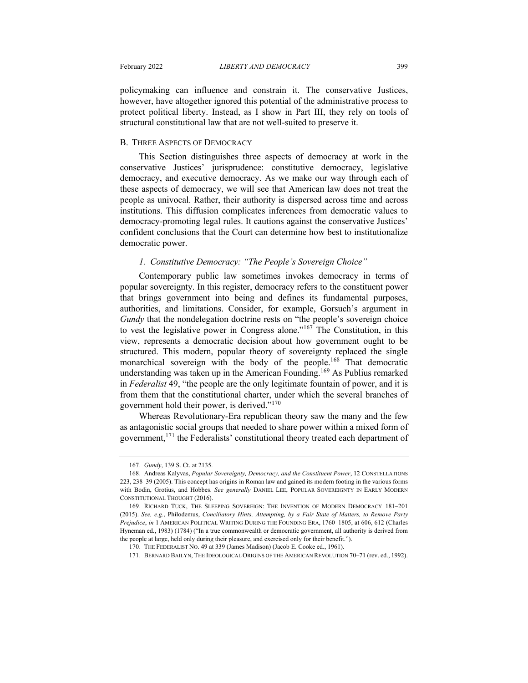policymaking can influence and constrain it. The conservative Justices, however, have altogether ignored this potential of the administrative process to protect political liberty. Instead, as I show in Part III, they rely on tools of structural constitutional law that are not well-suited to preserve it.

#### B. THREE ASPECTS OF DEMOCRACY

This Section distinguishes three aspects of democracy at work in the conservative Justices' jurisprudence: constitutive democracy, legislative democracy, and executive democracy. As we make our way through each of these aspects of democracy, we will see that American law does not treat the people as univocal. Rather, their authority is dispersed across time and across institutions. This diffusion complicates inferences from democratic values to democracy-promoting legal rules. It cautions against the conservative Justices' confident conclusions that the Court can determine how best to institutionalize democratic power.

#### *1. Constitutive Democracy: "The People's Sovereign Choice"*

Contemporary public law sometimes invokes democracy in terms of popular sovereignty. In this register, democracy refers to the constituent power that brings government into being and defines its fundamental purposes, authorities, and limitations. Consider, for example, Gorsuch's argument in *Gundy* that the nondelegation doctrine rests on "the people's sovereign choice to vest the legislative power in Congress alone."<sup>167</sup> The Constitution, in this view, represents a democratic decision about how government ought to be structured. This modern, popular theory of sovereignty replaced the single monarchical sovereign with the body of the people.<sup>168</sup> That democratic understanding was taken up in the American Founding.<sup>169</sup> As Publius remarked in *Federalist* 49, "the people are the only legitimate fountain of power, and it is from them that the constitutional charter, under which the several branches of government hold their power, is derived."<sup>170</sup>

Whereas Revolutionary-Era republican theory saw the many and the few as antagonistic social groups that needed to share power within a mixed form of government,<sup>171</sup> the Federalists' constitutional theory treated each department of

<sup>167.</sup> *Gundy*, 139 S. Ct. at 2135.

<sup>168.</sup> Andreas Kalyvas, *Popular Sovereignty, Democracy, and the Constituent Power*, 12 CONSTELLATIONS 223, 238–39 (2005). This concept has origins in Roman law and gained its modern footing in the various forms with Bodin, Grotius, and Hobbes. *See generally* DANIEL LEE, POPULAR SOVEREIGNTY IN EARLY MODERN CONSTITUTIONAL THOUGHT (2016).

<sup>169.</sup> RICHARD TUCK, THE SLEEPING SOVEREIGN: THE INVENTION OF MODERN DEMOCRACY 181–201 (2015). *See, e.g.*, Philodemus, *Conciliatory Hints, Attempting, by a Fair State of Matters, to Remove Party Prejudice*, *in* 1 AMERICAN POLITICAL WRITING DURING THE FOUNDING ERA, 1760–1805, at 606, 612 (Charles Hyneman ed., 1983) (1784) ("In a true commonwealth or democratic government, all authority is derived from the people at large, held only during their pleasure, and exercised only for their benefit.").

<sup>170.</sup> THE FEDERALIST NO. 49 at 339 (James Madison) (Jacob E. Cooke ed., 1961).

<sup>171.</sup> BERNARD BAILYN, THE IDEOLOGICAL ORIGINS OF THE AMERICAN REVOLUTION 70–71 (rev. ed., 1992).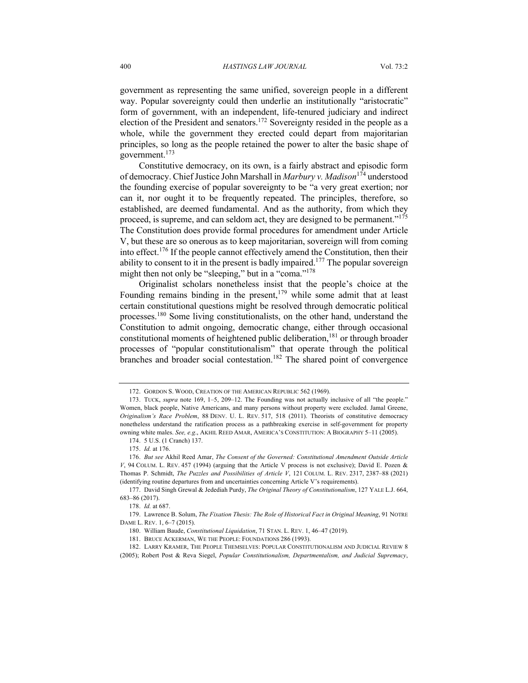government as representing the same unified, sovereign people in a different way. Popular sovereignty could then underlie an institutionally "aristocratic" form of government, with an independent, life-tenured judiciary and indirect election of the President and senators.<sup>172</sup> Sovereignty resided in the people as a whole, while the government they erected could depart from majoritarian principles, so long as the people retained the power to alter the basic shape of government. $173$ 

Constitutive democracy, on its own, is a fairly abstract and episodic form of democracy. Chief Justice John Marshall in *Marbury v. Madison*<sup>174</sup> understood the founding exercise of popular sovereignty to be "a very great exertion; nor can it, nor ought it to be frequently repeated. The principles, therefore, so established, are deemed fundamental. And as the authority, from which they proceed, is supreme, and can seldom act, they are designed to be permanent."<sup>175</sup> The Constitution does provide formal procedures for amendment under Article V, but these are so onerous as to keep majoritarian, sovereign will from coming into effect.<sup>176</sup> If the people cannot effectively amend the Constitution, then their ability to consent to it in the present is badly impaired.<sup>177</sup> The popular sovereign might then not only be "sleeping," but in a "coma."<sup>178</sup>

Originalist scholars nonetheless insist that the people's choice at the Founding remains binding in the present, $179$  while some admit that at least certain constitutional questions might be resolved through democratic political processes.<sup>180</sup> Some living constitutionalists, on the other hand, understand the Constitution to admit ongoing, democratic change, either through occasional constitutional moments of heightened public deliberation,  $181$  or through broader processes of "popular constitutionalism" that operate through the political branches and broader social contestation.<sup>182</sup> The shared point of convergence

<sup>172.</sup> GORDON S. WOOD, CREATION OF THE AMERICAN REPUBLIC 562 (1969).

<sup>173.</sup> TUCK, *supra* note 169, 1–5, 209–12. The Founding was not actually inclusive of all "the people." Women, black people, Native Americans, and many persons without property were excluded. Jamal Greene, *Originalism's Race Problem*, 88 DENV. U. L. REV. 517, 518 (2011). Theorists of constitutive democracy nonetheless understand the ratification process as a pathbreaking exercise in self-government for property owning white males. *See, e.g*., AKHIL REED AMAR, AMERICA'S CONSTITUTION: A BIOGRAPHY 5–11 (2005).

<sup>174</sup>. 5 U.S. (1 Cranch) 137.

<sup>175.</sup> *Id.* at 176.

<sup>176.</sup> *But see* Akhil Reed Amar, *The Consent of the Governed: Constitutional Amendment Outside Article V*, 94 COLUM. L. REV. 457 (1994) (arguing that the Article V process is not exclusive); David E. Pozen & Thomas P. Schmidt, *The Puzzles and Possibilities of Article V*, 121 COLUM. L. REV. 2317, 2387–88 (2021) (identifying routine departures from and uncertainties concerning Article V's requirements).

<sup>177.</sup> David Singh Grewal & Jedediah Purdy, *The Original Theory of Constitutionalism*, 127 YALE L.J. 664, 683–86 (2017).

<sup>178.</sup> *Id.* at 687.

<sup>179.</sup> Lawrence B. Solum, *The Fixation Thesis: The Role of Historical Fact in Original Meaning*, 91 NOTRE DAME L. REV. 1, 6–7 (2015).

<sup>180.</sup> William Baude, *Constitutional Liquidation*, 71 STAN. L. REV. 1, 46–47 (2019).

<sup>181.</sup> BRUCE ACKERMAN, WE THE PEOPLE: FOUNDATIONS 286 (1993).

<sup>182.</sup> LARRY KRAMER, THE PEOPLE THEMSELVES: POPULAR CONSTITUTIONALISM AND JUDICIAL REVIEW 8 (2005); Robert Post & Reva Siegel, *Popular Constitutionalism, Departmentalism, and Judicial Supremacy*,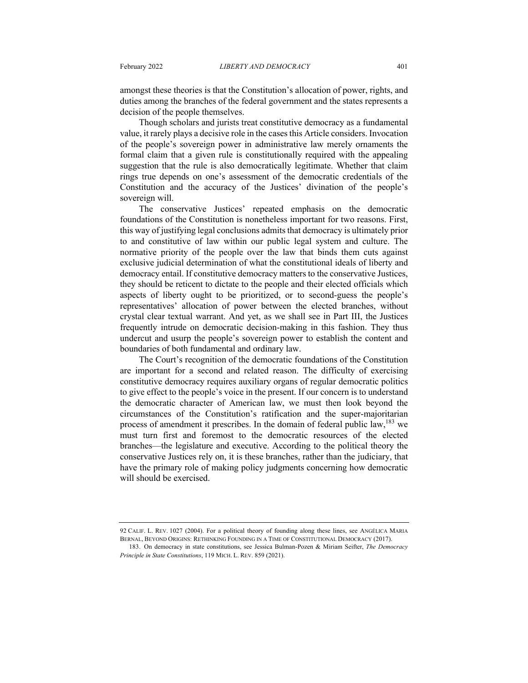amongst these theories is that the Constitution's allocation of power, rights, and duties among the branches of the federal government and the states represents a decision of the people themselves.

Though scholars and jurists treat constitutive democracy as a fundamental value, it rarely plays a decisive role in the cases this Article considers. Invocation of the people's sovereign power in administrative law merely ornaments the formal claim that a given rule is constitutionally required with the appealing suggestion that the rule is also democratically legitimate. Whether that claim rings true depends on one's assessment of the democratic credentials of the Constitution and the accuracy of the Justices' divination of the people's sovereign will.

The conservative Justices' repeated emphasis on the democratic foundations of the Constitution is nonetheless important for two reasons. First, this way of justifying legal conclusions admits that democracy is ultimately prior to and constitutive of law within our public legal system and culture. The normative priority of the people over the law that binds them cuts against exclusive judicial determination of what the constitutional ideals of liberty and democracy entail. If constitutive democracy matters to the conservative Justices, they should be reticent to dictate to the people and their elected officials which aspects of liberty ought to be prioritized, or to second-guess the people's representatives' allocation of power between the elected branches, without crystal clear textual warrant. And yet, as we shall see in Part III, the Justices frequently intrude on democratic decision-making in this fashion. They thus undercut and usurp the people's sovereign power to establish the content and boundaries of both fundamental and ordinary law.

The Court's recognition of the democratic foundations of the Constitution are important for a second and related reason. The difficulty of exercising constitutive democracy requires auxiliary organs of regular democratic politics to give effect to the people's voice in the present. If our concern is to understand the democratic character of American law, we must then look beyond the circumstances of the Constitution's ratification and the super-majoritarian process of amendment it prescribes. In the domain of federal public law,  $183$  we must turn first and foremost to the democratic resources of the elected branches—the legislature and executive. According to the political theory the conservative Justices rely on, it is these branches, rather than the judiciary, that have the primary role of making policy judgments concerning how democratic will should be exercised.

<sup>92</sup> CALIF. L. REV. 1027 (2004). For a political theory of founding along these lines, see ANGÉLICA MARIA BERNAL, BEYOND ORIGINS: RETHINKING FOUNDING IN A TIME OF CONSTITUTIONAL DEMOCRACY (2017).

<sup>183.</sup> On democracy in state constitutions, see Jessica Bulman-Pozen & Miriam Seifter, *The Democracy Principle in State Constitutions*, 119 MICH. L. REV. 859 (2021).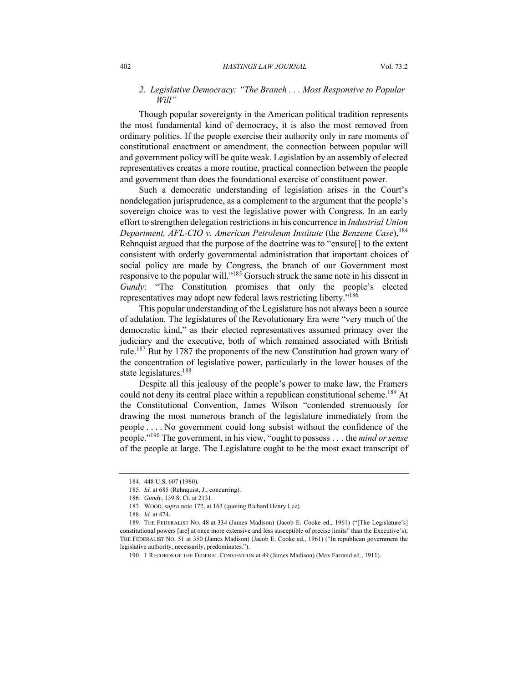### *2. Legislative Democracy: "The Branch . . . Most Responsive to Popular Will"*

Though popular sovereignty in the American political tradition represents the most fundamental kind of democracy, it is also the most removed from ordinary politics. If the people exercise their authority only in rare moments of constitutional enactment or amendment, the connection between popular will and government policy will be quite weak. Legislation by an assembly of elected representatives creates a more routine, practical connection between the people and government than does the foundational exercise of constituent power.

Such a democratic understanding of legislation arises in the Court's nondelegation jurisprudence, as a complement to the argument that the people's sovereign choice was to vest the legislative power with Congress. In an early effort to strengthen delegation restrictions in his concurrence in *Industrial Union Department, AFL-CIO v. American Petroleum Institute* (the *Benzene Case*), 184 Rehnquist argued that the purpose of the doctrine was to "ensure[] to the extent consistent with orderly governmental administration that important choices of social policy are made by Congress, the branch of our Government most responsive to the popular will."185 Gorsuch struck the same note in his dissent in *Gundy*: "The Constitution promises that only the people's elected representatives may adopt new federal laws restricting liberty."186

This popular understanding of the Legislature has not always been a source of adulation. The legislatures of the Revolutionary Era were "very much of the democratic kind," as their elected representatives assumed primacy over the judiciary and the executive, both of which remained associated with British rule.<sup>187</sup> But by 1787 the proponents of the new Constitution had grown wary of the concentration of legislative power, particularly in the lower houses of the state legislatures.<sup>188</sup>

Despite all this jealousy of the people's power to make law, the Framers could not deny its central place within a republican constitutional scheme.<sup>189</sup> At the Constitutional Convention, James Wilson "contended strenuously for drawing the most numerous branch of the legislature immediately from the people . . . . No government could long subsist without the confidence of the people."190 The government, in his view, "ought to possess . . . the *mind or sense* of the people at large. The Legislature ought to be the most exact transcript of

<sup>184.</sup> 448 U.S. 607 (1980).

<sup>185.</sup> *Id.* at 685 (Rehnquist, J., concurring).

<sup>186.</sup> *Gundy*, 139 S. Ct. at 2131.

<sup>187.</sup> WOOD, *supra* note 172, at 163 (quoting Richard Henry Lee).

<sup>188.</sup> *Id.* at 474.

<sup>189.</sup> THE FEDERALIST NO. 48 at 334 (James Madison) (Jacob E. Cooke ed., 1961) ("[The Legislature's] constitutional powers [are] at once more extensive and less susceptible of precise limits" than the Executive's); THE FEDERALIST NO. 51 at 350 (James Madison) (Jacob E. Cooke ed., 1961) ("In republican government the legislative authority, necessarily, predominates.").

<sup>190.</sup> 1 RECORDS OF THE FEDERAL CONVENTION at 49 (James Madison) (Max Farrand ed., 1911).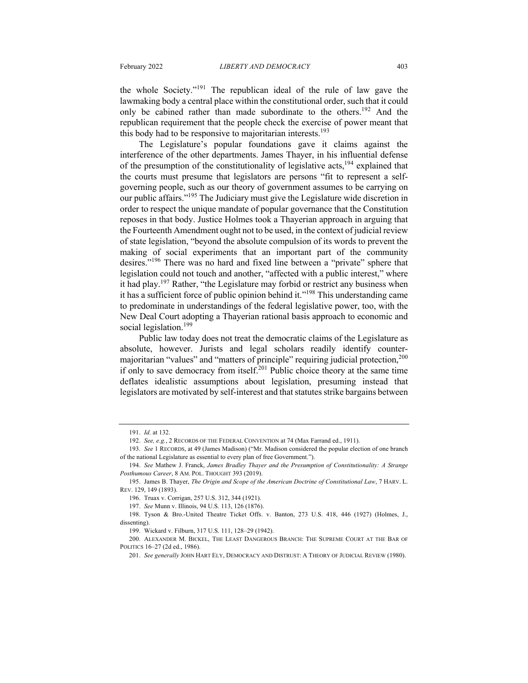the whole Society."<sup>191</sup> The republican ideal of the rule of law gave the lawmaking body a central place within the constitutional order, such that it could only be cabined rather than made subordinate to the others.<sup>192</sup> And the republican requirement that the people check the exercise of power meant that this body had to be responsive to majoritarian interests.<sup>193</sup>

The Legislature's popular foundations gave it claims against the interference of the other departments. James Thayer, in his influential defense of the presumption of the constitutionality of legislative acts,<sup>194</sup> explained that the courts must presume that legislators are persons "fit to represent a selfgoverning people, such as our theory of government assumes to be carrying on our public affairs."195 The Judiciary must give the Legislature wide discretion in order to respect the unique mandate of popular governance that the Constitution reposes in that body. Justice Holmes took a Thayerian approach in arguing that the Fourteenth Amendment ought not to be used, in the context of judicial review of state legislation, "beyond the absolute compulsion of its words to prevent the making of social experiments that an important part of the community desires."<sup>196</sup> There was no hard and fixed line between a "private" sphere that legislation could not touch and another, "affected with a public interest," where it had play.<sup>197</sup> Rather, "the Legislature may forbid or restrict any business when it has a sufficient force of public opinion behind it."198 This understanding came to predominate in understandings of the federal legislative power, too, with the New Deal Court adopting a Thayerian rational basis approach to economic and social legislation.<sup>199</sup>

Public law today does not treat the democratic claims of the Legislature as absolute, however. Jurists and legal scholars readily identify countermajoritarian "values" and "matters of principle" requiring judicial protection,<sup>200</sup> if only to save democracy from itself.<sup>201</sup> Public choice theory at the same time deflates idealistic assumptions about legislation, presuming instead that legislators are motivated by self-interest and that statutes strike bargains between

<sup>191.</sup> *Id.* at 132.

<sup>192.</sup> *See, e.g.*, 2 RECORDS OF THE FEDERAL CONVENTION at 74 (Max Farrand ed., 1911).

<sup>193.</sup> *See* 1 RECORDS, at 49 (James Madison) ("Mr. Madison considered the popular election of one branch of the national Legislature as essential to every plan of free Government.").

<sup>194.</sup> *See* Mathew J. Franck, *James Bradley Thayer and the Presumption of Constitutionality: A Strange Posthumous Career*, 8 AM. POL. THOUGHT 393 (2019).

<sup>195.</sup> James B. Thayer, *The Origin and Scope of the American Doctrine of Constitutional Law*, 7 HARV. L. REV. 129, 149 (1893).

<sup>196.</sup> Truax v. Corrigan, 257 U.S. 312, 344 (1921).

<sup>197.</sup> *See* Munn v. Illinois, 94 U.S. 113, 126 (1876).

<sup>198.</sup> Tyson & Bro.-United Theatre Ticket Offs. v. Banton, 273 U.S. 418, 446 (1927) (Holmes, J., dissenting).

<sup>199.</sup> Wickard v. Filburn, 317 U.S. 111, 128–29 (1942).

<sup>200.</sup> ALEXANDER M. BICKEL, THE LEAST DANGEROUS BRANCH: THE SUPREME COURT AT THE BAR OF POLITICS 16–27 (2d ed., 1986).

<sup>201.</sup> *See generally* JOHN HART ELY, DEMOCRACY AND DISTRUST: A THEORY OF JUDICIAL REVIEW (1980).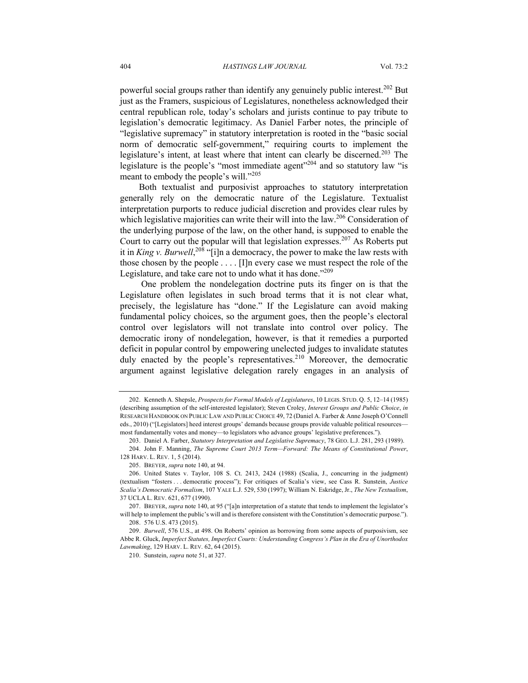powerful social groups rather than identify any genuinely public interest.<sup>202</sup> But just as the Framers, suspicious of Legislatures, nonetheless acknowledged their central republican role, today's scholars and jurists continue to pay tribute to legislation's democratic legitimacy. As Daniel Farber notes, the principle of "legislative supremacy" in statutory interpretation is rooted in the "basic social norm of democratic self-government," requiring courts to implement the legislature's intent, at least where that intent can clearly be discerned.<sup>203</sup> The legislature is the people's "most immediate agent"204 and so statutory law "is meant to embody the people's will."<sup>205</sup>

Both textualist and purposivist approaches to statutory interpretation generally rely on the democratic nature of the Legislature. Textualist interpretation purports to reduce judicial discretion and provides clear rules by which legislative majorities can write their will into the law.<sup>206</sup> Consideration of the underlying purpose of the law, on the other hand, is supposed to enable the Court to carry out the popular will that legislation expresses.<sup>207</sup> As Roberts put it in *King v. Burwell*, <sup>208</sup> "[i]n a democracy, the power to make the law rests with those chosen by the people . . . . [I]n every case we must respect the role of the Legislature, and take care not to undo what it has done."<sup>209</sup>

One problem the nondelegation doctrine puts its finger on is that the Legislature often legislates in such broad terms that it is not clear what, precisely, the legislature has "done." If the Legislature can avoid making fundamental policy choices, so the argument goes, then the people's electoral control over legislators will not translate into control over policy. The democratic irony of nondelegation, however, is that it remedies a purported deficit in popular control by empowering unelected judges to invalidate statutes duly enacted by the people's representatives.<sup>210</sup> Moreover, the democratic argument against legislative delegation rarely engages in an analysis of

<sup>202.</sup> Kenneth A. Shepsle, *Prospects for Formal Models of Legislatures*, 10 LEGIS. STUD. Q. 5, 12–14 (1985) (describing assumption of the self-interested legislator); Steven Croley, *Interest Groups and Public Choice*, *in* RESEARCH HANDBOOK ON PUBLIC LAW AND PUBLIC CHOICE 49, 72 (Daniel A. Farber & Anne Joseph O'Connell eds., 2010) ("[Legislators] heed interest groups' demands because groups provide valuable political resources most fundamentally votes and money—to legislators who advance groups' legislative preferences.").

<sup>203.</sup> Daniel A. Farber, *Statutory Interpretation and Legislative Supremacy*, 78 GEO. L.J. 281, 293 (1989).

<sup>204.</sup> John F. Manning, *The Supreme Court 2013 Term—Forward: The Means of Constitutional Power*, 128 HARV. L. REV. 1, 5 (2014).

<sup>205.</sup> BREYER, *supra* note 140, at 94.

<sup>206.</sup> United States v. Taylor, 108 S. Ct. 2413, 2424 (1988) (Scalia, J., concurring in the judgment) (textualism "fosters . . . democratic process"); For critiques of Scalia's view, see Cass R. Sunstein, *Justice Scalia's Democratic Formalism*, 107 YALE L.J. 529, 530 (1997); William N. Eskridge, Jr., *The New Textualism*, 37 UCLA L. REV. 621, 677 (1990).

<sup>207.</sup> BREYER, *supra* note 140, at 95 ("[a]n interpretation of a statute that tends to implement the legislator's will help to implement the public's will and is therefore consistent with the Constitution's democratic purpose."). 208. 576 U.S. 473 (2015).

<sup>209.</sup> *Burwell*, 576 U.S., at 498. On Roberts' opinion as borrowing from some aspects of purposivism, see Abbe R. Gluck, *Imperfect Statutes, Imperfect Courts: Understanding Congress's Plan in the Era of Unorthodox Lawmaking*, 129 HARV. L. REV. 62, 64 (2015).

<sup>210.</sup> Sunstein, *supra* note 51, at 327.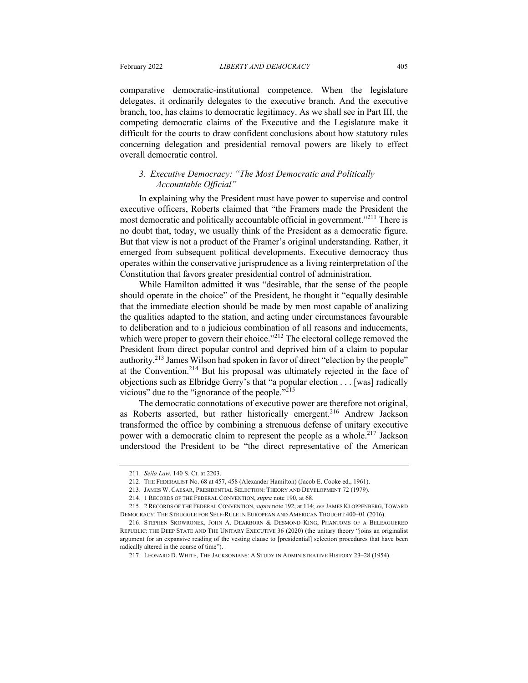comparative democratic-institutional competence. When the legislature delegates, it ordinarily delegates to the executive branch. And the executive branch, too, has claims to democratic legitimacy. As we shall see in Part III, the competing democratic claims of the Executive and the Legislature make it difficult for the courts to draw confident conclusions about how statutory rules concerning delegation and presidential removal powers are likely to effect overall democratic control.

### *3. Executive Democracy: "The Most Democratic and Politically Accountable Official"*

In explaining why the President must have power to supervise and control executive officers, Roberts claimed that "the Framers made the President the most democratic and politically accountable official in government."<sup>211</sup> There is no doubt that, today, we usually think of the President as a democratic figure. But that view is not a product of the Framer's original understanding. Rather, it emerged from subsequent political developments. Executive democracy thus operates within the conservative jurisprudence as a living reinterpretation of the Constitution that favors greater presidential control of administration.

While Hamilton admitted it was "desirable, that the sense of the people should operate in the choice" of the President, he thought it "equally desirable that the immediate election should be made by men most capable of analizing the qualities adapted to the station, and acting under circumstances favourable to deliberation and to a judicious combination of all reasons and inducements, which were proper to govern their choice."<sup>212</sup> The electoral college removed the President from direct popular control and deprived him of a claim to popular authority.<sup>213</sup> James Wilson had spoken in favor of direct "election by the people" at the Convention.<sup>214</sup> But his proposal was ultimately rejected in the face of objections such as Elbridge Gerry's that "a popular election . . . [was] radically vicious" due to the "ignorance of the people."<sup>215</sup>

The democratic connotations of executive power are therefore not original, as Roberts asserted, but rather historically emergent.<sup>216</sup> Andrew Jackson transformed the office by combining a strenuous defense of unitary executive power with a democratic claim to represent the people as a whole.<sup>217</sup> Jackson understood the President to be "the direct representative of the American

<sup>211.</sup> *Seila Law*, 140 S. Ct. at 2203.

<sup>212.</sup> THE FEDERALIST No. 68 at 457, 458 (Alexander Hamilton) (Jacob E. Cooke ed., 1961).

<sup>213.</sup> JAMES W. CAESAR, PRESIDENTIAL SELECTION: THEORY AND DEVELOPMENT 72 (1979).

<sup>214.</sup> 1 RECORDS OF THE FEDERAL CONVENTION, *supra* note 190, at 68.

<sup>215.</sup> 2 RECORDS OF THE FEDERAL CONVENTION, *supra* note 192, at 114; *see* JAMES KLOPPENBERG, TOWARD DEMOCRACY: THE STRUGGLE FOR SELF-RULE IN EUROPEAN AND AMERICAN THOUGHT 400–01 (2016).

<sup>216.</sup> STEPHEN SKOWRONEK, JOHN A. DEARBORN & DESMOND KING, PHANTOMS OF A BELEAGUERED REPUBLIC: THE DEEP STATE AND THE UNITARY EXECUTIVE 36 (2020) (the unitary theory "joins an originalist argument for an expansive reading of the vesting clause to [presidential] selection procedures that have been radically altered in the course of time").

<sup>217.</sup> LEONARD D. WHITE, THE JACKSONIANS: A STUDY IN ADMINISTRATIVE HISTORY 23–28 (1954).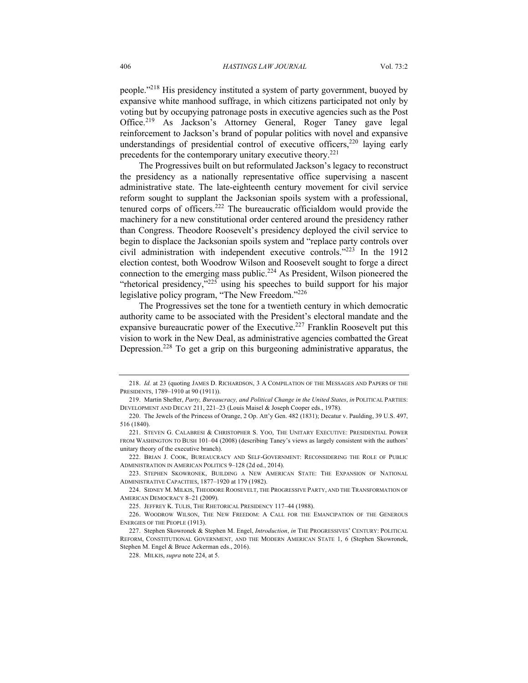people."<sup>218</sup> His presidency instituted a system of party government, buoyed by expansive white manhood suffrage, in which citizens participated not only by voting but by occupying patronage posts in executive agencies such as the Post Office.<sup>219</sup> As Jackson's Attorney General, Roger Taney gave legal reinforcement to Jackson's brand of popular politics with novel and expansive understandings of presidential control of executive officers,  $220$  laying early precedents for the contemporary unitary executive theory. $221$ 

The Progressives built on but reformulated Jackson's legacy to reconstruct the presidency as a nationally representative office supervising a nascent administrative state. The late-eighteenth century movement for civil service reform sought to supplant the Jacksonian spoils system with a professional, tenured corps of officers.<sup>222</sup> The bureaucratic officialdom would provide the machinery for a new constitutional order centered around the presidency rather than Congress. Theodore Roosevelt's presidency deployed the civil service to begin to displace the Jacksonian spoils system and "replace party controls over civil administration with independent executive controls."223 In the 1912 election contest, both Woodrow Wilson and Roosevelt sought to forge a direct connection to the emerging mass public.<sup>224</sup> As President, Wilson pioneered the "rhetorical presidency," $225$  using his speeches to build support for his major legislative policy program, "The New Freedom."<sup>226</sup>

The Progressives set the tone for a twentieth century in which democratic authority came to be associated with the President's electoral mandate and the expansive bureaucratic power of the Executive.<sup>227</sup> Franklin Roosevelt put this vision to work in the New Deal, as administrative agencies combatted the Great Depression.<sup>228</sup> To get a grip on this burgeoning administrative apparatus, the

<sup>218.</sup> *Id.* at 23 (quoting JAMES D. RICHARDSON, 3 A COMPILATION OF THE MESSAGES AND PAPERS OF THE PRESIDENTS, 1789–1910 at 90 (1911)).

<sup>219.</sup> Martin Shefter, *Party, Bureaucracy, and Political Change in the United States*, *in* POLITICAL PARTIES: DEVELOPMENT AND DECAY 211, 221–23 (Louis Maisel & Joseph Cooper eds., 1978).

<sup>220.</sup> The Jewels of the Princess of Orange, 2 Op. Att'y Gen. 482 (1831); Decatur v. Paulding, 39 U.S. 497, 516 (1840).

<sup>221.</sup> STEVEN G. CALABRESI & CHRISTOPHER S. YOO, THE UNITARY EXECUTIVE: PRESIDENTIAL POWER FROM WASHINGTON TO BUSH 101–04 (2008) (describing Taney's views as largely consistent with the authors' unitary theory of the executive branch).

<sup>222.</sup> BRIAN J. COOK, BUREAUCRACY AND SELF-GOVERNMENT: RECONSIDERING THE ROLE OF PUBLIC ADMINISTRATION IN AMERICAN POLITICS 9–128 (2d ed., 2014).

<sup>223.</sup> STEPHEN SKOWRONEK, BUILDING A NEW AMERICAN STATE: THE EXPANSION OF NATIONAL ADMINISTRATIVE CAPACITIES, 1877–1920 at 179 (1982).

<sup>224.</sup> SIDNEY M. MILKIS, THEODORE ROOSEVELT, THE PROGRESSIVE PARTY, AND THE TRANSFORMATION OF AMERICAN DEMOCRACY 8–21 (2009).

<sup>225.</sup> JEFFREY K. TULIS, THE RHETORICAL PRESIDENCY 117–44 (1988).

<sup>226.</sup> WOODROW WILSON, THE NEW FREEDOM: A CALL FOR THE EMANCIPATION OF THE GENEROUS ENERGIES OF THE PEOPLE (1913).

<sup>227.</sup> Stephen Skowronek & Stephen M. Engel, *Introduction*, *in* THE PROGRESSIVES' CENTURY: POLITICAL REFORM, CONSTITUTIONAL GOVERNMENT, AND THE MODERN AMERICAN STATE 1, 6 (Stephen Skowronek, Stephen M. Engel & Bruce Ackerman eds., 2016).

<sup>228.</sup> MILKIS, *supra* note 224, at 5.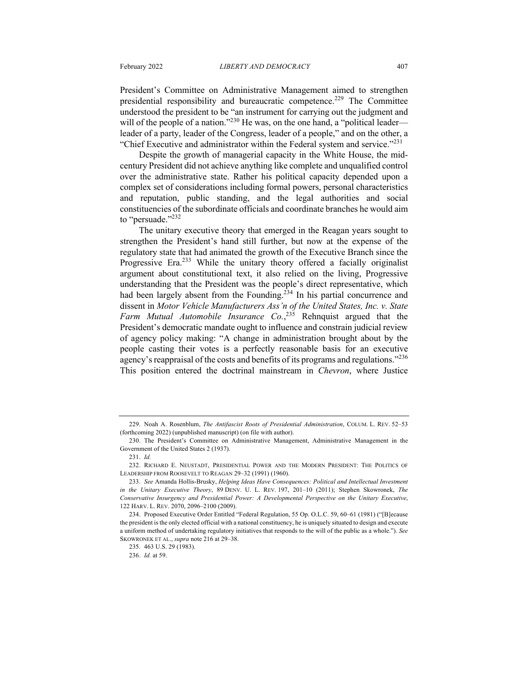President's Committee on Administrative Management aimed to strengthen presidential responsibility and bureaucratic competence.<sup>229</sup> The Committee understood the president to be "an instrument for carrying out the judgment and will of the people of a nation."<sup>230</sup> He was, on the one hand, a "political leader leader of a party, leader of the Congress, leader of a people," and on the other, a "Chief Executive and administrator within the Federal system and service."<sup>231</sup>

Despite the growth of managerial capacity in the White House, the midcentury President did not achieve anything like complete and unqualified control over the administrative state. Rather his political capacity depended upon a complex set of considerations including formal powers, personal characteristics and reputation, public standing, and the legal authorities and social constituencies of the subordinate officials and coordinate branches he would aim to "persuade."<sup>232</sup>

The unitary executive theory that emerged in the Reagan years sought to strengthen the President's hand still further, but now at the expense of the regulatory state that had animated the growth of the Executive Branch since the Progressive Era.<sup>233</sup> While the unitary theory offered a facially originalist argument about constitutional text, it also relied on the living, Progressive understanding that the President was the people's direct representative, which had been largely absent from the Founding.<sup>234</sup> In his partial concurrence and dissent in *Motor Vehicle Manufacturers Ass'n of the United States, Inc. v. State Farm Mutual Automobile Insurance Co.*, <sup>235</sup> Rehnquist argued that the President's democratic mandate ought to influence and constrain judicial review of agency policy making: "A change in administration brought about by the people casting their votes is a perfectly reasonable basis for an executive agency's reappraisal of the costs and benefits of its programs and regulations."<sup>236</sup> This position entered the doctrinal mainstream in *Chevron*, where Justice

<sup>229.</sup> Noah A. Rosenblum, *The Antifascist Roots of Presidential Administration*, COLUM. L. REV. 52–53 (forthcoming 2022) (unpublished manuscript) (on file with author).

<sup>230.</sup> The President's Committee on Administrative Management, Administrative Management in the Government of the United States 2 (1937).

<sup>231.</sup> *Id.*

<sup>232.</sup> RICHARD E. NEUSTADT, PRESIDENTIAL POWER AND THE MODERN PRESIDENT: THE POLITICS OF LEADERSHIP FROM ROOSEVELT TO REAGAN 29–32 (1991) (1960).

<sup>233.</sup> *See* Amanda Hollis-Brusky, *Helping Ideas Have Consequences: Political and Intellectual Investment in the Unitary Executive Theory*, 89 DENV. U. L. REV. 197, 201–10 (2011); Stephen Skowronek, *The Conservative Insurgency and Presidential Power: A Developmental Perspective on the Unitary Executive*, 122 HARV. L. REV. 2070, 2096–2100 (2009).

<sup>234.</sup> Proposed Executive Order Entitled "Federal Regulation, 55 Op. O.L.C. 59, 60–61 (1981) ("[B]ecause the president is the only elected official with a national constituency, he is uniquely situated to design and execute a uniform method of undertaking regulatory initiatives that responds to the will of the public as a whole."). *See* SKOWRONEK ET AL., *supra* note 216 at 29–38.

<sup>235</sup>. 463 U.S. 29 (1983).

<sup>236.</sup> *Id.* at 59.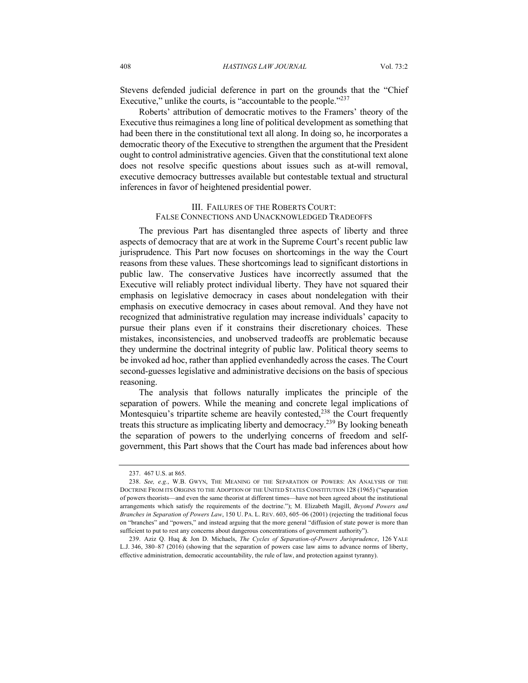Stevens defended judicial deference in part on the grounds that the "Chief Executive," unlike the courts, is "accountable to the people."<sup>237</sup>

Roberts' attribution of democratic motives to the Framers' theory of the Executive thus reimagines a long line of political development as something that had been there in the constitutional text all along. In doing so, he incorporates a democratic theory of the Executive to strengthen the argument that the President ought to control administrative agencies. Given that the constitutional text alone does not resolve specific questions about issues such as at-will removal, executive democracy buttresses available but contestable textual and structural inferences in favor of heightened presidential power.

#### III. FAILURES OF THE ROBERTS COURT: FALSE CONNECTIONS AND UNACKNOWLEDGED TRADEOFFS

The previous Part has disentangled three aspects of liberty and three aspects of democracy that are at work in the Supreme Court's recent public law jurisprudence. This Part now focuses on shortcomings in the way the Court reasons from these values. These shortcomings lead to significant distortions in public law. The conservative Justices have incorrectly assumed that the Executive will reliably protect individual liberty. They have not squared their emphasis on legislative democracy in cases about nondelegation with their emphasis on executive democracy in cases about removal. And they have not recognized that administrative regulation may increase individuals' capacity to pursue their plans even if it constrains their discretionary choices. These mistakes, inconsistencies, and unobserved tradeoffs are problematic because they undermine the doctrinal integrity of public law. Political theory seems to be invoked ad hoc, rather than applied evenhandedly across the cases. The Court second-guesses legislative and administrative decisions on the basis of specious reasoning.

The analysis that follows naturally implicates the principle of the separation of powers. While the meaning and concrete legal implications of Montesquieu's tripartite scheme are heavily contested,<sup>238</sup> the Court frequently treats this structure as implicating liberty and democracy.<sup>239</sup> By looking beneath the separation of powers to the underlying concerns of freedom and selfgovernment, this Part shows that the Court has made bad inferences about how

<sup>237.</sup> 467 U.S. at 865.

<sup>238.</sup> *See, e.g.*, W.B. GWYN, THE MEANING OF THE SEPARATION OF POWERS: AN ANALYSIS OF THE DOCTRINE FROM ITS ORIGINS TO THE ADOPTION OF THE UNITED STATES CONSTITUTION 128 (1965) ("separation of powers theorists—and even the same theorist at different times—have not been agreed about the institutional arrangements which satisfy the requirements of the doctrine."); M. Elizabeth Magill, *Beyond Powers and Branches in Separation of Powers Law*, 150 U. PA. L. REV. 603, 605–06 (2001) (rejecting the traditional focus on "branches" and "powers," and instead arguing that the more general "diffusion of state power is more than sufficient to put to rest any concerns about dangerous concentrations of government authority").

<sup>239.</sup> Aziz Q. Huq & Jon D. Michaels, *The Cycles of Separation-of-Powers Jurisprudence*, 126 YALE L.J. 346, 380–87 (2016) (showing that the separation of powers case law aims to advance norms of liberty, effective administration, democratic accountability, the rule of law, and protection against tyranny).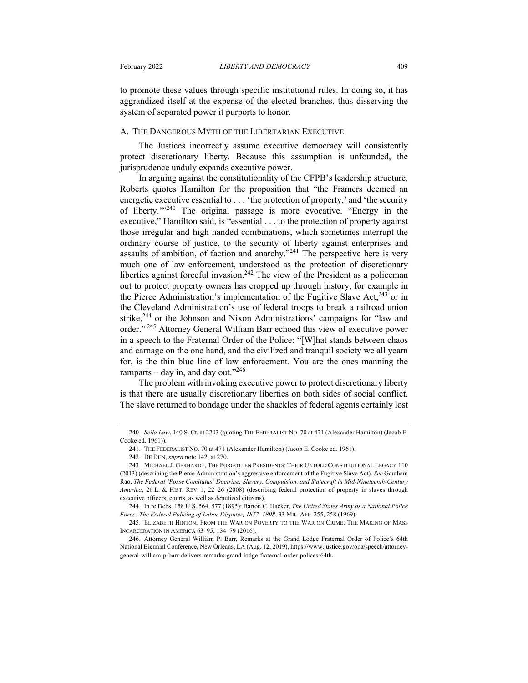to promote these values through specific institutional rules. In doing so, it has aggrandized itself at the expense of the elected branches, thus disserving the system of separated power it purports to honor.

#### A. THE DANGEROUS MYTH OF THE LIBERTARIAN EXECUTIVE

The Justices incorrectly assume executive democracy will consistently protect discretionary liberty. Because this assumption is unfounded, the jurisprudence unduly expands executive power.

In arguing against the constitutionality of the CFPB's leadership structure, Roberts quotes Hamilton for the proposition that "the Framers deemed an energetic executive essential to . . . 'the protection of property,' and 'the security of liberty.'"<sup>240</sup> The original passage is more evocative. "Energy in the executive," Hamilton said, is "essential . . . to the protection of property against those irregular and high handed combinations, which sometimes interrupt the ordinary course of justice, to the security of liberty against enterprises and assaults of ambition, of faction and anarchy."<sup>241</sup> The perspective here is very much one of law enforcement, understood as the protection of discretionary liberties against forceful invasion.<sup>242</sup> The view of the President as a policeman out to protect property owners has cropped up through history, for example in the Pierce Administration's implementation of the Fugitive Slave Act, $^{243}$  or in the Cleveland Administration's use of federal troops to break a railroad union strike,<sup>244</sup> or the Johnson and Nixon Administrations' campaigns for "law and order." <sup>245</sup> Attorney General William Barr echoed this view of executive power in a speech to the Fraternal Order of the Police: "[W]hat stands between chaos and carnage on the one hand, and the civilized and tranquil society we all yearn for, is the thin blue line of law enforcement. You are the ones manning the ramparts – day in, and day out."<sup>246</sup>

The problem with invoking executive power to protect discretionary liberty is that there are usually discretionary liberties on both sides of social conflict. The slave returned to bondage under the shackles of federal agents certainly lost

<sup>240.</sup> *Seila Law*, 140 S. Ct. at 2203 (quoting THE FEDERALIST NO. 70 at 471 (Alexander Hamilton) (Jacob E. Cooke ed. 1961)).

<sup>241.</sup> THE FEDERALIST NO. 70 at 471 (Alexander Hamilton) (Jacob E. Cooke ed. 1961).

<sup>242.</sup> DE DIJN, *supra* note 142, at 270.

<sup>243.</sup> MICHAEL J. GERHARDT, THE FORGOTTEN PRESIDENTS: THEIR UNTOLD CONSTITUTIONAL LEGACY 110 (2013) (describing the Pierce Administration's aggressive enforcement of the Fugitive Slave Act). *See* Gautham Rao, *The Federal 'Posse Comitatus' Doctrine: Slavery, Compulsion, and Statecraft in Mid-Nineteenth-Century America*, 26 L. & HIST. REV. 1, 22–26 (2008) (describing federal protection of property in slaves through executive officers, courts, as well as deputized citizens).

<sup>244.</sup> In re Debs, 158 U.S. 564, 577 (1895); Barton C. Hacker, *The United States Army as a National Police Force: The Federal Policing of Labor Disputes, 1877–1898*, 33 MIL. AFF. 255, 258 (1969).

<sup>245.</sup> ELIZABETH HINTON, FROM THE WAR ON POVERTY TO THE WAR ON CRIME: THE MAKING OF MASS INCARCERATION IN AMERICA 63–95, 134–79 (2016).

<sup>246.</sup> Attorney General William P. Barr, Remarks at the Grand Lodge Fraternal Order of Police's 64th National Biennial Conference, New Orleans, LA (Aug. 12, 2019), https://www.justice.gov/opa/speech/attorneygeneral-william-p-barr-delivers-remarks-grand-lodge-fraternal-order-polices-64th.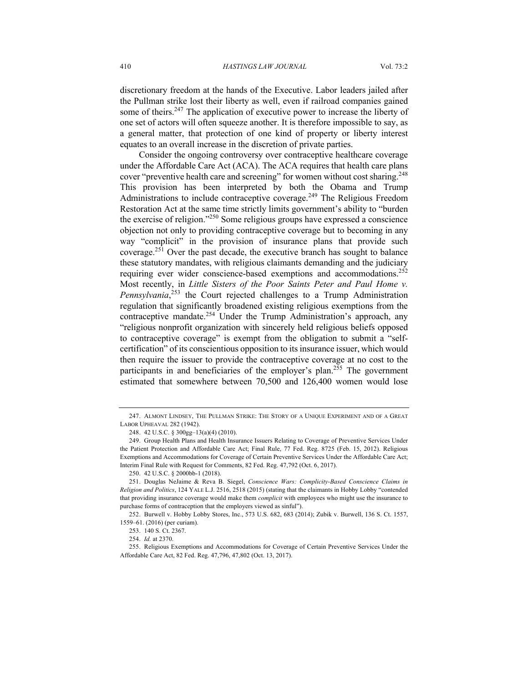discretionary freedom at the hands of the Executive. Labor leaders jailed after the Pullman strike lost their liberty as well, even if railroad companies gained some of theirs.<sup>247</sup> The application of executive power to increase the liberty of one set of actors will often squeeze another. It is therefore impossible to say, as a general matter, that protection of one kind of property or liberty interest equates to an overall increase in the discretion of private parties.

Consider the ongoing controversy over contraceptive healthcare coverage under the Affordable Care Act (ACA). The ACA requires that health care plans cover "preventive health care and screening" for women without cost sharing.<sup>248</sup> This provision has been interpreted by both the Obama and Trump Administrations to include contraceptive coverage.<sup>249</sup> The Religious Freedom Restoration Act at the same time strictly limits government's ability to "burden the exercise of religion."250 Some religious groups have expressed a conscience objection not only to providing contraceptive coverage but to becoming in any way "complicit" in the provision of insurance plans that provide such coverage.<sup>251</sup> Over the past decade, the executive branch has sought to balance these statutory mandates, with religious claimants demanding and the judiciary requiring ever wider conscience-based exemptions and accommodations.<sup>252</sup> Most recently, in *Little Sisters of the Poor Saints Peter and Paul Home v. Pennsylvania*, <sup>253</sup> the Court rejected challenges to a Trump Administration regulation that significantly broadened existing religious exemptions from the contraceptive mandate.<sup>254</sup> Under the Trump Administration's approach, any "religious nonprofit organization with sincerely held religious beliefs opposed to contraceptive coverage" is exempt from the obligation to submit a "selfcertification" of its conscientious opposition to its insurance issuer, which would then require the issuer to provide the contraceptive coverage at no cost to the participants in and beneficiaries of the employer's plan.<sup>255</sup> The government estimated that somewhere between 70,500 and 126,400 women would lose

<sup>247.</sup> ALMONT LINDSEY, THE PULLMAN STRIKE: THE STORY OF A UNIQUE EXPERIMENT AND OF A GREAT LABOR UPHEAVAL 282 (1942).

<sup>248.</sup> 42 U.S.C. § 300gg–13(a)(4) (2010).

<sup>249.</sup> Group Health Plans and Health Insurance Issuers Relating to Coverage of Preventive Services Under the Patient Protection and Affordable Care Act; Final Rule, 77 Fed. Reg. 8725 (Feb. 15, 2012). Religious Exemptions and Accommodations for Coverage of Certain Preventive Services Under the Affordable Care Act; Interim Final Rule with Request for Comments, 82 Fed. Reg. 47,792 (Oct. 6, 2017).

<sup>250.</sup> 42 U.S.C. § 2000bb-1 (2018).

<sup>251.</sup> Douglas NeJaime & Reva B. Siegel, *Conscience Wars: Complicity-Based Conscience Claims in Religion and Politics*, 124 YALE L.J. 2516, 2518 (2015) (stating that the claimants in Hobby Lobby "contended that providing insurance coverage would make them *complicit* with employees who might use the insurance to purchase forms of contraception that the employers viewed as sinful").

<sup>252.</sup> Burwell v. Hobby Lobby Stores, Inc., 573 U.S. 682, 683 (2014); Zubik v. Burwell, 136 S. Ct. 1557, 1559–61. (2016) (per curiam).

<sup>253</sup>. 140 S. Ct. 2367.

<sup>254.</sup> *Id.* at 2370.

<sup>255.</sup> Religious Exemptions and Accommodations for Coverage of Certain Preventive Services Under the Affordable Care Act, 82 Fed. Reg. 47,796, 47,802 (Oct. 13, 2017).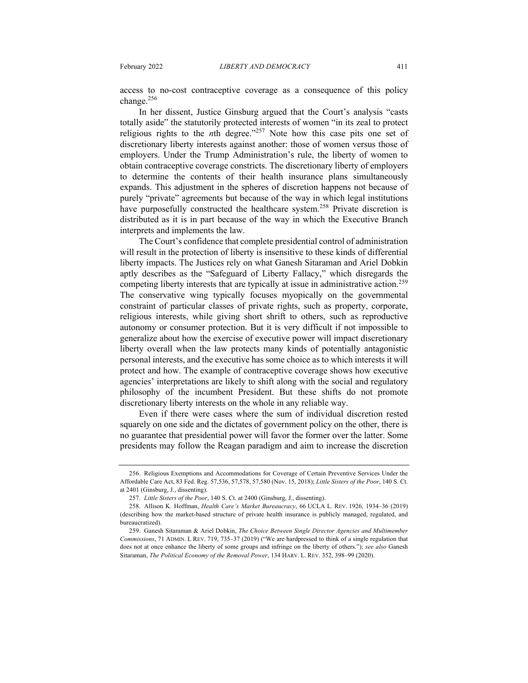access to no-cost contraceptive coverage as a consequence of this policy change.<sup>256</sup>

In her dissent, Justice Ginsburg argued that the Court's analysis "casts totally aside" the statutorily protected interests of women "in its zeal to protect religious rights to the *n*th degree."<sup>257</sup> Note how this case pits one set of discretionary liberty interests against another: those of women versus those of employers. Under the Trump Administration's rule, the liberty of women to obtain contraceptive coverage constricts. The discretionary liberty of employers to determine the contents of their health insurance plans simultaneously expands. This adjustment in the spheres of discretion happens not because of purely "private" agreements but because of the way in which legal institutions have purposefully constructed the healthcare system.<sup>258</sup> Private discretion is distributed as it is in part because of the way in which the Executive Branch interprets and implements the law.

The Court's confidence that complete presidential control of administration will result in the protection of liberty is insensitive to these kinds of differential liberty impacts. The Justices rely on what Ganesh Sitaraman and Ariel Dobkin aptly describes as the "Safeguard of Liberty Fallacy," which disregards the competing liberty interests that are typically at issue in administrative action.<sup>259</sup> The conservative wing typically focuses myopically on the governmental constraint of particular classes of private rights, such as property, corporate, religious interests, while giving short shrift to others, such as reproductive autonomy or consumer protection. But it is very difficult if not impossible to generalize about how the exercise of executive power will impact discretionary liberty overall when the law protects many kinds of potentially antagonistic personal interests, and the executive has some choice as to which interests it will protect and how. The example of contraceptive coverage shows how executive agencies' interpretations are likely to shift along with the social and regulatory philosophy of the incumbent President. But these shifts do not promote discretionary liberty interests on the whole in any reliable way.

Even if there were cases where the sum of individual discretion rested squarely on one side and the dictates of government policy on the other, there is no guarantee that presidential power will favor the former over the latter. Some presidents may follow the Reagan paradigm and aim to increase the discretion

<sup>256.</sup> Religious Exemptions and Accommodations for Coverage of Certain Preventive Services Under the Affordable Care Act, 83 Fed. Reg. 57,536, 57,578, 57,580 (Nov. 15, 2018); *Little Sisters of the Poor*, 140 S. Ct. at 2401 (Ginsburg, J., dissenting).

<sup>257.</sup> *Little Sisters of the Poor*, 140 S. Ct. at 2400 (Ginsburg, J., dissenting).

<sup>258.</sup> Allison K. Hoffman, *Health Care's Market Bureaucracy*, 66 UCLA L. REV. 1926, 1934–36 (2019) (describing how the market-based structure of private health insurance is publicly managed, regulated, and bureaucratized).

<sup>259.</sup> Ganesh Sitaraman & Ariel Dobkin, *The Choice Between Single Director Agencies and Multimember Commissions*, 71 ADMIN. L REV. 719, 735–37 (2019) ("We are hardpressed to think of a single regulation that does not at once enhance the liberty of some groups and infringe on the liberty of others."); *see also* Ganesh Sitaraman, *The Political Economy of the Removal Power*, 134 HARV. L. REV. 352, 398–99 (2020).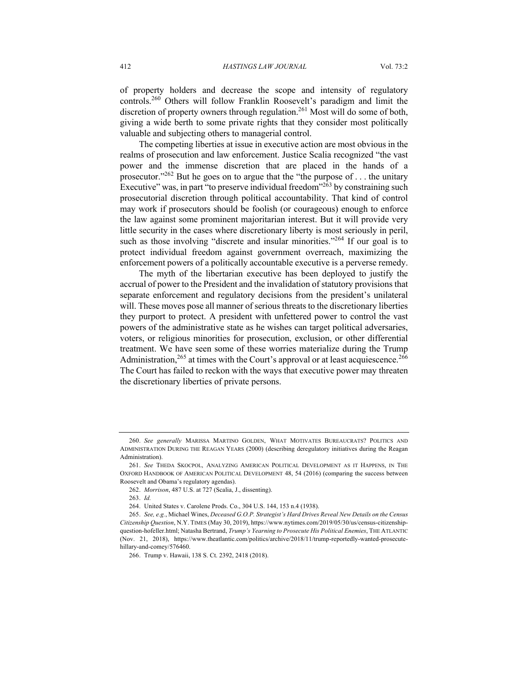of property holders and decrease the scope and intensity of regulatory controls.<sup>260</sup> Others will follow Franklin Roosevelt's paradigm and limit the discretion of property owners through regulation.<sup>261</sup> Most will do some of both, giving a wide berth to some private rights that they consider most politically valuable and subjecting others to managerial control.

The competing liberties at issue in executive action are most obvious in the realms of prosecution and law enforcement. Justice Scalia recognized "the vast power and the immense discretion that are placed in the hands of a prosecutor."<sup>262</sup> But he goes on to argue that the "the purpose of ... the unitary Executive" was, in part "to preserve individual freedom"<sup>263</sup> by constraining such prosecutorial discretion through political accountability. That kind of control may work if prosecutors should be foolish (or courageous) enough to enforce the law against some prominent majoritarian interest. But it will provide very little security in the cases where discretionary liberty is most seriously in peril, such as those involving "discrete and insular minorities."<sup>264</sup> If our goal is to protect individual freedom against government overreach, maximizing the enforcement powers of a politically accountable executive is a perverse remedy.

The myth of the libertarian executive has been deployed to justify the accrual of power to the President and the invalidation of statutory provisions that separate enforcement and regulatory decisions from the president's unilateral will. These moves pose all manner of serious threats to the discretionary liberties they purport to protect. A president with unfettered power to control the vast powers of the administrative state as he wishes can target political adversaries, voters, or religious minorities for prosecution, exclusion, or other differential treatment. We have seen some of these worries materialize during the Trump Administration,  $265$  at times with the Court's approval or at least acquiescence.  $266$ The Court has failed to reckon with the ways that executive power may threaten the discretionary liberties of private persons.

<sup>260.</sup> *See generally* MARISSA MARTINO GOLDEN, WHAT MOTIVATES BUREAUCRATS? POLITICS AND ADMINISTRATION DURING THE REAGAN YEARS (2000) (describing deregulatory initiatives during the Reagan Administration).

<sup>261.</sup> *See* THEDA SKOCPOL, ANALYZING AMERICAN POLITICAL DEVELOPMENT AS IT HAPPENS, IN THE OXFORD HANDBOOK OF AMERICAN POLITICAL DEVELOPMENT 48, 54 (2016) (comparing the success between Roosevelt and Obama's regulatory agendas).

<sup>262.</sup> *Morrison*, 487 U.S. at 727 (Scalia, J., dissenting).

<sup>263.</sup> *Id.*

<sup>264.</sup> United States v. Carolene Prods. Co., 304 U.S. 144, 153 n.4 (1938).

<sup>265.</sup> *See, e.g.*, Michael Wines, *Deceased G.O.P. Strategist's Hard Drives Reveal New Details on the Census Citizenship Question*, N.Y. TIMES (May 30, 2019), https://www.nytimes.com/2019/05/30/us/census-citizenshipquestion-hofeller.html; Natasha Bertrand, *Trump's Yearning to Prosecute His Political Enemies*, THE ATLANTIC (Nov. 21, 2018), https://www.theatlantic.com/politics/archive/2018/11/trump-reportedly-wanted-prosecutehillary-and-comey/576460.

<sup>266.</sup> Trump v. Hawaii, 138 S. Ct. 2392, 2418 (2018).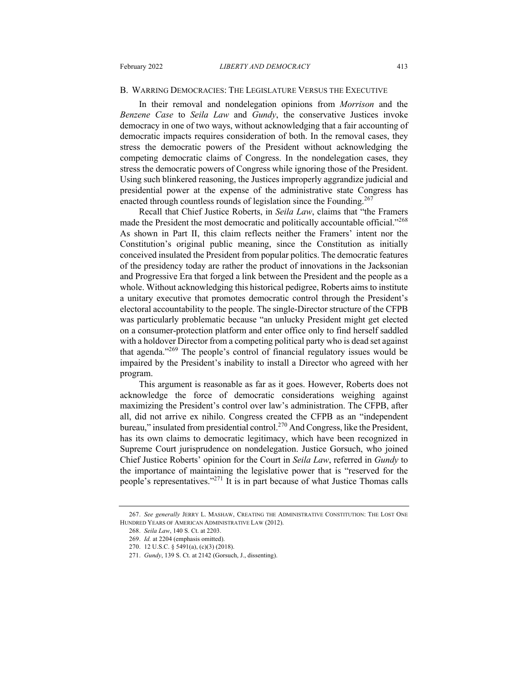#### B. WARRING DEMOCRACIES: THE LEGISLATURE VERSUS THE EXECUTIVE

In their removal and nondelegation opinions from *Morrison* and the *Benzene Case* to *Seila Law* and *Gundy*, the conservative Justices invoke democracy in one of two ways, without acknowledging that a fair accounting of democratic impacts requires consideration of both. In the removal cases, they stress the democratic powers of the President without acknowledging the competing democratic claims of Congress. In the nondelegation cases, they stress the democratic powers of Congress while ignoring those of the President. Using such blinkered reasoning, the Justices improperly aggrandize judicial and presidential power at the expense of the administrative state Congress has enacted through countless rounds of legislation since the Founding.<sup>267</sup>

Recall that Chief Justice Roberts, in *Seila Law*, claims that "the Framers made the President the most democratic and politically accountable official."<sup>268</sup> As shown in Part II, this claim reflects neither the Framers' intent nor the Constitution's original public meaning, since the Constitution as initially conceived insulated the President from popular politics. The democratic features of the presidency today are rather the product of innovations in the Jacksonian and Progressive Era that forged a link between the President and the people as a whole. Without acknowledging this historical pedigree, Roberts aims to institute a unitary executive that promotes democratic control through the President's electoral accountability to the people. The single-Director structure of the CFPB was particularly problematic because "an unlucky President might get elected on a consumer-protection platform and enter office only to find herself saddled with a holdover Director from a competing political party who is dead set against that agenda."269 The people's control of financial regulatory issues would be impaired by the President's inability to install a Director who agreed with her program.

This argument is reasonable as far as it goes. However, Roberts does not acknowledge the force of democratic considerations weighing against maximizing the President's control over law's administration. The CFPB, after all, did not arrive ex nihilo. Congress created the CFPB as an "independent bureau," insulated from presidential control.<sup>270</sup> And Congress, like the President, has its own claims to democratic legitimacy, which have been recognized in Supreme Court jurisprudence on nondelegation. Justice Gorsuch, who joined Chief Justice Roberts' opinion for the Court in *Seila Law*, referred in *Gundy* to the importance of maintaining the legislative power that is "reserved for the people's representatives."<sup>271</sup> It is in part because of what Justice Thomas calls

<sup>267.</sup> *See generally* JERRY L. MASHAW, CREATING THE ADMINISTRATIVE CONSTITUTION: THE LOST ONE HUNDRED YEARS OF AMERICAN ADMINISTRATIVE LAW (2012).

<sup>268.</sup> *Seila Law*, 140 S. Ct. at 2203.

<sup>269.</sup> *Id.* at 2204 (emphasis omitted).

<sup>270.</sup> 12 U.S.C. § 5491(a), (c)(3) (2018).

<sup>271.</sup> *Gundy*, 139 S. Ct. at 2142 (Gorsuch, J., dissenting).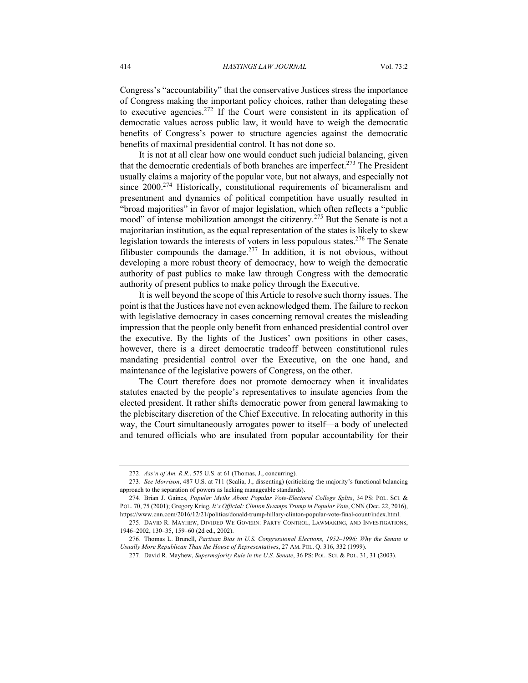Congress's "accountability" that the conservative Justices stress the importance of Congress making the important policy choices, rather than delegating these to executive agencies.<sup>272</sup> If the Court were consistent in its application of democratic values across public law, it would have to weigh the democratic benefits of Congress's power to structure agencies against the democratic benefits of maximal presidential control. It has not done so.

It is not at all clear how one would conduct such judicial balancing, given that the democratic credentials of both branches are imperfect.<sup>273</sup> The President usually claims a majority of the popular vote, but not always, and especially not since 2000.<sup>274</sup> Historically, constitutional requirements of bicameralism and presentment and dynamics of political competition have usually resulted in "broad majorities" in favor of major legislation, which often reflects a "public mood" of intense mobilization amongst the citizenry.<sup>275</sup> But the Senate is not a majoritarian institution, as the equal representation of the states is likely to skew legislation towards the interests of voters in less populous states.<sup>276</sup> The Senate filibuster compounds the damage.<sup>277</sup> In addition, it is not obvious, without developing a more robust theory of democracy, how to weigh the democratic authority of past publics to make law through Congress with the democratic authority of present publics to make policy through the Executive.

It is well beyond the scope of this Article to resolve such thorny issues. The point is that the Justices have not even acknowledged them. The failure to reckon with legislative democracy in cases concerning removal creates the misleading impression that the people only benefit from enhanced presidential control over the executive. By the lights of the Justices' own positions in other cases, however, there is a direct democratic tradeoff between constitutional rules mandating presidential control over the Executive, on the one hand, and maintenance of the legislative powers of Congress, on the other.

The Court therefore does not promote democracy when it invalidates statutes enacted by the people's representatives to insulate agencies from the elected president. It rather shifts democratic power from general lawmaking to the plebiscitary discretion of the Chief Executive. In relocating authority in this way, the Court simultaneously arrogates power to itself—a body of unelected and tenured officials who are insulated from popular accountability for their

<sup>272.</sup> *Ass'n of Am. R.R.*, 575 U.S. at 61 (Thomas, J., concurring).

<sup>273.</sup> *See Morrison*, 487 U.S. at 711 (Scalia, J., dissenting) (criticizing the majority's functional balancing approach to the separation of powers as lacking manageable standards).

<sup>274.</sup> Brian J. Gaines*, Popular Myths About Popular Vote-Electoral College Splits*, 34 PS: POL. SCI. & POL. 70, 75 (2001); Gregory Krieg, *It's Official: Clinton Swamps Trump in Popular Vote*, CNN (Dec. 22, 2016), https://www.cnn.com/2016/12/21/politics/donald-trump-hillary-clinton-popular-vote-final-count/index.html.

<sup>275.</sup> DAVID R. MAYHEW, DIVIDED WE GOVERN: PARTY CONTROL, LAWMAKING, AND INVESTIGATIONS, 1946–2002, 130–35, 159–60 (2d ed., 2002).

<sup>276.</sup> Thomas L. Brunell, *Partisan Bias in U.S. Congressional Elections, 1952–1996: Why the Senate is Usually More Republican Than the House of Representatives*, 27 AM. POL. Q. 316, 332 (1999).

<sup>277.</sup> David R. Mayhew, *Supermajority Rule in the U.S. Senate*, 36 PS: POL. SCI. & POL. 31, 31 (2003).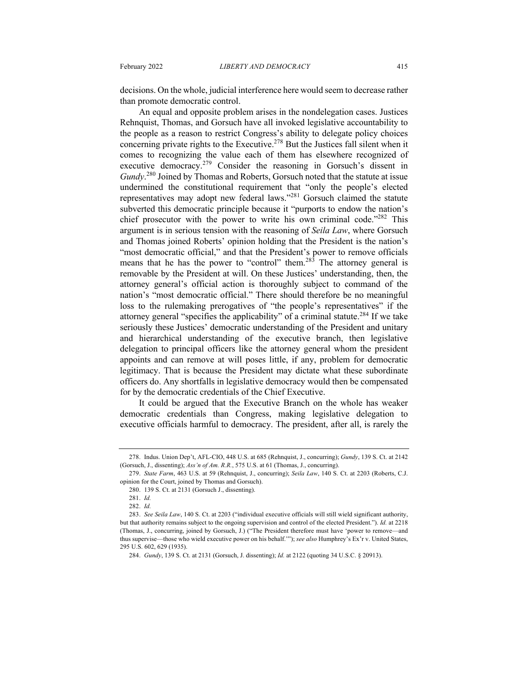decisions. On the whole, judicial interference here would seem to decrease rather than promote democratic control.

An equal and opposite problem arises in the nondelegation cases. Justices Rehnquist, Thomas, and Gorsuch have all invoked legislative accountability to the people as a reason to restrict Congress's ability to delegate policy choices concerning private rights to the Executive.278 But the Justices fall silent when it comes to recognizing the value each of them has elsewhere recognized of executive democracy.<sup>279</sup> Consider the reasoning in Gorsuch's dissent in *Gundy*. <sup>280</sup> Joined by Thomas and Roberts, Gorsuch noted that the statute at issue undermined the constitutional requirement that "only the people's elected representatives may adopt new federal laws."<sup>281</sup> Gorsuch claimed the statute subverted this democratic principle because it "purports to endow the nation's chief prosecutor with the power to write his own criminal code."282 This argument is in serious tension with the reasoning of *Seila Law*, where Gorsuch and Thomas joined Roberts' opinion holding that the President is the nation's "most democratic official," and that the President's power to remove officials means that he has the power to "control" them.<sup>283</sup> The attorney general is removable by the President at will. On these Justices' understanding, then, the attorney general's official action is thoroughly subject to command of the nation's "most democratic official." There should therefore be no meaningful loss to the rulemaking prerogatives of "the people's representatives" if the attorney general "specifies the applicability" of a criminal statute.<sup>284</sup> If we take seriously these Justices' democratic understanding of the President and unitary and hierarchical understanding of the executive branch, then legislative delegation to principal officers like the attorney general whom the president appoints and can remove at will poses little, if any, problem for democratic legitimacy. That is because the President may dictate what these subordinate officers do. Any shortfalls in legislative democracy would then be compensated for by the democratic credentials of the Chief Executive.

It could be argued that the Executive Branch on the whole has weaker democratic credentials than Congress, making legislative delegation to executive officials harmful to democracy. The president, after all, is rarely the

<sup>278.</sup> Indus. Union Dep't, AFL-CIO, 448 U.S. at 685 (Rehnquist, J., concurring); *Gundy*, 139 S. Ct. at 2142 (Gorsuch, J., dissenting); *Ass'n of Am. R.R.*, 575 U.S. at 61 (Thomas, J., concurring).

<sup>279.</sup> *State Farm*, 463 U.S. at 59 (Rehnquist, J., concurring); *Seila Law*, 140 S. Ct. at 2203 (Roberts, C.J. opinion for the Court, joined by Thomas and Gorsuch).

<sup>280.</sup> 139 S. Ct. at 2131 (Gorsuch J., dissenting).

<sup>281.</sup> *Id.*

<sup>282.</sup> *Id.*

<sup>283.</sup> *See Seila Law*, 140 S. Ct. at 2203 ("individual executive officials will still wield significant authority, but that authority remains subject to the ongoing supervision and control of the elected President."). *Id.* at 2218 (Thomas, J., concurring, joined by Gorsuch, J.) ("The President therefore must have 'power to remove—and thus supervise—those who wield executive power on his behalf.'"); *see also* Humphrey's Ex'r v. United States, 295 U.S. 602, 629 (1935).

<sup>284.</sup> *Gundy*, 139 S. Ct. at 2131 (Gorsuch, J. dissenting); *Id.* at 2122 (quoting 34 U.S.C. § 20913).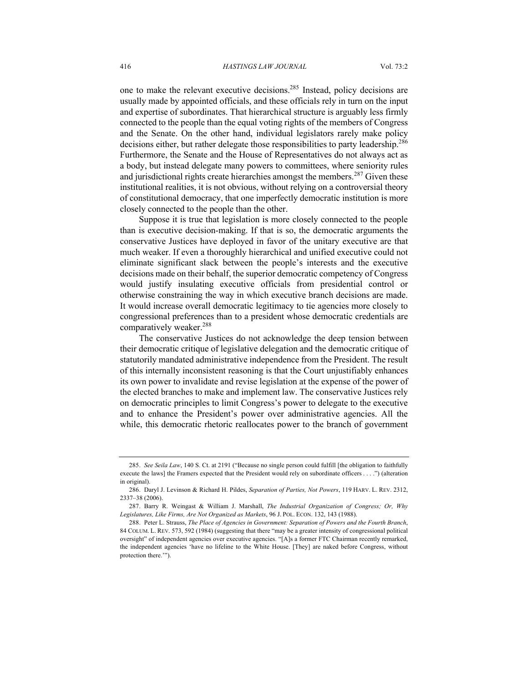one to make the relevant executive decisions.285 Instead, policy decisions are usually made by appointed officials, and these officials rely in turn on the input and expertise of subordinates. That hierarchical structure is arguably less firmly connected to the people than the equal voting rights of the members of Congress and the Senate. On the other hand, individual legislators rarely make policy decisions either, but rather delegate those responsibilities to party leadership.<sup>286</sup> Furthermore, the Senate and the House of Representatives do not always act as a body, but instead delegate many powers to committees, where seniority rules and jurisdictional rights create hierarchies amongst the members.<sup>287</sup> Given these institutional realities, it is not obvious, without relying on a controversial theory of constitutional democracy, that one imperfectly democratic institution is more closely connected to the people than the other.

Suppose it is true that legislation is more closely connected to the people than is executive decision-making. If that is so, the democratic arguments the conservative Justices have deployed in favor of the unitary executive are that much weaker. If even a thoroughly hierarchical and unified executive could not eliminate significant slack between the people's interests and the executive decisions made on their behalf, the superior democratic competency of Congress would justify insulating executive officials from presidential control or otherwise constraining the way in which executive branch decisions are made. It would increase overall democratic legitimacy to tie agencies more closely to congressional preferences than to a president whose democratic credentials are comparatively weaker.<sup>288</sup>

The conservative Justices do not acknowledge the deep tension between their democratic critique of legislative delegation and the democratic critique of statutorily mandated administrative independence from the President. The result of this internally inconsistent reasoning is that the Court unjustifiably enhances its own power to invalidate and revise legislation at the expense of the power of the elected branches to make and implement law. The conservative Justices rely on democratic principles to limit Congress's power to delegate to the executive and to enhance the President's power over administrative agencies. All the while, this democratic rhetoric reallocates power to the branch of government

<sup>285.</sup> *See Seila Law*, 140 S. Ct. at 2191 ("Because no single person could fulfill [the obligation to faithfully execute the laws] the Framers expected that the President would rely on subordinate officers . . . .") (alteration in original).

<sup>286.</sup> Daryl J. Levinson & Richard H. Pildes, *Separation of Parties, Not Powers*, 119 HARV. L. REV. 2312, 2337–38 (2006).

<sup>287.</sup> Barry R. Weingast & William J. Marshall, *The Industrial Organization of Congress; Or, Why Legislatures, Like Firms, Are Not Organized as Markets*, 96 J. POL. ECON. 132, 143 (1988).

<sup>288.</sup> Peter L. Strauss, *The Place of Agencies in Government: Separation of Powers and the Fourth Branch*, 84 COLUM. L. REV. 573, 592 (1984) (suggesting that there "may be a greater intensity of congressional political oversight" of independent agencies over executive agencies. "[A]s a former FTC Chairman recently remarked, the independent agencies 'have no lifeline to the White House. [They] are naked before Congress, without protection there.'").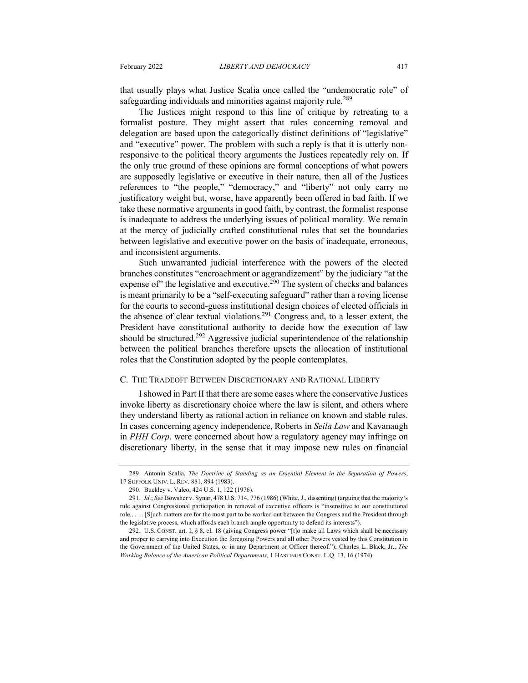that usually plays what Justice Scalia once called the "undemocratic role" of safeguarding individuals and minorities against majority rule.<sup>289</sup>

The Justices might respond to this line of critique by retreating to a formalist posture. They might assert that rules concerning removal and delegation are based upon the categorically distinct definitions of "legislative" and "executive" power. The problem with such a reply is that it is utterly nonresponsive to the political theory arguments the Justices repeatedly rely on. If the only true ground of these opinions are formal conceptions of what powers are supposedly legislative or executive in their nature, then all of the Justices references to "the people," "democracy," and "liberty" not only carry no justificatory weight but, worse, have apparently been offered in bad faith. If we take these normative arguments in good faith, by contrast, the formalist response is inadequate to address the underlying issues of political morality. We remain at the mercy of judicially crafted constitutional rules that set the boundaries between legislative and executive power on the basis of inadequate, erroneous, and inconsistent arguments.

Such unwarranted judicial interference with the powers of the elected branches constitutes "encroachment or aggrandizement" by the judiciary "at the expense of" the legislative and executive.<sup>290</sup> The system of checks and balances is meant primarily to be a "self-executing safeguard" rather than a roving license for the courts to second-guess institutional design choices of elected officials in the absence of clear textual violations.<sup>291</sup> Congress and, to a lesser extent, the President have constitutional authority to decide how the execution of law should be structured.<sup>292</sup> Aggressive judicial superintendence of the relationship between the political branches therefore upsets the allocation of institutional roles that the Constitution adopted by the people contemplates.

#### C. THE TRADEOFF BETWEEN DISCRETIONARY AND RATIONAL LIBERTY

I showed in Part II that there are some cases where the conservative Justices invoke liberty as discretionary choice where the law is silent, and others where they understand liberty as rational action in reliance on known and stable rules. In cases concerning agency independence, Roberts in *Seila Law* and Kavanaugh in *PHH Corp*. were concerned about how a regulatory agency may infringe on discretionary liberty, in the sense that it may impose new rules on financial

<sup>289.</sup> Antonin Scalia, *The Doctrine of Standing as an Essential Element in the Separation of Powers*, 17 SUFFOLK UNIV. L. REV. 881, 894 (1983).

<sup>290.</sup> Buckley v. Valeo, 424 U.S. 1, 122 (1976).

<sup>291.</sup> *Id.*; *See* Bowsher v. Synar, 478 U.S. 714, 776 (1986) (White, J., dissenting) (arguing that the majority's rule against Congressional participation in removal of executive officers is "insensitive to our constitutional role . . . . [S]uch matters are for the most part to be worked out between the Congress and the President through the legislative process, which affords each branch ample opportunity to defend its interests").

<sup>292.</sup> U.S. CONST. art. I, § 8, cl. 18 (giving Congress power "[t]o make all Laws which shall be necessary and proper to carrying into Execution the foregoing Powers and all other Powers vested by this Constitution in the Government of the United States, or in any Department or Officer thereof."); Charles L. Black, Jr., *The Working Balance of the American Political Departments*, 1 HASTINGS CONST. L.Q. 13, 16 (1974).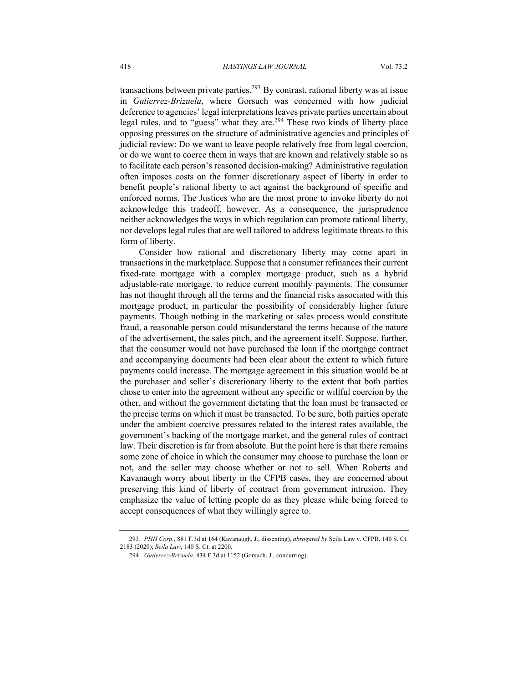transactions between private parties.<sup>293</sup> By contrast, rational liberty was at issue in *Gutierrez-Brizuela*, where Gorsuch was concerned with how judicial deference to agencies' legal interpretations leaves private parties uncertain about legal rules, and to "guess" what they are.<sup>294</sup> These two kinds of liberty place opposing pressures on the structure of administrative agencies and principles of judicial review: Do we want to leave people relatively free from legal coercion, or do we want to coerce them in ways that are known and relatively stable so as to facilitate each person's reasoned decision-making? Administrative regulation often imposes costs on the former discretionary aspect of liberty in order to benefit people's rational liberty to act against the background of specific and enforced norms. The Justices who are the most prone to invoke liberty do not acknowledge this tradeoff, however. As a consequence, the jurisprudence neither acknowledges the ways in which regulation can promote rational liberty, nor develops legal rules that are well tailored to address legitimate threats to this form of liberty.

Consider how rational and discretionary liberty may come apart in transactions in the marketplace. Suppose that a consumer refinances their current fixed-rate mortgage with a complex mortgage product, such as a hybrid adjustable-rate mortgage, to reduce current monthly payments. The consumer has not thought through all the terms and the financial risks associated with this mortgage product, in particular the possibility of considerably higher future payments. Though nothing in the marketing or sales process would constitute fraud, a reasonable person could misunderstand the terms because of the nature of the advertisement, the sales pitch, and the agreement itself. Suppose, further, that the consumer would not have purchased the loan if the mortgage contract and accompanying documents had been clear about the extent to which future payments could increase. The mortgage agreement in this situation would be at the purchaser and seller's discretionary liberty to the extent that both parties chose to enter into the agreement without any specific or willful coercion by the other, and without the government dictating that the loan must be transacted or the precise terms on which it must be transacted. To be sure, both parties operate under the ambient coercive pressures related to the interest rates available, the government's backing of the mortgage market, and the general rules of contract law. Their discretion is far from absolute. But the point here is that there remains some zone of choice in which the consumer may choose to purchase the loan or not, and the seller may choose whether or not to sell. When Roberts and Kavanaugh worry about liberty in the CFPB cases, they are concerned about preserving this kind of liberty of contract from government intrusion. They emphasize the value of letting people do as they please while being forced to accept consequences of what they willingly agree to.

<sup>293.</sup> *PHH Corp.*, 881 F.3d at 164 (Kavanaugh, J., dissenting), *abrogated by* Seila Law v. CFPB, 140 S. Ct. 2183 (2020); *Seila Law*, 140 S. Ct. at 2200.

<sup>294.</sup> *Gutierrez-Brizuela*, 834 F.3d at 1152 (Gorsuch, J., concurring).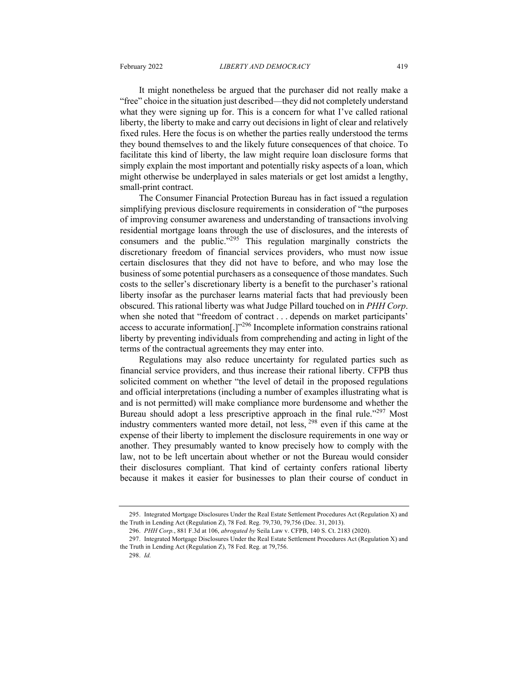It might nonetheless be argued that the purchaser did not really make a "free" choice in the situation just described—they did not completely understand

what they were signing up for. This is a concern for what I've called rational liberty, the liberty to make and carry out decisions in light of clear and relatively fixed rules. Here the focus is on whether the parties really understood the terms they bound themselves to and the likely future consequences of that choice. To facilitate this kind of liberty, the law might require loan disclosure forms that simply explain the most important and potentially risky aspects of a loan, which might otherwise be underplayed in sales materials or get lost amidst a lengthy, small-print contract.

The Consumer Financial Protection Bureau has in fact issued a regulation simplifying previous disclosure requirements in consideration of "the purposes of improving consumer awareness and understanding of transactions involving residential mortgage loans through the use of disclosures, and the interests of consumers and the public."<sup>295</sup> This regulation marginally constricts the discretionary freedom of financial services providers, who must now issue certain disclosures that they did not have to before, and who may lose the business of some potential purchasers as a consequence of those mandates. Such costs to the seller's discretionary liberty is a benefit to the purchaser's rational liberty insofar as the purchaser learns material facts that had previously been obscured. This rational liberty was what Judge Pillard touched on in *PHH Corp*. when she noted that "freedom of contract . . . depends on market participants' access to accurate information[.]"<sup>296</sup> Incomplete information constrains rational liberty by preventing individuals from comprehending and acting in light of the terms of the contractual agreements they may enter into.

Regulations may also reduce uncertainty for regulated parties such as financial service providers, and thus increase their rational liberty. CFPB thus solicited comment on whether "the level of detail in the proposed regulations and official interpretations (including a number of examples illustrating what is and is not permitted) will make compliance more burdensome and whether the Bureau should adopt a less prescriptive approach in the final rule."<sup>297</sup> Most industry commenters wanted more detail, not less, <sup>298</sup> even if this came at the expense of their liberty to implement the disclosure requirements in one way or another. They presumably wanted to know precisely how to comply with the law, not to be left uncertain about whether or not the Bureau would consider their disclosures compliant. That kind of certainty confers rational liberty because it makes it easier for businesses to plan their course of conduct in

<sup>295.</sup> Integrated Mortgage Disclosures Under the Real Estate Settlement Procedures Act (Regulation X) and the Truth in Lending Act (Regulation Z), 78 Fed. Reg. 79,730, 79,756 (Dec. 31, 2013).

<sup>296.</sup> *PHH Corp.*, 881 F.3d at 106, *abrogated by* Seila Law v. CFPB, 140 S. Ct. 2183 (2020).

<sup>297.</sup> Integrated Mortgage Disclosures Under the Real Estate Settlement Procedures Act (Regulation X) and the Truth in Lending Act (Regulation Z), 78 Fed. Reg. at 79,756.

<sup>298.</sup> *Id.*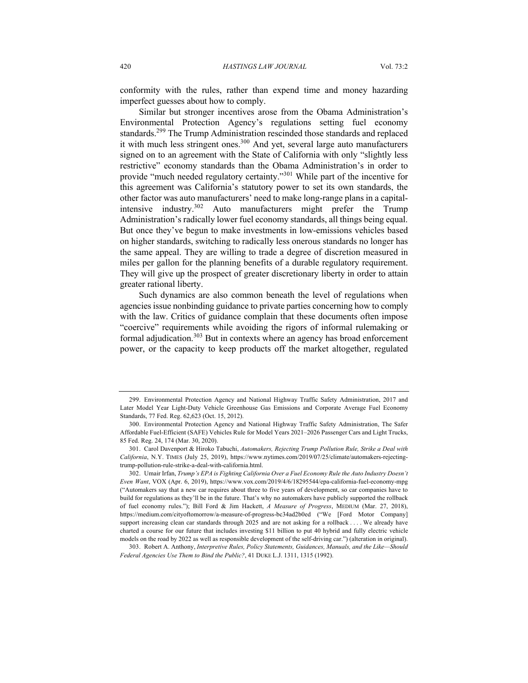conformity with the rules, rather than expend time and money hazarding imperfect guesses about how to comply.

Similar but stronger incentives arose from the Obama Administration's Environmental Protection Agency's regulations setting fuel economy standards.<sup>299</sup> The Trump Administration rescinded those standards and replaced it with much less stringent ones. <sup>300</sup> And yet, several large auto manufacturers signed on to an agreement with the State of California with only "slightly less restrictive" economy standards than the Obama Administration's in order to provide "much needed regulatory certainty."<sup>301</sup> While part of the incentive for this agreement was California's statutory power to set its own standards, the other factor was auto manufacturers' need to make long-range plans in a capitalintensive industry.<sup>302</sup> Auto manufacturers might prefer the Trump Administration's radically lower fuel economy standards, all things being equal. But once they've begun to make investments in low-emissions vehicles based on higher standards, switching to radically less onerous standards no longer has the same appeal. They are willing to trade a degree of discretion measured in miles per gallon for the planning benefits of a durable regulatory requirement. They will give up the prospect of greater discretionary liberty in order to attain greater rational liberty.

Such dynamics are also common beneath the level of regulations when agencies issue nonbinding guidance to private parties concerning how to comply with the law. Critics of guidance complain that these documents often impose "coercive" requirements while avoiding the rigors of informal rulemaking or formal adjudication.<sup>303</sup> But in contexts where an agency has broad enforcement power, or the capacity to keep products off the market altogether, regulated

<sup>299.</sup> Environmental Protection Agency and National Highway Traffic Safety Administration, 2017 and Later Model Year Light-Duty Vehicle Greenhouse Gas Emissions and Corporate Average Fuel Economy Standards, 77 Fed. Reg. 62,623 (Oct. 15, 2012).

<sup>300.</sup> Environmental Protection Agency and National Highway Traffic Safety Administration, The Safer Affordable Fuel-Efficient (SAFE) Vehicles Rule for Model Years 2021–2026 Passenger Cars and Light Trucks, 85 Fed. Reg. 24, 174 (Mar. 30, 2020).

<sup>301.</sup> Carol Davenport & Hiroko Tabuchi, *Automakers, Rejecting Trump Pollution Rule, Strike a Deal with California*, N.Y. TIMES (July 25, 2019), https://www.nytimes.com/2019/07/25/climate/automakers-rejectingtrump-pollution-rule-strike-a-deal-with-california.html.

<sup>302.</sup> Umair Irfan, *Trump's EPA is Fighting California Over a Fuel Economy Rule the Auto Industry Doesn't Even Want*, VOX (Apr. 6, 2019), https://www.vox.com/2019/4/6/18295544/epa-california-fuel-economy-mpg ("Automakers say that a new car requires about three to five years of development, so car companies have to build for regulations as they'll be in the future. That's why no automakers have publicly supported the rollback of fuel economy rules."); Bill Ford & Jim Hackett, *A Measure of Progress*, MEDIUM (Mar. 27, 2018), https://medium.com/cityoftomorrow/a-measure-of-progress-bc34ad2b0ed ("We [Ford Motor Company] support increasing clean car standards through 2025 and are not asking for a rollback . . . . We already have charted a course for our future that includes investing \$11 billion to put 40 hybrid and fully electric vehicle models on the road by 2022 as well as responsible development of the self-driving car.") (alteration in original).

<sup>303.</sup> Robert A. Anthony, *Interpretive Rules, Policy Statements, Guidances, Manuals, and the Like—Should Federal Agencies Use Them to Bind the Public?*, 41 DUKE L.J. 1311, 1315 (1992).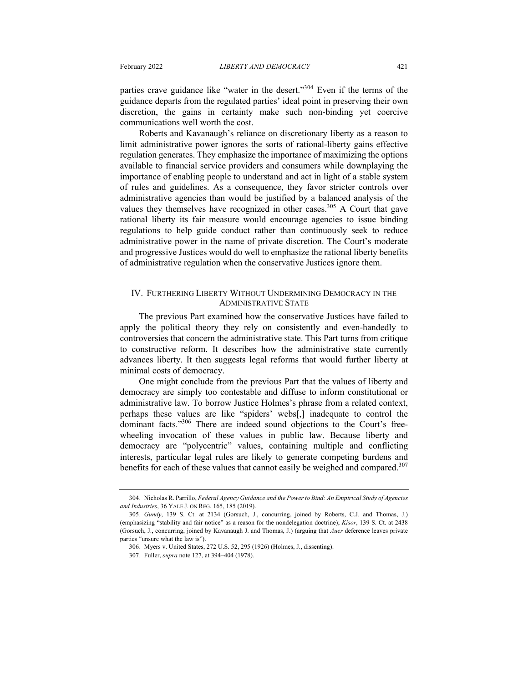parties crave guidance like "water in the desert."304 Even if the terms of the guidance departs from the regulated parties' ideal point in preserving their own discretion, the gains in certainty make such non-binding yet coercive communications well worth the cost.

Roberts and Kavanaugh's reliance on discretionary liberty as a reason to limit administrative power ignores the sorts of rational-liberty gains effective regulation generates. They emphasize the importance of maximizing the options available to financial service providers and consumers while downplaying the importance of enabling people to understand and act in light of a stable system of rules and guidelines. As a consequence, they favor stricter controls over administrative agencies than would be justified by a balanced analysis of the values they themselves have recognized in other cases.<sup>305</sup> A Court that gave rational liberty its fair measure would encourage agencies to issue binding regulations to help guide conduct rather than continuously seek to reduce administrative power in the name of private discretion. The Court's moderate and progressive Justices would do well to emphasize the rational liberty benefits of administrative regulation when the conservative Justices ignore them.

#### IV. FURTHERING LIBERTY WITHOUT UNDERMINING DEMOCRACY IN THE ADMINISTRATIVE STATE

The previous Part examined how the conservative Justices have failed to apply the political theory they rely on consistently and even-handedly to controversies that concern the administrative state. This Part turns from critique to constructive reform. It describes how the administrative state currently advances liberty. It then suggests legal reforms that would further liberty at minimal costs of democracy.

One might conclude from the previous Part that the values of liberty and democracy are simply too contestable and diffuse to inform constitutional or administrative law. To borrow Justice Holmes's phrase from a related context, perhaps these values are like "spiders' webs[,] inadequate to control the dominant facts."<sup>306</sup> There are indeed sound objections to the Court's freewheeling invocation of these values in public law. Because liberty and democracy are "polycentric" values, containing multiple and conflicting interests, particular legal rules are likely to generate competing burdens and benefits for each of these values that cannot easily be weighed and compared.<sup>307</sup>

<sup>304.</sup> Nicholas R. Parrillo, *Federal Agency Guidance and the Power to Bind: An Empirical Study of Agencies and Industries*, 36 YALE J. ON REG. 165, 185 (2019).

<sup>305.</sup> *Gundy*, 139 S. Ct. at 2134 (Gorsuch, J., concurring, joined by Roberts, C.J. and Thomas, J.) (emphasizing "stability and fair notice" as a reason for the nondelegation doctrine); *Kisor*, 139 S. Ct. at 2438 (Gorsuch, J., concurring, joined by Kavanaugh J. and Thomas, J.) (arguing that *Auer* deference leaves private parties "unsure what the law is").

<sup>306.</sup> Myers v. United States, 272 U.S. 52, 295 (1926) (Holmes, J., dissenting).

<sup>307.</sup> Fuller, *supra* note 127, at 394–404 (1978).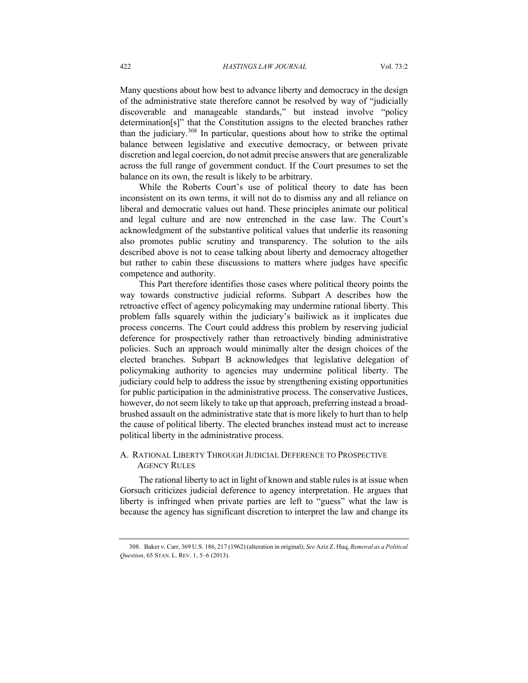Many questions about how best to advance liberty and democracy in the design of the administrative state therefore cannot be resolved by way of "judicially discoverable and manageable standards," but instead involve "policy determination[s]" that the Constitution assigns to the elected branches rather than the judiciary.308 In particular, questions about how to strike the optimal balance between legislative and executive democracy, or between private discretion and legal coercion, do not admit precise answers that are generalizable across the full range of government conduct. If the Court presumes to set the balance on its own, the result is likely to be arbitrary.

While the Roberts Court's use of political theory to date has been inconsistent on its own terms, it will not do to dismiss any and all reliance on liberal and democratic values out hand. These principles animate our political and legal culture and are now entrenched in the case law. The Court's acknowledgment of the substantive political values that underlie its reasoning also promotes public scrutiny and transparency. The solution to the ails described above is not to cease talking about liberty and democracy altogether but rather to cabin these discussions to matters where judges have specific competence and authority.

This Part therefore identifies those cases where political theory points the way towards constructive judicial reforms. Subpart A describes how the retroactive effect of agency policymaking may undermine rational liberty. This problem falls squarely within the judiciary's bailiwick as it implicates due process concerns. The Court could address this problem by reserving judicial deference for prospectively rather than retroactively binding administrative policies. Such an approach would minimally alter the design choices of the elected branches. Subpart B acknowledges that legislative delegation of policymaking authority to agencies may undermine political liberty. The judiciary could help to address the issue by strengthening existing opportunities for public participation in the administrative process. The conservative Justices, however, do not seem likely to take up that approach, preferring instead a broadbrushed assault on the administrative state that is more likely to hurt than to help the cause of political liberty. The elected branches instead must act to increase political liberty in the administrative process.

## A. RATIONAL LIBERTY THROUGH JUDICIAL DEFERENCE TO PROSPECTIVE AGENCY RULES

The rational liberty to act in light of known and stable rules is at issue when Gorsuch criticizes judicial deference to agency interpretation. He argues that liberty is infringed when private parties are left to "guess" what the law is because the agency has significant discretion to interpret the law and change its

<sup>308.</sup> Baker v. Carr, 369 U.S. 186, 217 (1962) (alteration in original); *See* Aziz Z. Huq, *Removal as a Political Question*, 65 STAN. L. REV. 1, 5–6 (2013).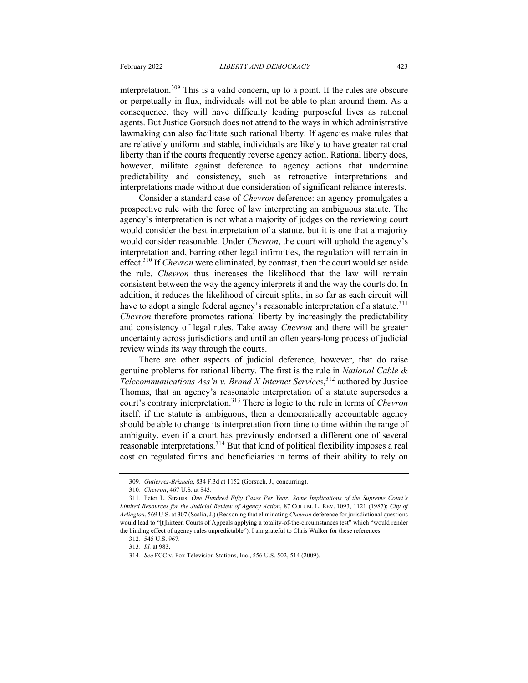interpretation.<sup>309</sup> This is a valid concern, up to a point. If the rules are obscure or perpetually in flux, individuals will not be able to plan around them. As a consequence, they will have difficulty leading purposeful lives as rational agents. But Justice Gorsuch does not attend to the ways in which administrative lawmaking can also facilitate such rational liberty. If agencies make rules that are relatively uniform and stable, individuals are likely to have greater rational liberty than if the courts frequently reverse agency action. Rational liberty does, however, militate against deference to agency actions that undermine predictability and consistency, such as retroactive interpretations and interpretations made without due consideration of significant reliance interests.

Consider a standard case of *Chevron* deference: an agency promulgates a prospective rule with the force of law interpreting an ambiguous statute. The agency's interpretation is not what a majority of judges on the reviewing court would consider the best interpretation of a statute, but it is one that a majority would consider reasonable. Under *Chevron*, the court will uphold the agency's interpretation and, barring other legal infirmities, the regulation will remain in effect.310 If *Chevron* were eliminated, by contrast, then the court would set aside the rule. *Chevron* thus increases the likelihood that the law will remain consistent between the way the agency interprets it and the way the courts do. In addition, it reduces the likelihood of circuit splits, in so far as each circuit will have to adopt a single federal agency's reasonable interpretation of a statute.<sup>311</sup> *Chevron* therefore promotes rational liberty by increasingly the predictability and consistency of legal rules. Take away *Chevron* and there will be greater uncertainty across jurisdictions and until an often years-long process of judicial review winds its way through the courts.

There are other aspects of judicial deference, however, that do raise genuine problems for rational liberty. The first is the rule in *National Cable & Telecommunications Ass'n v. Brand X Internet Services*, <sup>312</sup> authored by Justice Thomas, that an agency's reasonable interpretation of a statute supersedes a court's contrary interpretation.313 There is logic to the rule in terms of *Chevron* itself: if the statute is ambiguous, then a democratically accountable agency should be able to change its interpretation from time to time within the range of ambiguity, even if a court has previously endorsed a different one of several reasonable interpretations.<sup>314</sup> But that kind of political flexibility imposes a real cost on regulated firms and beneficiaries in terms of their ability to rely on

<sup>309.</sup> *Gutierrez-Brizuela*, 834 F.3d at 1152 (Gorsuch, J., concurring).

<sup>310.</sup> *Chevron*, 467 U.S. at 843.

<sup>311.</sup> Peter L. Strauss, *One Hundred Fifty Cases Per Year: Some Implications of the Supreme Court's Limited Resources for the Judicial Review of Agency Action*, 87 COLUM. L. REV. 1093, 1121 (1987); *City of Arlington*, 569 U.S. at 307 (Scalia, J.) (Reasoning that eliminating *Chevron* deference for jurisdictional questions would lead to "[t]hirteen Courts of Appeals applying a totality-of-the-circumstances test" which "would render the binding effect of agency rules unpredictable"). I am grateful to Chris Walker for these references.

<sup>312.</sup> 545 U.S. 967.

<sup>313.</sup> *Id.* at 983.

<sup>314.</sup> *See* FCC v. Fox Television Stations, Inc., 556 U.S. 502, 514 (2009).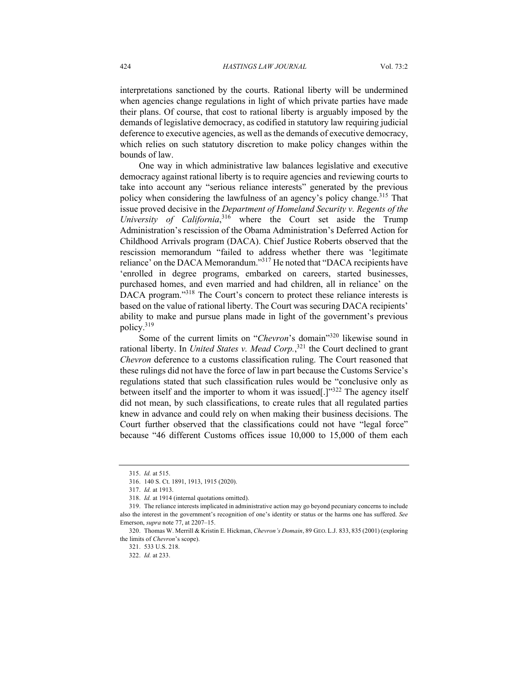interpretations sanctioned by the courts. Rational liberty will be undermined when agencies change regulations in light of which private parties have made their plans. Of course, that cost to rational liberty is arguably imposed by the demands of legislative democracy, as codified in statutory law requiring judicial deference to executive agencies, as well as the demands of executive democracy, which relies on such statutory discretion to make policy changes within the bounds of law.

One way in which administrative law balances legislative and executive democracy against rational liberty is to require agencies and reviewing courts to take into account any "serious reliance interests" generated by the previous policy when considering the lawfulness of an agency's policy change.<sup>315</sup> That issue proved decisive in the *Department of Homeland Security v. Regents of the University of California*, <sup>316</sup> where the Court set aside the Trump Administration's rescission of the Obama Administration's Deferred Action for Childhood Arrivals program (DACA). Chief Justice Roberts observed that the rescission memorandum "failed to address whether there was 'legitimate reliance' on the DACA Memorandum."<sup>317</sup> He noted that "DACA recipients have 'enrolled in degree programs, embarked on careers, started businesses, purchased homes, and even married and had children, all in reliance' on the DACA program."<sup>318</sup> The Court's concern to protect these reliance interests is based on the value of rational liberty. The Court was securing DACA recipients' ability to make and pursue plans made in light of the government's previous policy.319

Some of the current limits on "*Chevron*'s domain<sup>320</sup> likewise sound in rational liberty. In *United States v. Mead Corp.*, <sup>321</sup> the Court declined to grant *Chevron* deference to a customs classification ruling. The Court reasoned that these rulings did not have the force of law in part because the Customs Service's regulations stated that such classification rules would be "conclusive only as between itself and the importer to whom it was issued[.]"<sup>322</sup> The agency itself did not mean, by such classifications, to create rules that all regulated parties knew in advance and could rely on when making their business decisions. The Court further observed that the classifications could not have "legal force" because "46 different Customs offices issue 10,000 to 15,000 of them each

<sup>315.</sup> *Id.* at 515.

<sup>316.</sup> 140 S. Ct. 1891, 1913, 1915 (2020).

<sup>317.</sup> *Id.* at 1913.

<sup>318.</sup> *Id.* at 1914 (internal quotations omitted).

<sup>319.</sup> The reliance interests implicated in administrative action may go beyond pecuniary concerns to include also the interest in the government's recognition of one's identity or status or the harms one has suffered. *See* Emerson, *supra* note 77, at 2207–15.

<sup>320.</sup> Thomas W. Merrill & Kristin E. Hickman, *Chevron's Domain*, 89 GEO. L.J. 833, 835 (2001) (exploring the limits of *Chevron*'s scope).

<sup>321.</sup> 533 U.S. 218.

<sup>322.</sup> *Id.* at 233.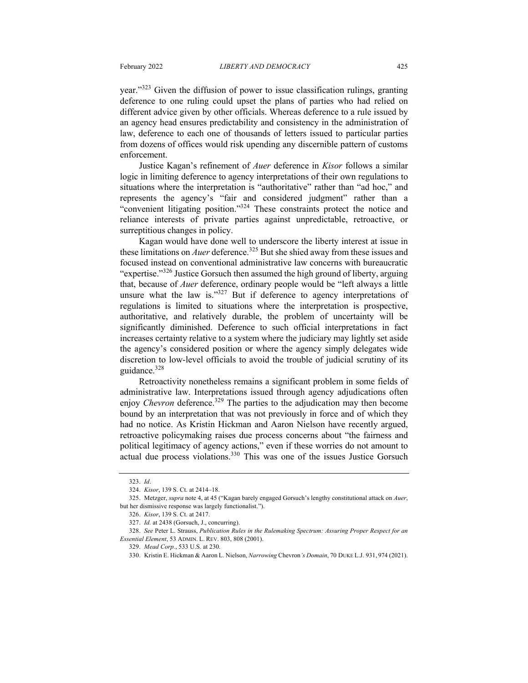year."<sup>323</sup> Given the diffusion of power to issue classification rulings, granting deference to one ruling could upset the plans of parties who had relied on different advice given by other officials. Whereas deference to a rule issued by an agency head ensures predictability and consistency in the administration of law, deference to each one of thousands of letters issued to particular parties from dozens of offices would risk upending any discernible pattern of customs enforcement.

Justice Kagan's refinement of *Auer* deference in *Kisor* follows a similar logic in limiting deference to agency interpretations of their own regulations to situations where the interpretation is "authoritative" rather than "ad hoc," and represents the agency's "fair and considered judgment" rather than a "convenient litigating position."324 These constraints protect the notice and reliance interests of private parties against unpredictable, retroactive, or surreptitious changes in policy.

Kagan would have done well to underscore the liberty interest at issue in these limitations on *Auer* deference.<sup>325</sup> But she shied away from these issues and focused instead on conventional administrative law concerns with bureaucratic "expertise."<sup>326</sup> Justice Gorsuch then assumed the high ground of liberty, arguing that, because of *Auer* deference, ordinary people would be "left always a little unsure what the law is." $327$  But if deference to agency interpretations of regulations is limited to situations where the interpretation is prospective, authoritative, and relatively durable, the problem of uncertainty will be significantly diminished. Deference to such official interpretations in fact increases certainty relative to a system where the judiciary may lightly set aside the agency's considered position or where the agency simply delegates wide discretion to low-level officials to avoid the trouble of judicial scrutiny of its guidance.<sup>328</sup>

Retroactivity nonetheless remains a significant problem in some fields of administrative law. Interpretations issued through agency adjudications often enjoy *Chevron* deference.<sup>329</sup> The parties to the adjudication may then become bound by an interpretation that was not previously in force and of which they had no notice. As Kristin Hickman and Aaron Nielson have recently argued, retroactive policymaking raises due process concerns about "the fairness and political legitimacy of agency actions," even if these worries do not amount to actual due process violations.330 This was one of the issues Justice Gorsuch

<sup>323.</sup> *Id*.

<sup>324.</sup> *Kisor*, 139 S. Ct. at 2414–18.

<sup>325.</sup> Metzger, *supra* note 4, at 45 ("Kagan barely engaged Gorsuch's lengthy constitutional attack on *Auer*, but her dismissive response was largely functionalist.").

<sup>326.</sup> *Kisor*, 139 S. Ct. at 2417.

<sup>327.</sup> *Id.* at 2438 (Gorsuch, J., concurring).

<sup>328.</sup> *See* Peter L. Strauss, *Publication Rules in the Rulemaking Spectrum: Assuring Proper Respect for an Essential Element*, 53 ADMIN. L. REV. 803, 808 (2001).

<sup>329.</sup> *Mead Corp.*, 533 U.S. at 230.

<sup>330.</sup> Kristin E. Hickman & Aaron L. Nielson, *Narrowing* Chevron*'s Domain*, 70 DUKE L.J. 931, 974 (2021).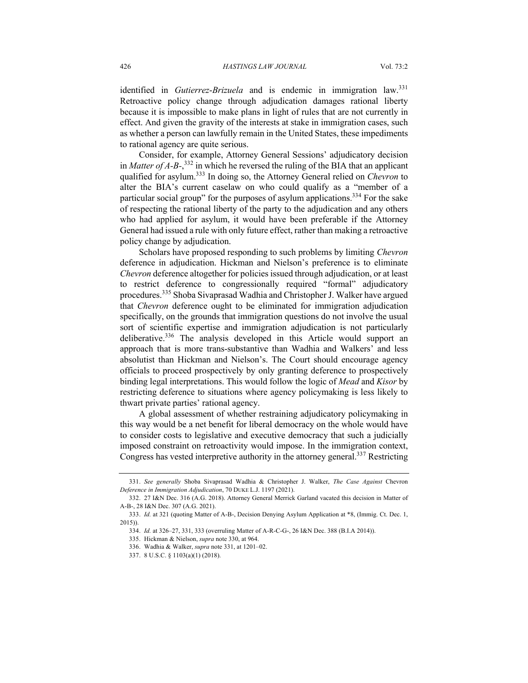identified in *Gutierrez*-*Brizuela* and is endemic in immigration law.<sup>331</sup> Retroactive policy change through adjudication damages rational liberty because it is impossible to make plans in light of rules that are not currently in effect. And given the gravity of the interests at stake in immigration cases, such as whether a person can lawfully remain in the United States, these impediments to rational agency are quite serious.

Consider, for example, Attorney General Sessions' adjudicatory decision in *Matter of A-B-*, <sup>332</sup> in which he reversed the ruling of the BIA that an applicant qualified for asylum.333 In doing so, the Attorney General relied on *Chevron* to alter the BIA's current caselaw on who could qualify as a "member of a particular social group" for the purposes of asylum applications.334 For the sake of respecting the rational liberty of the party to the adjudication and any others who had applied for asylum, it would have been preferable if the Attorney General had issued a rule with only future effect, rather than making a retroactive policy change by adjudication.

Scholars have proposed responding to such problems by limiting *Chevron* deference in adjudication. Hickman and Nielson's preference is to eliminate *Chevron* deference altogether for policies issued through adjudication, or at least to restrict deference to congressionally required "formal" adjudicatory procedures.<sup>335</sup> Shoba Sivaprasad Wadhia and Christopher J. Walker have argued that *Chevron* deference ought to be eliminated for immigration adjudication specifically, on the grounds that immigration questions do not involve the usual sort of scientific expertise and immigration adjudication is not particularly deliberative.<sup>336</sup> The analysis developed in this Article would support an approach that is more trans-substantive than Wadhia and Walkers' and less absolutist than Hickman and Nielson's. The Court should encourage agency officials to proceed prospectively by only granting deference to prospectively binding legal interpretations. This would follow the logic of *Mead* and *Kisor* by restricting deference to situations where agency policymaking is less likely to thwart private parties' rational agency.

A global assessment of whether restraining adjudicatory policymaking in this way would be a net benefit for liberal democracy on the whole would have to consider costs to legislative and executive democracy that such a judicially imposed constraint on retroactivity would impose. In the immigration context, Congress has vested interpretive authority in the attorney general.337 Restricting

<sup>331.</sup> *See generally* Shoba Sivaprasad Wadhia & Christopher J. Walker, *The Case Against* Chevron *Deference in Immigration Adjudication*, 70 DUKE L.J. 1197 (2021).

<sup>332.</sup> 27 I&N Dec. 316 (A.G. 2018). Attorney General Merrick Garland vacated this decision in Matter of A-B-, 28 I&N Dec. 307 (A.G. 2021).

<sup>333.</sup> *Id.* at 321 (quoting Matter of A-B-, Decision Denying Asylum Application at \*8, (Immig. Ct. Dec. 1, 2015)).

<sup>334.</sup> *Id.* at 326–27, 331, 333 (overruling Matter of A-R-C-G-, 26 I&N Dec. 388 (B.I.A 2014)).

<sup>335.</sup> Hickman & Nielson, *supra* note 330, at 964.

<sup>336.</sup> Wadhia & Walker, *supra* note 331, at 1201–02.

<sup>337.</sup> 8 U.S.C. § 1103(a)(1) (2018).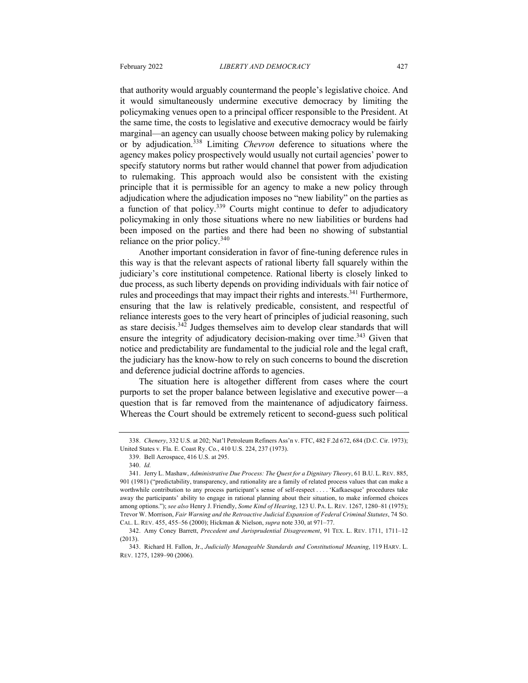that authority would arguably countermand the people's legislative choice. And it would simultaneously undermine executive democracy by limiting the policymaking venues open to a principal officer responsible to the President. At the same time, the costs to legislative and executive democracy would be fairly marginal—an agency can usually choose between making policy by rulemaking or by adjudication.<sup>338</sup> Limiting *Chevron* deference to situations where the agency makes policy prospectively would usually not curtail agencies' power to specify statutory norms but rather would channel that power from adjudication to rulemaking. This approach would also be consistent with the existing principle that it is permissible for an agency to make a new policy through adjudication where the adjudication imposes no "new liability" on the parties as a function of that policy.<sup>339</sup> Courts might continue to defer to adjudicatory policymaking in only those situations where no new liabilities or burdens had been imposed on the parties and there had been no showing of substantial reliance on the prior policy.<sup>340</sup>

Another important consideration in favor of fine-tuning deference rules in this way is that the relevant aspects of rational liberty fall squarely within the judiciary's core institutional competence. Rational liberty is closely linked to due process, as such liberty depends on providing individuals with fair notice of rules and proceedings that may impact their rights and interests.<sup>341</sup> Furthermore, ensuring that the law is relatively predicable, consistent, and respectful of reliance interests goes to the very heart of principles of judicial reasoning, such as stare decisis.<sup>342</sup> Judges themselves aim to develop clear standards that will ensure the integrity of adjudicatory decision-making over time.<sup>343</sup> Given that notice and predictability are fundamental to the judicial role and the legal craft, the judiciary has the know-how to rely on such concerns to bound the discretion and deference judicial doctrine affords to agencies.

The situation here is altogether different from cases where the court purports to set the proper balance between legislative and executive power—a question that is far removed from the maintenance of adjudicatory fairness. Whereas the Court should be extremely reticent to second-guess such political

<sup>338.</sup> *Chenery*, 332 U.S. at 202; Nat'l Petroleum Refiners Ass'n v. FTC, 482 F.2d 672, 684 (D.C. Cir. 1973); United States v. Fla. E. Coast Ry. Co., 410 U.S. 224, 237 (1973).

<sup>339.</sup> Bell Aerospace, 416 U.S. at 295.

<sup>340.</sup> *Id.*

<sup>341.</sup> Jerry L. Mashaw, *Administrative Due Process: The Quest for a Dignitary Theory*, 61 B.U. L. REV. 885, 901 (1981) ("predictability, transparency, and rationality are a family of related process values that can make a worthwhile contribution to any process participant's sense of self-respect . . . . 'Kafkaesque' procedures take away the participants' ability to engage in rational planning about their situation, to make informed choices among options."); *see also* Henry J. Friendly, *Some Kind of Hearing*, 123 U. PA. L. REV. 1267, 1280–81 (1975); Trevor W. Morrison, *Fair Warning and the Retroactive Judicial Expansion of Federal Criminal Statutes*, 74 SO. CAL. L. REV. 455, 455–56 (2000); Hickman & Nielson, *supra* note 330, at 971–77.

<sup>342.</sup> Amy Coney Barrett, *Precedent and Jurisprudential Disagreement*, 91 TEX. L. REV. 1711, 1711–12 (2013).

<sup>343.</sup> Richard H. Fallon, Jr., *Judicially Manageable Standards and Constitutional Meaning*, 119 HARV. L. REV. 1275, 1289–90 (2006).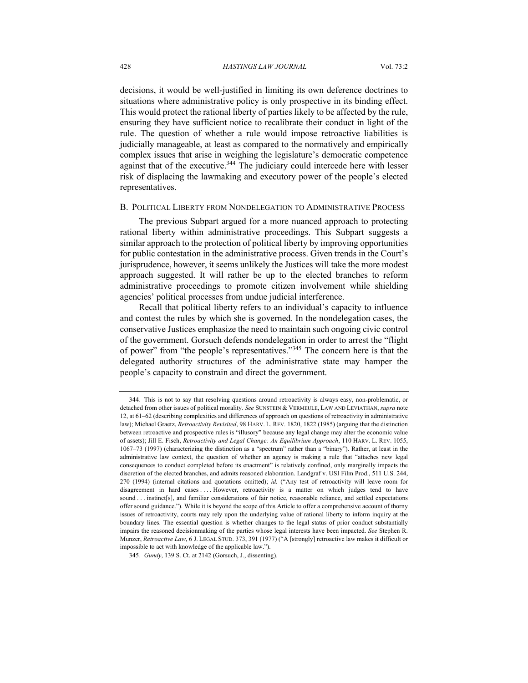decisions, it would be well-justified in limiting its own deference doctrines to situations where administrative policy is only prospective in its binding effect. This would protect the rational liberty of parties likely to be affected by the rule, ensuring they have sufficient notice to recalibrate their conduct in light of the rule. The question of whether a rule would impose retroactive liabilities is judicially manageable, at least as compared to the normatively and empirically complex issues that arise in weighing the legislature's democratic competence against that of the executive.<sup>344</sup> The judiciary could intercede here with lesser risk of displacing the lawmaking and executory power of the people's elected representatives.

#### B. POLITICAL LIBERTY FROM NONDELEGATION TO ADMINISTRATIVE PROCESS

The previous Subpart argued for a more nuanced approach to protecting rational liberty within administrative proceedings. This Subpart suggests a similar approach to the protection of political liberty by improving opportunities for public contestation in the administrative process. Given trends in the Court's jurisprudence, however, it seems unlikely the Justices will take the more modest approach suggested. It will rather be up to the elected branches to reform administrative proceedings to promote citizen involvement while shielding agencies' political processes from undue judicial interference.

Recall that political liberty refers to an individual's capacity to influence and contest the rules by which she is governed. In the nondelegation cases, the conservative Justices emphasize the need to maintain such ongoing civic control of the government. Gorsuch defends nondelegation in order to arrest the "flight of power" from "the people's representatives."345 The concern here is that the delegated authority structures of the administrative state may hamper the people's capacity to constrain and direct the government.

<sup>344.</sup> This is not to say that resolving questions around retroactivity is always easy, non-problematic, or detached from other issues of political morality. *See* SUNSTEIN & VERMEULE, LAW AND LEVIATHAN, *supra* note 12, at 61–62 (describing complexities and differences of approach on questions of retroactivity in administrative law); Michael Graetz, *Retroactivity Revisited*, 98 HARV. L. REV. 1820, 1822 (1985) (arguing that the distinction between retroactive and prospective rules is "illusory" because any legal change may alter the economic value of assets); Jill E. Fisch, *Retroactivity and Legal Change: An Equilibrium Approach*, 110 HARV. L. REV. 1055, 1067–73 (1997) (characterizing the distinction as a "spectrum" rather than a "binary"). Rather, at least in the administrative law context, the question of whether an agency is making a rule that "attaches new legal consequences to conduct completed before its enactment" is relatively confined, only marginally impacts the discretion of the elected branches, and admits reasoned elaboration. Landgraf v. USI Film Prod., 511 U.S. 244, 270 (1994) (internal citations and quotations omitted); *id.* ("Any test of retroactivity will leave room for disagreement in hard cases . . . . However, retroactivity is a matter on which judges tend to have sound . . . instinct[s], and familiar considerations of fair notice, reasonable reliance, and settled expectations offer sound guidance."). While it is beyond the scope of this Article to offer a comprehensive account of thorny issues of retroactivity, courts may rely upon the underlying value of rational liberty to inform inquiry at the boundary lines. The essential question is whether changes to the legal status of prior conduct substantially impairs the reasoned decisionmaking of the parties whose legal interests have been impacted. *See* Stephen R. Munzer, *Retroactive Law*, 6 J. LEGAL STUD. 373, 391 (1977) ("A [strongly] retroactive law makes it difficult or impossible to act with knowledge of the applicable law.").

<sup>345.</sup> *Gundy*, 139 S. Ct. at 2142 (Gorsuch, J., dissenting).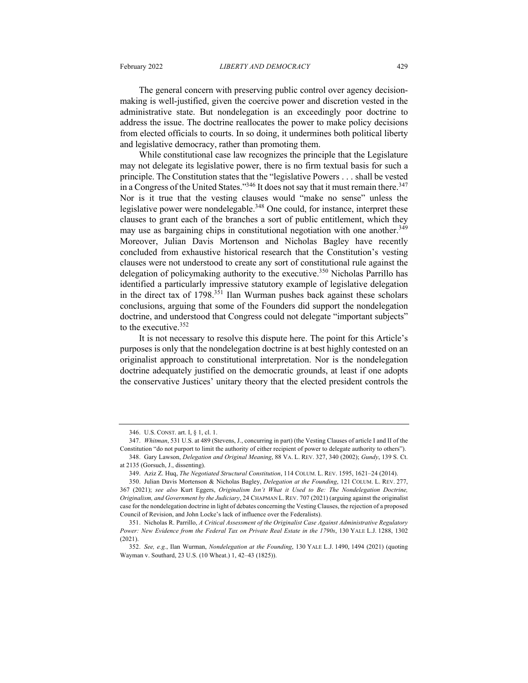The general concern with preserving public control over agency decisionmaking is well-justified, given the coercive power and discretion vested in the administrative state. But nondelegation is an exceedingly poor doctrine to address the issue. The doctrine reallocates the power to make policy decisions from elected officials to courts. In so doing, it undermines both political liberty and legislative democracy, rather than promoting them.

While constitutional case law recognizes the principle that the Legislature may not delegate its legislative power, there is no firm textual basis for such a principle. The Constitution states that the "legislative Powers . . . shall be vested in a Congress of the United States."<sup>346</sup> It does not say that it must remain there.<sup>347</sup> Nor is it true that the vesting clauses would "make no sense" unless the legislative power were nondelegable.<sup>348</sup> One could, for instance, interpret these clauses to grant each of the branches a sort of public entitlement, which they may use as bargaining chips in constitutional negotiation with one another.<sup>349</sup> Moreover, Julian Davis Mortenson and Nicholas Bagley have recently concluded from exhaustive historical research that the Constitution's vesting clauses were not understood to create any sort of constitutional rule against the delegation of policymaking authority to the executive.<sup>350</sup> Nicholas Parrillo has identified a particularly impressive statutory example of legislative delegation in the direct tax of 1798.351 Ilan Wurman pushes back against these scholars conclusions, arguing that some of the Founders did support the nondelegation doctrine, and understood that Congress could not delegate "important subjects" to the executive.<sup>352</sup>

It is not necessary to resolve this dispute here. The point for this Article's purposes is only that the nondelegation doctrine is at best highly contested on an originalist approach to constitutional interpretation. Nor is the nondelegation doctrine adequately justified on the democratic grounds, at least if one adopts the conservative Justices' unitary theory that the elected president controls the

<sup>346.</sup> U.S. CONST. art. I, § 1, cl. 1.

<sup>347.</sup> *Whitman*, 531 U.S. at 489 (Stevens, J., concurring in part) (the Vesting Clauses of article I and II of the Constitution "do not purport to limit the authority of either recipient of power to delegate authority to others").

<sup>348.</sup> Gary Lawson, *Delegation and Original Meaning*, 88 VA. L. REV. 327, 340 (2002); *Gundy*, 139 S. Ct. at 2135 (Gorsuch, J., dissenting).

<sup>349.</sup> Aziz Z. Huq, *The Negotiated Structural Constitution*, 114 COLUM. L. REV. 1595, 1621–24 (2014).

<sup>350.</sup> Julian Davis Mortenson & Nicholas Bagley, *Delegation at the Founding*, 121 COLUM. L. REV. 277, 367 (2021); *see also* Kurt Eggers, *Originalism Isn't What it Used to Be: The Nondelegation Doctrine, Originalism, and Government by the Judiciary*, 24 CHAPMAN L. REV. 707 (2021) (arguing against the originalist case for the nondelegation doctrine in light of debates concerning the Vesting Clauses, the rejection of a proposed Council of Revision, and John Locke's lack of influence over the Federalists).

<sup>351.</sup> Nicholas R. Parrillo, *A Critical Assessment of the Originalist Case Against Administrative Regulatory Power: New Evidence from the Federal Tax on Private Real Estate in the 1790s*, 130 YALE L.J. 1288, 1302 (2021).

<sup>352.</sup> *See, e.g.*, Ilan Wurman, *Nondelegation at the Founding*, 130 YALE L.J. 1490, 1494 (2021) (quoting Wayman v. Southard, 23 U.S. (10 Wheat.) 1, 42–43 (1825)).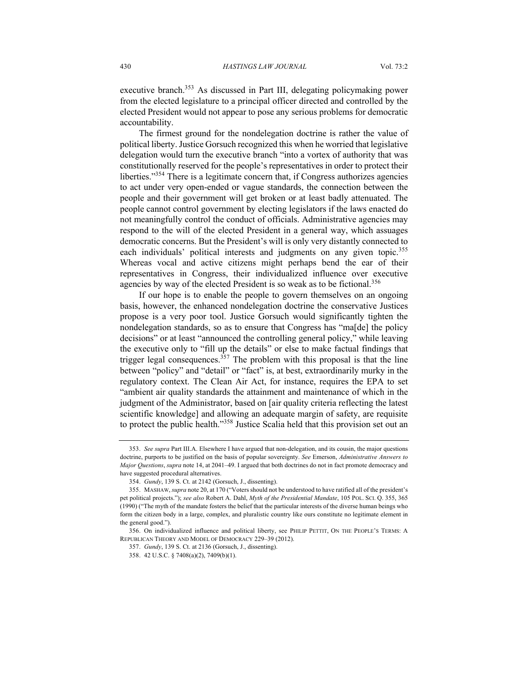executive branch.<sup>353</sup> As discussed in Part III, delegating policymaking power from the elected legislature to a principal officer directed and controlled by the elected President would not appear to pose any serious problems for democratic accountability.

The firmest ground for the nondelegation doctrine is rather the value of political liberty. Justice Gorsuch recognized this when he worried that legislative delegation would turn the executive branch "into a vortex of authority that was constitutionally reserved for the people's representatives in order to protect their liberties."354 There is a legitimate concern that, if Congress authorizes agencies to act under very open-ended or vague standards, the connection between the people and their government will get broken or at least badly attenuated. The people cannot control government by electing legislators if the laws enacted do not meaningfully control the conduct of officials. Administrative agencies may respond to the will of the elected President in a general way, which assuages democratic concerns. But the President's will is only very distantly connected to each individuals' political interests and judgments on any given topic.<sup>355</sup> Whereas vocal and active citizens might perhaps bend the ear of their representatives in Congress, their individualized influence over executive agencies by way of the elected President is so weak as to be fictional.<sup>356</sup>

If our hope is to enable the people to govern themselves on an ongoing basis, however, the enhanced nondelegation doctrine the conservative Justices propose is a very poor tool. Justice Gorsuch would significantly tighten the nondelegation standards, so as to ensure that Congress has "ma[de] the policy decisions" or at least "announced the controlling general policy," while leaving the executive only to "fill up the details" or else to make factual findings that trigger legal consequences.<sup>357</sup> The problem with this proposal is that the line between "policy" and "detail" or "fact" is, at best, extraordinarily murky in the regulatory context. The Clean Air Act, for instance, requires the EPA to set "ambient air quality standards the attainment and maintenance of which in the judgment of the Administrator, based on [air quality criteria reflecting the latest scientific knowledge] and allowing an adequate margin of safety, are requisite to protect the public health."<sup>358</sup> Justice Scalia held that this provision set out an

<sup>353.</sup> *See supra* Part III.A. Elsewhere I have argued that non-delegation, and its cousin, the major questions doctrine, purports to be justified on the basis of popular sovereignty. *See* Emerson, *Administrative Answers to Major Questions*, *supra* note 14, at 2041–49. I argued that both doctrines do not in fact promote democracy and have suggested procedural alternatives.

<sup>354.</sup> *Gundy*, 139 S. Ct. at 2142 (Gorsuch, J., dissenting).

<sup>355.</sup> MASHAW, *supra* note 20, at 170 ("Voters should not be understood to have ratified all of the president's pet political projects."); *see also* Robert A. Dahl, *Myth of the Presidential Mandate*, 105 POL. SCI. Q. 355, 365 (1990) ("The myth of the mandate fosters the belief that the particular interests of the diverse human beings who form the citizen body in a large, complex, and pluralistic country like ours constitute no legitimate element in the general good.").

<sup>356.</sup> On individualized influence and political liberty, see PHILIP PETTIT, ON THE PEOPLE'S TERMS: A REPUBLICAN THEORY AND MODEL OF DEMOCRACY 229–39 (2012).

<sup>357.</sup> *Gundy*, 139 S. Ct. at 2136 (Gorsuch, J., dissenting).

<sup>358.</sup> 42 U.S.C. § 7408(a)(2), 7409(b)(1).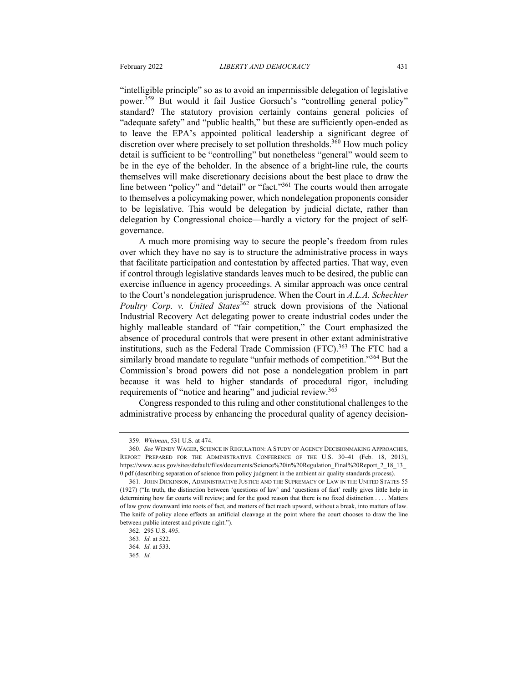"intelligible principle" so as to avoid an impermissible delegation of legislative power.<sup>359</sup> But would it fail Justice Gorsuch's "controlling general policy" standard? The statutory provision certainly contains general policies of "adequate safety" and "public health," but these are sufficiently open-ended as to leave the EPA's appointed political leadership a significant degree of discretion over where precisely to set pollution thresholds.<sup>360</sup> How much policy detail is sufficient to be "controlling" but nonetheless "general" would seem to be in the eye of the beholder. In the absence of a bright-line rule, the courts themselves will make discretionary decisions about the best place to draw the line between "policy" and "detail" or "fact."361 The courts would then arrogate to themselves a policymaking power, which nondelegation proponents consider to be legislative. This would be delegation by judicial dictate, rather than delegation by Congressional choice—hardly a victory for the project of selfgovernance.

A much more promising way to secure the people's freedom from rules over which they have no say is to structure the administrative process in ways that facilitate participation and contestation by affected parties. That way, even if control through legislative standards leaves much to be desired, the public can exercise influence in agency proceedings. A similar approach was once central to the Court's nondelegation jurisprudence. When the Court in *A.L.A. Schechter Poultry Corp. v. United States*<sup>362</sup> struck down provisions of the National Industrial Recovery Act delegating power to create industrial codes under the highly malleable standard of "fair competition," the Court emphasized the absence of procedural controls that were present in other extant administrative institutions, such as the Federal Trade Commission (FTC).<sup>363</sup> The FTC had a similarly broad mandate to regulate "unfair methods of competition."<sup>364</sup> But the Commission's broad powers did not pose a nondelegation problem in part because it was held to higher standards of procedural rigor, including requirements of "notice and hearing" and judicial review.<sup>365</sup>

Congress responded to this ruling and other constitutional challenges to the administrative process by enhancing the procedural quality of agency decision-

<sup>359.</sup> *Whitman*, 531 U.S. at 474.

<sup>360.</sup> *See* WENDY WAGER, SCIENCE IN REGULATION: A STUDY OF AGENCY DECISIONMAKING APPROACHES, REPORT PREPARED FOR THE ADMINISTRATIVE CONFERENCE OF THE U.S. 30–41 (Feb. 18, 2013), https://www.acus.gov/sites/default/files/documents/Science%20in%20Regulation\_Final%20Report\_2\_18\_13\_ 0.pdf (describing separation of science from policy judgment in the ambient air quality standards process).

<sup>361.</sup> JOHN DICKINSON, ADMINISTRATIVE JUSTICE AND THE SUPREMACY OF LAW IN THE UNITED STATES 55 (1927) ("In truth, the distinction between 'questions of law' and 'questions of fact' really gives little help in determining how far courts will review; and for the good reason that there is no fixed distinction . . . . Matters of law grow downward into roots of fact, and matters of fact reach upward, without a break, into matters of law. The knife of policy alone effects an artificial cleavage at the point where the court chooses to draw the line between public interest and private right.").

<sup>362</sup>. 295 U.S. 495.

<sup>363.</sup> *Id.* at 522.

<sup>364.</sup> *Id.* at 533.

<sup>365.</sup> *Id.*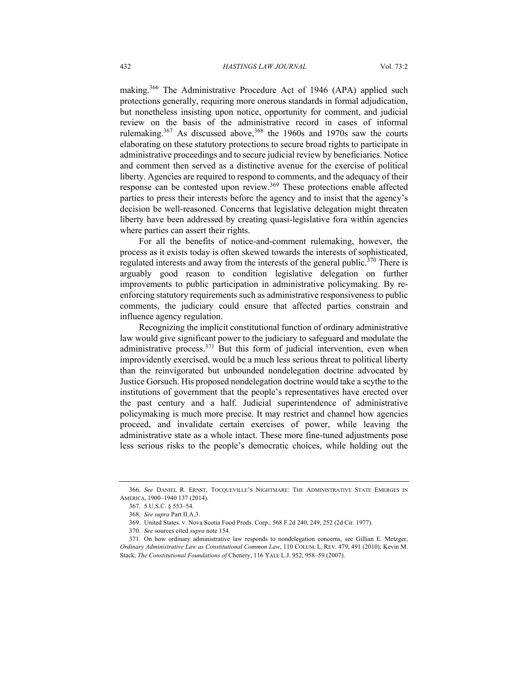making.<sup>366</sup> The Administrative Procedure Act of 1946 (APA) applied such protections generally, requiring more onerous standards in formal adjudication, but nonetheless insisting upon notice, opportunity for comment, and judicial review on the basis of the administrative record in cases of informal rulemaking.<sup>367</sup> As discussed above,<sup>368</sup> the 1960s and 1970s saw the courts elaborating on these statutory protections to secure broad rights to participate in administrative proceedings and to secure judicial review by beneficiaries. Notice and comment then served as a distinctive avenue for the exercise of political liberty. Agencies are required to respond to comments, and the adequacy of their response can be contested upon review.<sup>369</sup> These protections enable affected parties to press their interests before the agency and to insist that the agency's decision be well-reasoned. Concerns that legislative delegation might threaten liberty have been addressed by creating quasi-legislative fora within agencies where parties can assert their rights.

For all the benefits of notice-and-comment rulemaking, however, the process as it exists today is often skewed towards the interests of sophisticated, regulated interests and away from the interests of the general public.<sup>370</sup> There is arguably good reason to condition legislative delegation on further improvements to public participation in administrative policymaking. By reenforcing statutory requirements such as administrative responsiveness to public comments, the judiciary could ensure that affected parties constrain and influence agency regulation.

Recognizing the implicit constitutional function of ordinary administrative law would give significant power to the judiciary to safeguard and modulate the administrative process. $371$  But this form of judicial intervention, even when improvidently exercised, would be a much less serious threat to political liberty than the reinvigorated but unbounded nondelegation doctrine advocated by Justice Gorsuch. His proposed nondelegation doctrine would take a scythe to the institutions of government that the people's representatives have erected over the past century and a half. Judicial superintendence of administrative policymaking is much more precise. It may restrict and channel how agencies proceed, and invalidate certain exercises of power, while leaving the administrative state as a whole intact. These more fine-tuned adjustments pose less serious risks to the people's democratic choices, while holding out the

<sup>366.</sup> *See* DANIEL R. ERNST, TOCQUEVILLE'S NIGHTMARE: THE ADMINISTRATIVE STATE EMERGES IN AMERICA, 1900–1940 137 (2014).

<sup>367.</sup> 5 U.S.C. § 553–54.

<sup>368.</sup> *See supra* Part II.A.3.

<sup>369.</sup> United States. v. Nova Scotia Food Prods. Corp., 568 F.2d 240, 249, 252 (2d Cir. 1977).

<sup>370.</sup> *See* sources cited *supra* note 154.

<sup>371.</sup> On how ordinary administrative law responds to nondelegation concerns, see Gillian E. Metzger, *Ordinary Administrative Law as Constitutional Common Law*, 110 COLUM. L. REV. 479, 491 (2010); Kevin M. Stack, *The Constitutional Foundations of* Chenery, 116 YALE L.J. 952, 958–59 (2007).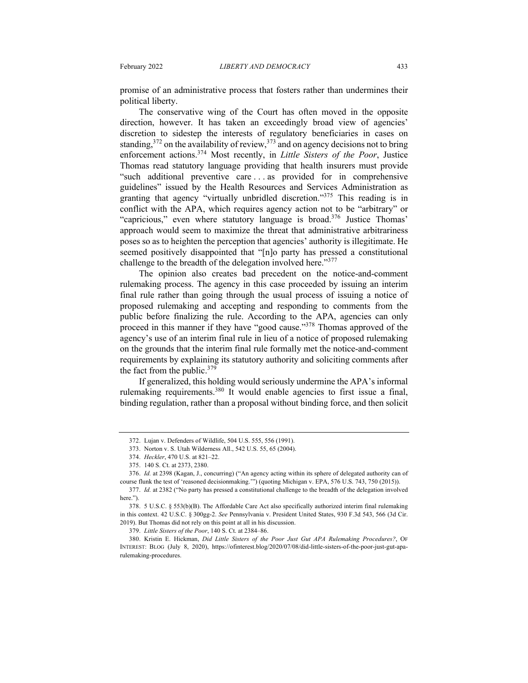promise of an administrative process that fosters rather than undermines their political liberty.

The conservative wing of the Court has often moved in the opposite direction, however. It has taken an exceedingly broad view of agencies' discretion to sidestep the interests of regulatory beneficiaries in cases on standing,  $372$  on the availability of review,  $373$  and on agency decisions not to bring enforcement actions.<sup>374</sup> Most recently, in *Little Sisters of the Poor*, Justice Thomas read statutory language providing that health insurers must provide "such additional preventive care . . . as provided for in comprehensive guidelines" issued by the Health Resources and Services Administration as granting that agency "virtually unbridled discretion."375 This reading is in conflict with the APA, which requires agency action not to be "arbitrary" or "capricious," even where statutory language is broad. $376$  Justice Thomas' approach would seem to maximize the threat that administrative arbitrariness poses so as to heighten the perception that agencies' authority is illegitimate. He seemed positively disappointed that "[n]o party has pressed a constitutional challenge to the breadth of the delegation involved here."<sup>377</sup>

The opinion also creates bad precedent on the notice-and-comment rulemaking process. The agency in this case proceeded by issuing an interim final rule rather than going through the usual process of issuing a notice of proposed rulemaking and accepting and responding to comments from the public before finalizing the rule. According to the APA, agencies can only proceed in this manner if they have "good cause."378 Thomas approved of the agency's use of an interim final rule in lieu of a notice of proposed rulemaking on the grounds that the interim final rule formally met the notice-and-comment requirements by explaining its statutory authority and soliciting comments after the fact from the public.<sup>379</sup>

If generalized, this holding would seriously undermine the APA's informal rulemaking requirements.<sup>380</sup> It would enable agencies to first issue a final, binding regulation, rather than a proposal without binding force, and then solicit

<sup>372.</sup> Lujan v. Defenders of Wildlife, 504 U.S. 555, 556 (1991).

<sup>373.</sup> Norton v. S. Utah Wilderness All., 542 U.S. 55, 65 (2004).

<sup>374.</sup> *Heckler*, 470 U.S. at 821–22.

<sup>375.</sup> 140 S. Ct. at 2373, 2380.

<sup>376.</sup> *Id.* at 2398 (Kagan, J., concurring) ("An agency acting within its sphere of delegated authority can of course flunk the test of 'reasoned decisionmaking.'") (quoting Michigan v. EPA, 576 U.S. 743, 750 (2015)).

<sup>377.</sup> *Id.* at 2382 ("No party has pressed a constitutional challenge to the breadth of the delegation involved here.").

<sup>378.</sup> 5 U.S.C. § 553(b)(B). The Affordable Care Act also specifically authorized interim final rulemaking in this context. 42 U.S.C. § 300gg-2. *See* Pennsylvania v. President United States, 930 F.3d 543, 566 (3d Cir. 2019). But Thomas did not rely on this point at all in his discussion.

<sup>379.</sup> *Little Sisters of the Poor*, 140 S. Ct. at 2384–86.

<sup>380.</sup> Kristin E. Hickman, *Did Little Sisters of the Poor Just Gut APA Rulemaking Procedures?*, OF INTEREST: BLOG (July 8, 2020), https://ofinterest.blog/2020/07/08/did-little-sisters-of-the-poor-just-gut-aparulemaking-procedures.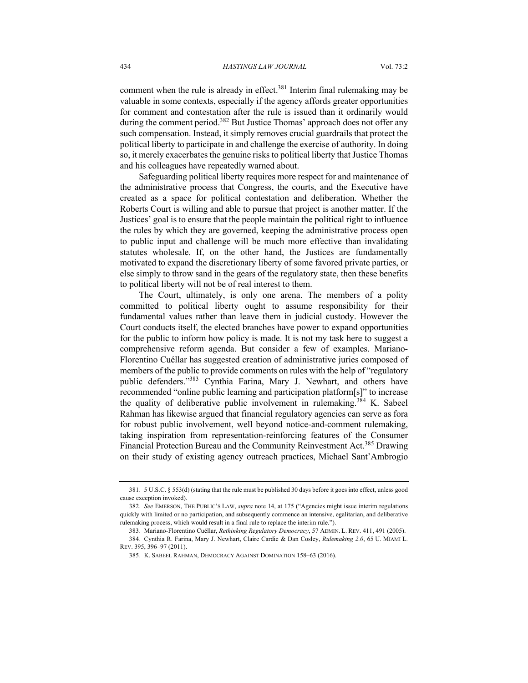comment when the rule is already in effect.<sup>381</sup> Interim final rulemaking may be valuable in some contexts, especially if the agency affords greater opportunities for comment and contestation after the rule is issued than it ordinarily would during the comment period.<sup>382</sup> But Justice Thomas' approach does not offer any such compensation. Instead, it simply removes crucial guardrails that protect the political liberty to participate in and challenge the exercise of authority. In doing so, it merely exacerbates the genuine risks to political liberty that Justice Thomas and his colleagues have repeatedly warned about.

Safeguarding political liberty requires more respect for and maintenance of the administrative process that Congress, the courts, and the Executive have created as a space for political contestation and deliberation. Whether the Roberts Court is willing and able to pursue that project is another matter. If the Justices' goal is to ensure that the people maintain the political right to influence the rules by which they are governed, keeping the administrative process open to public input and challenge will be much more effective than invalidating statutes wholesale. If, on the other hand, the Justices are fundamentally motivated to expand the discretionary liberty of some favored private parties, or else simply to throw sand in the gears of the regulatory state, then these benefits to political liberty will not be of real interest to them.

The Court, ultimately, is only one arena. The members of a polity committed to political liberty ought to assume responsibility for their fundamental values rather than leave them in judicial custody. However the Court conducts itself, the elected branches have power to expand opportunities for the public to inform how policy is made. It is not my task here to suggest a comprehensive reform agenda. But consider a few of examples. Mariano-Florentino Cuéllar has suggested creation of administrative juries composed of members of the public to provide comments on rules with the help of "regulatory public defenders."383 Cynthia Farina, Mary J. Newhart, and others have recommended "online public learning and participation platform[s]" to increase the quality of deliberative public involvement in rulemaking.<sup>384</sup> K. Sabeel Rahman has likewise argued that financial regulatory agencies can serve as fora for robust public involvement, well beyond notice-and-comment rulemaking, taking inspiration from representation-reinforcing features of the Consumer Financial Protection Bureau and the Community Reinvestment Act.<sup>385</sup> Drawing on their study of existing agency outreach practices, Michael Sant'Ambrogio

<sup>381.</sup> 5 U.S.C. § 553(d) (stating that the rule must be published 30 days before it goes into effect, unless good cause exception invoked).

<sup>382.</sup> *See* EMERSON, THE PUBLIC'S LAW, *supra* note 14, at 175 ("Agencies might issue interim regulations quickly with limited or no participation, and subsequently commence an intensive, egalitarian, and deliberative rulemaking process, which would result in a final rule to replace the interim rule.").

<sup>383.</sup> Mariano-Florentino Cuéllar, *Rethinking Regulatory Democracy*, 57 ADMIN. L. REV. 411, 491 (2005).

<sup>384.</sup> Cynthia R. Farina, Mary J. Newhart, Claire Cardie & Dan Cosley, *Rulemaking 2.0*, 65 U. MIAMI L. REV. 395, 396–97 (2011).

<sup>385.</sup> K. SABEEL RAHMAN, DEMOCRACY AGAINST DOMINATION 158–63 (2016).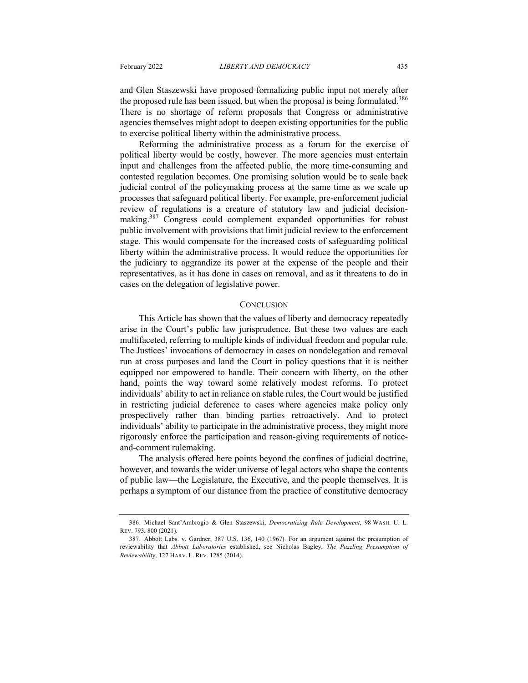and Glen Staszewski have proposed formalizing public input not merely after the proposed rule has been issued, but when the proposal is being formulated.<sup>386</sup> There is no shortage of reform proposals that Congress or administrative agencies themselves might adopt to deepen existing opportunities for the public to exercise political liberty within the administrative process.

Reforming the administrative process as a forum for the exercise of political liberty would be costly, however. The more agencies must entertain input and challenges from the affected public, the more time-consuming and contested regulation becomes. One promising solution would be to scale back judicial control of the policymaking process at the same time as we scale up processes that safeguard political liberty. For example, pre-enforcement judicial review of regulations is a creature of statutory law and judicial decisionmaking.<sup>387</sup> Congress could complement expanded opportunities for robust public involvement with provisions that limit judicial review to the enforcement stage. This would compensate for the increased costs of safeguarding political liberty within the administrative process. It would reduce the opportunities for the judiciary to aggrandize its power at the expense of the people and their representatives, as it has done in cases on removal, and as it threatens to do in cases on the delegation of legislative power.

#### **CONCLUSION**

This Article has shown that the values of liberty and democracy repeatedly arise in the Court's public law jurisprudence. But these two values are each multifaceted, referring to multiple kinds of individual freedom and popular rule. The Justices' invocations of democracy in cases on nondelegation and removal run at cross purposes and land the Court in policy questions that it is neither equipped nor empowered to handle. Their concern with liberty, on the other hand, points the way toward some relatively modest reforms. To protect individuals' ability to act in reliance on stable rules, the Court would be justified in restricting judicial deference to cases where agencies make policy only prospectively rather than binding parties retroactively. And to protect individuals' ability to participate in the administrative process, they might more rigorously enforce the participation and reason-giving requirements of noticeand-comment rulemaking.

The analysis offered here points beyond the confines of judicial doctrine, however, and towards the wider universe of legal actors who shape the contents of public law—the Legislature, the Executive, and the people themselves. It is perhaps a symptom of our distance from the practice of constitutive democracy

<sup>386.</sup> Michael Sant'Ambrogio & Glen Staszewski, *Democratizing Rule Development*, 98 WASH. U. L. REV. 793, 800 (2021).

<sup>387.</sup> Abbott Labs. v. Gardner, 387 U.S. 136, 140 (1967). For an argument against the presumption of reviewability that *Abbott Laboratories* established, see Nicholas Bagley, *The Puzzling Presumption of Reviewabili*ty, 127 HARV. L. REV. 1285 (2014).